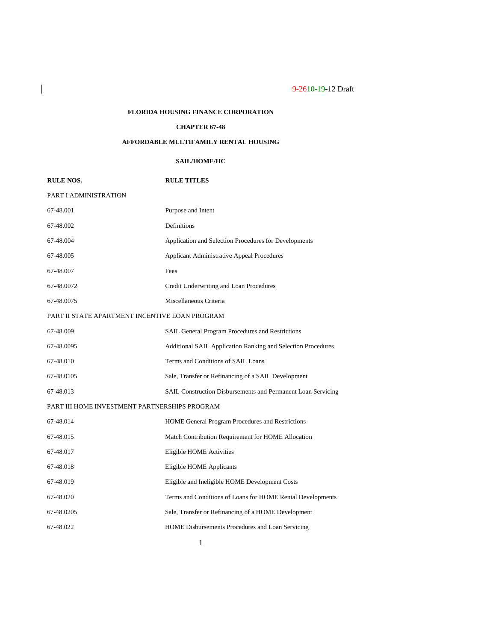# **FLORIDA HOUSING FINANCE CORPORATION**

 $\overline{\phantom{a}}$ 

## **CHAPTER 67-48**

# **AFFORDABLE MULTIFAMILY RENTAL HOUSING**

# **SAIL/HOME/HC**

| <b>RULE NOS.</b>                               | <b>RULE TITLES</b>                                           |  |
|------------------------------------------------|--------------------------------------------------------------|--|
| PART I ADMINISTRATION                          |                                                              |  |
| 67-48.001                                      | Purpose and Intent                                           |  |
| 67-48.002                                      | Definitions                                                  |  |
| 67-48.004                                      | Application and Selection Procedures for Developments        |  |
| 67-48.005                                      | <b>Applicant Administrative Appeal Procedures</b>            |  |
| 67-48.007                                      | Fees                                                         |  |
| 67-48.0072                                     | Credit Underwriting and Loan Procedures                      |  |
| 67-48.0075                                     | Miscellaneous Criteria                                       |  |
| PART II STATE APARTMENT INCENTIVE LOAN PROGRAM |                                                              |  |
| 67-48.009                                      | SAIL General Program Procedures and Restrictions             |  |
| 67-48.0095                                     | Additional SAIL Application Ranking and Selection Procedures |  |
| 67-48.010                                      | Terms and Conditions of SAIL Loans                           |  |
| 67-48.0105                                     | Sale, Transfer or Refinancing of a SAIL Development          |  |
| 67-48.013                                      | SAIL Construction Disbursements and Permanent Loan Servicing |  |
| PART III HOME INVESTMENT PARTNERSHIPS PROGRAM  |                                                              |  |
| 67-48.014                                      | HOME General Program Procedures and Restrictions             |  |
| 67-48.015                                      | Match Contribution Requirement for HOME Allocation           |  |
| 67-48.017                                      | Eligible HOME Activities                                     |  |
| 67-48.018                                      | Eligible HOME Applicants                                     |  |
| 67-48.019                                      | Eligible and Ineligible HOME Development Costs               |  |
| 67-48.020                                      | Terms and Conditions of Loans for HOME Rental Developments   |  |
| 67-48.0205                                     | Sale, Transfer or Refinancing of a HOME Development          |  |
| 67-48.022                                      | HOME Disbursements Procedures and Loan Servicing             |  |
|                                                |                                                              |  |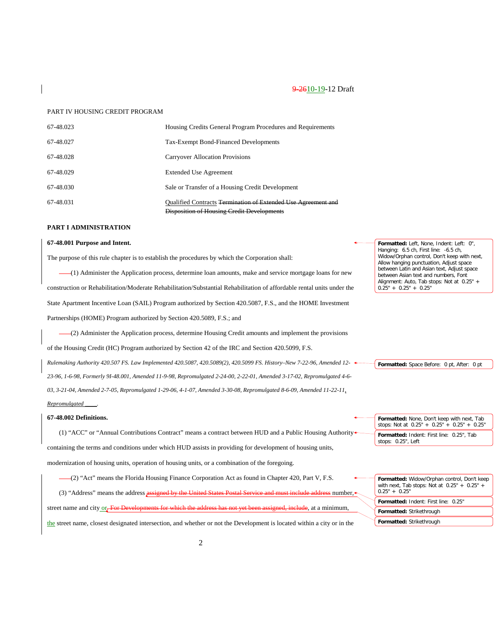### PART IV HOUSING CREDIT PROGRAM

| 67-48.023 | Housing Credits General Program Procedures and Requirements                                                        |
|-----------|--------------------------------------------------------------------------------------------------------------------|
| 67-48.027 | Tax-Exempt Bond-Financed Developments                                                                              |
| 67-48.028 | <b>Carryover Allocation Provisions</b>                                                                             |
| 67-48.029 | <b>Extended Use Agreement</b>                                                                                      |
| 67-48.030 | Sale or Transfer of a Housing Credit Development                                                                   |
| 67-48.031 | <b>Oualified Contracts Termination of Extended Use Agreement and</b><br>Disposition of Housing Credit Developments |

### **PART I ADMINISTRATION**

## **67-48.001 Purpose and Intent.**

The purpose of this rule chapter is to establish the procedures by which the Corporation shall:

(1) Administer the Application process, determine loan amounts, make and service mortgage loans for new construction or Rehabilitation/Moderate Rehabilitation/Substantial Rehabilitation of affordable rental units under the State Apartment Incentive Loan (SAIL) Program authorized by Section 420.5087, F.S., and the HOME Investment Partnerships (HOME) Program authorized by Section 420.5089, F.S.; and

(2) Administer the Application process, determine Housing Credit amounts and implement the provisions of the Housing Credit (HC) Program authorized by Section 42 of the IRC and Section 420.5099, F.S. *Rulemaking Authority 420.507 FS. Law Implemented 420.5087, 420.5089(2), 420.5099 FS. History–New 7-22-96, Amended 12- 23-96, 1-6-98, Formerly 9I-48.001, Amended 11-9-98, Repromulgated 2-24-00, 2-22-01, Amended 3-17-02, Repromulgated 4-6- 03, 3-21-04, Amended 2-7-05, Repromulgated 1-29-06, 4-1-07, Amended 3-30-08, Repromulgated 8-6-09, Amended 11-22-11,* 

### *Repromulgated \_\_\_\_.*

## **67-48.002 Definitions.**

(1) "ACC" or "Annual Contributions Contract" means a contract between HUD and a Public Housing Authority containing the terms and conditions under which HUD assists in providing for development of housing units, modernization of housing units, operation of housing units, or a combination of the foregoing.

(2) "Act" means the Florida Housing Finance Corporation Act as found in Chapter 420, Part V, F.S.

(3) "Address" means the address assigned by the United States Postal Service and must include address number,

street name and city or. For Developments for which the address has not yet been assigned, include, at a minimum,

the street name, closest designated intersection, and whether or not the Development is located within a city or in the

**Formatted:** Left, None, Indent: Left: 0", Hanging: 6.5 ch, First line: -6.5 ch, Widow/Orphan control, Don't keep with next, Allow hanging punctuation, Adjust space between Latin and Asian text, Adjust space between Asian text and numbers, Font Alignment: Auto, Tab stops: Not at 0.25" +  $0.25" + 0.25" + 0.25"$ 

**Formatted:** Space Before: 0 pt, After: 0 pt

| Formatted: None, Don't keep with next, Tab<br>stops: Not at $0.25'' + 0.25'' + 0.25'' + 0.25''$ |
|-------------------------------------------------------------------------------------------------|
| Formatted: Indent: First line: 0.25", Tab<br>stops: 0.25", Left                                 |

| Formatted: Widow/Orphan control, Don't keep<br>with next, Tab stops: Not at $0.25" + 0.25" +$<br>$0.25" + 0.25"$ |
|------------------------------------------------------------------------------------------------------------------|
| <b>Formatted: Indent: First line: 0.25"</b>                                                                      |
| Formatted: Strikethrough                                                                                         |
| Formatted: Strikethrough                                                                                         |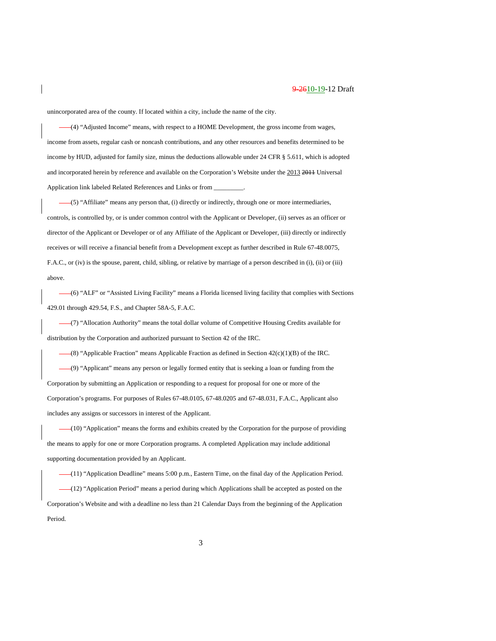unincorporated area of the county. If located within a city, include the name of the city.

(4) "Adjusted Income" means, with respect to a HOME Development, the gross income from wages, income from assets, regular cash or noncash contributions, and any other resources and benefits determined to be income by HUD, adjusted for family size, minus the deductions allowable under 24 CFR § 5.611, which is adopted and incorporated herein by reference and available on the Corporation's Website under the 2013 2011 Universal Application link labeled Related References and Links or from \_

(5) "Affiliate" means any person that, (i) directly or indirectly, through one or more intermediaries, controls, is controlled by, or is under common control with the Applicant or Developer, (ii) serves as an officer or director of the Applicant or Developer or of any Affiliate of the Applicant or Developer, (iii) directly or indirectly receives or will receive a financial benefit from a Development except as further described in Rule 67-48.0075, F.A.C., or (iv) is the spouse, parent, child, sibling, or relative by marriage of a person described in (i), (ii) or (iii) above.

(6) "ALF" or "Assisted Living Facility" means a Florida licensed living facility that complies with Sections 429.01 through 429.54, F.S., and Chapter 58A-5, F.A.C.

(7) "Allocation Authority" means the total dollar volume of Competitive Housing Credits available for distribution by the Corporation and authorized pursuant to Section 42 of the IRC.

 $-(8)$  "Applicable Fraction" means Applicable Fraction as defined in Section 42(c)(1)(B) of the IRC.

(9) "Applicant" means any person or legally formed entity that is seeking a loan or funding from the Corporation by submitting an Application or responding to a request for proposal for one or more of the Corporation's programs. For purposes of Rules 67-48.0105, 67-48.0205 and 67-48.031, F.A.C., Applicant also includes any assigns or successors in interest of the Applicant.

(10) "Application" means the forms and exhibits created by the Corporation for the purpose of providing the means to apply for one or more Corporation programs. A completed Application may include additional supporting documentation provided by an Applicant.

(11) "Application Deadline" means 5:00 p.m., Eastern Time, on the final day of the Application Period. (12) "Application Period" means a period during which Applications shall be accepted as posted on the Corporation's Website and with a deadline no less than 21 Calendar Days from the beginning of the Application Period.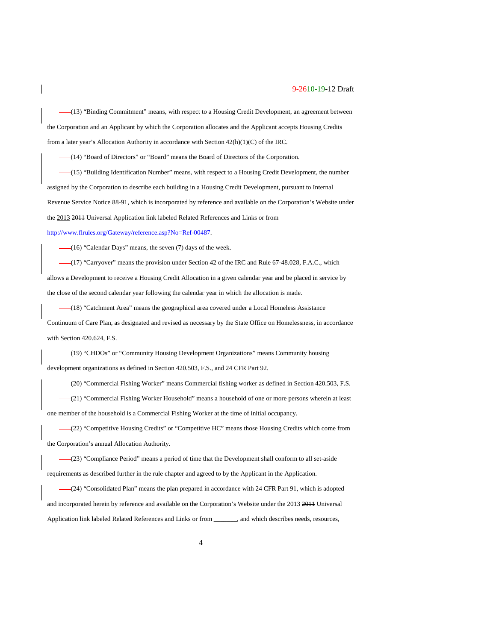(13) "Binding Commitment" means, with respect to a Housing Credit Development, an agreement between the Corporation and an Applicant by which the Corporation allocates and the Applicant accepts Housing Credits from a later year's Allocation Authority in accordance with Section 42(h)(1)(C) of the IRC.

(14) "Board of Directors" or "Board" means the Board of Directors of the Corporation.

(15) "Building Identification Number" means, with respect to a Housing Credit Development, the number assigned by the Corporation to describe each building in a Housing Credit Development, pursuant to Internal Revenue Service Notice 88-91, which is incorporated by reference and available on the Corporation's Website under the 2013 2011 Universal Application link labeled Related References and Links or from [http://www.flrules.org/Gateway/reference.asp?No=Ref-00487.](https://www.flrules.org/Gateway/reference.asp?No=Ref-00487)

(16) "Calendar Days" means, the seven (7) days of the week.

(17) "Carryover" means the provision under Section 42 of the IRC and Rule 67-48.028, F.A.C., which allows a Development to receive a Housing Credit Allocation in a given calendar year and be placed in service by the close of the second calendar year following the calendar year in which the allocation is made.

(18) "Catchment Area" means the geographical area covered under a Local Homeless Assistance

Continuum of Care Plan, as designated and revised as necessary by the State Office on Homelessness, in accordance with Section 420.624, F.S.

(19) "CHDOs" or "Community Housing Development Organizations" means Community housing development organizations as defined in Section 420.503, F.S., and 24 CFR Part 92.

(20) "Commercial Fishing Worker" means Commercial fishing worker as defined in Section 420.503, F.S.

(21) "Commercial Fishing Worker Household" means a household of one or more persons wherein at least one member of the household is a Commercial Fishing Worker at the time of initial occupancy.

(22) "Competitive Housing Credits" or "Competitive HC" means those Housing Credits which come from the Corporation's annual Allocation Authority.

(23) "Compliance Period" means a period of time that the Development shall conform to all set-aside requirements as described further in the rule chapter and agreed to by the Applicant in the Application.

(24) "Consolidated Plan" means the plan prepared in accordance with 24 CFR Part 91, which is adopted and incorporated herein by reference and available on the Corporation's Website under the 2013 2011 Universal Application link labeled Related References and Links or from \_\_\_\_\_\_\_, and which describes needs, resources,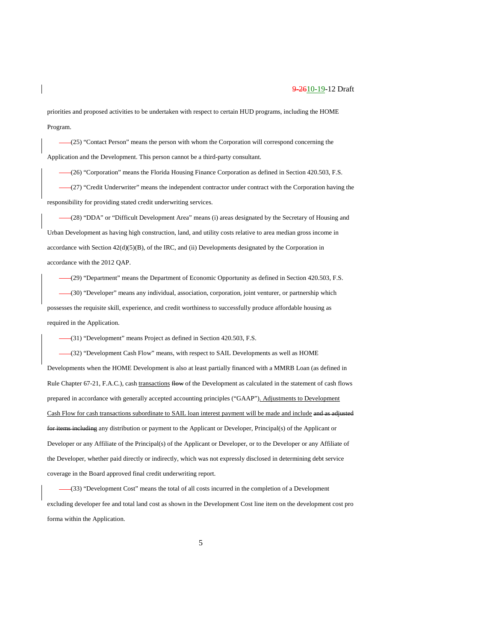priorities and proposed activities to be undertaken with respect to certain HUD programs, including the HOME Program.

(25) "Contact Person" means the person with whom the Corporation will correspond concerning the Application and the Development. This person cannot be a third-party consultant.

(26) "Corporation" means the Florida Housing Finance Corporation as defined in Section 420.503, F.S.

(27) "Credit Underwriter" means the independent contractor under contract with the Corporation having the responsibility for providing stated credit underwriting services.

(28) "DDA" or "Difficult Development Area" means (i) areas designated by the Secretary of Housing and Urban Development as having high construction, land, and utility costs relative to area median gross income in accordance with Section 42(d)(5)(B), of the IRC, and (ii) Developments designated by the Corporation in accordance with the 2012 QAP.

(29) "Department" means the Department of Economic Opportunity as defined in Section 420.503, F.S.

(30) "Developer" means any individual, association, corporation, joint venturer, or partnership which possesses the requisite skill, experience, and credit worthiness to successfully produce affordable housing as required in the Application.

(31) "Development" means Project as defined in Section 420.503, F.S.

(32) "Development Cash Flow" means, with respect to SAIL Developments as well as HOME Developments when the HOME Development is also at least partially financed with a MMRB Loan (as defined in Rule Chapter 67-21, F.A.C.), cash transactions flow of the Development as calculated in the statement of cash flows prepared in accordance with generally accepted accounting principles ("GAAP"). Adjustments to Development Cash Flow for cash transactions subordinate to SAIL loan interest payment will be made and include and as adjusted for items including any distribution or payment to the Applicant or Developer, Principal(s) of the Applicant or Developer or any Affiliate of the Principal(s) of the Applicant or Developer, or to the Developer or any Affiliate of the Developer, whether paid directly or indirectly, which was not expressly disclosed in determining debt service coverage in the Board approved final credit underwriting report.

(33) "Development Cost" means the total of all costs incurred in the completion of a Development excluding developer fee and total land cost as shown in the Development Cost line item on the development cost pro forma within the Application.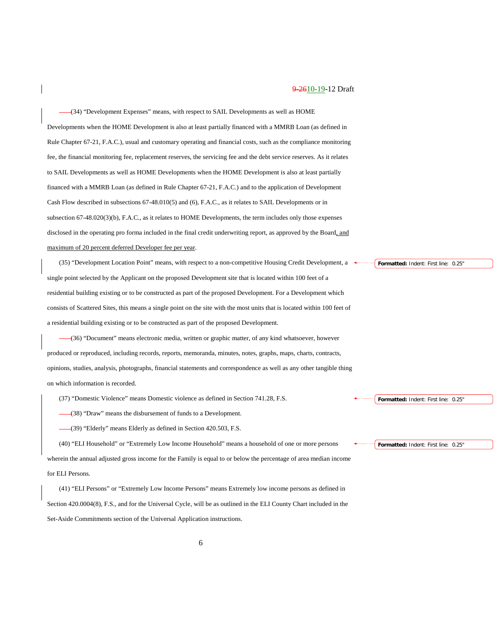(34) "Development Expenses" means, with respect to SAIL Developments as well as HOME Developments when the HOME Development is also at least partially financed with a MMRB Loan (as defined in Rule Chapter 67-21, F.A.C.), usual and customary operating and financial costs, such as the compliance monitoring fee, the financial monitoring fee, replacement reserves, the servicing fee and the debt service reserves. As it relates to SAIL Developments as well as HOME Developments when the HOME Development is also at least partially financed with a MMRB Loan (as defined in Rule Chapter 67-21, F.A.C.) and to the application of Development Cash Flow described in subsections 67-48.010(5) and (6), F.A.C., as it relates to SAIL Developments or in subsection 67-48.020(3)(b), F.A.C., as it relates to HOME Developments, the term includes only those expenses disclosed in the operating pro forma included in the final credit underwriting report, as approved by the Board, and maximum of 20 percent deferred Developer fee per year.

(35) "Development Location Point" means, with respect to a non-competitive Housing Credit Development, a single point selected by the Applicant on the proposed Development site that is located within 100 feet of a residential building existing or to be constructed as part of the proposed Development. For a Development which consists of Scattered Sites, this means a single point on the site with the most units that is located within 100 feet of a residential building existing or to be constructed as part of the proposed Development.

(36) "Document" means electronic media, written or graphic matter, of any kind whatsoever, however produced or reproduced, including records, reports, memoranda, minutes, notes, graphs, maps, charts, contracts, opinions, studies, analysis, photographs, financial statements and correspondence as well as any other tangible thing on which information is recorded.

(37) "Domestic Violence" means Domestic violence as defined in Section 741.28, F.S.

(38) "Draw" means the disbursement of funds to a Development.

(39) "Elderly" means Elderly as defined in Section 420.503, F.S.

(40) "ELI Household" or "Extremely Low Income Household" means a household of one or more persons wherein the annual adjusted gross income for the Family is equal to or below the percentage of area median income for ELI Persons.

(41) "ELI Persons" or "Extremely Low Income Persons" means Extremely low income persons as defined in Section 420.0004(8), F.S., and for the Universal Cycle, will be as outlined in the ELI County Chart included in the Set-Aside Commitments section of the Universal Application instructions.

**Formatted:** Indent: First line: 0.25"

**Formatted:** Indent: First line: 0.25"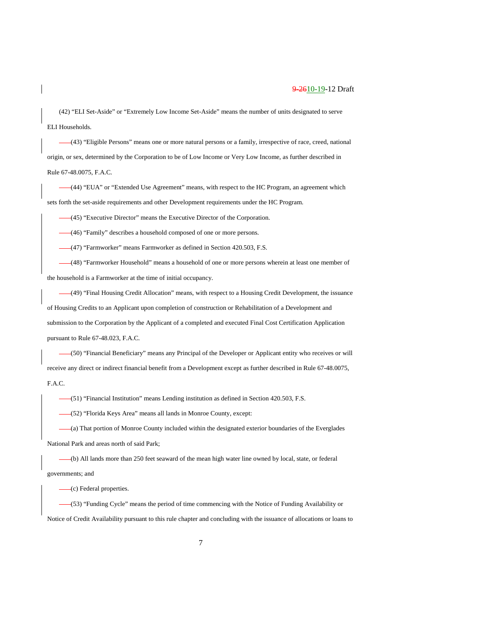(42) "ELI Set-Aside" or "Extremely Low Income Set-Aside" means the number of units designated to serve ELI Households.

(43) "Eligible Persons" means one or more natural persons or a family, irrespective of race, creed, national origin, or sex, determined by the Corporation to be of Low Income or Very Low Income, as further described in Rule 67-48.0075, F.A.C.

(44) "EUA" or "Extended Use Agreement" means, with respect to the HC Program, an agreement which sets forth the set-aside requirements and other Development requirements under the HC Program.

(45) "Executive Director" means the Executive Director of the Corporation.

(46) "Family" describes a household composed of one or more persons.

(47) "Farmworker" means Farmworker as defined in Section 420.503, F.S.

(48) "Farmworker Household" means a household of one or more persons wherein at least one member of the household is a Farmworker at the time of initial occupancy.

(49) "Final Housing Credit Allocation" means, with respect to a Housing Credit Development, the issuance of Housing Credits to an Applicant upon completion of construction or Rehabilitation of a Development and submission to the Corporation by the Applicant of a completed and executed Final Cost Certification Application pursuant to Rule 67-48.023, F.A.C.

(50) "Financial Beneficiary" means any Principal of the Developer or Applicant entity who receives or will receive any direct or indirect financial benefit from a Development except as further described in Rule 67-48.0075, F.A.C.

(51) "Financial Institution" means Lending institution as defined in Section 420.503, F.S.

(52) "Florida Keys Area" means all lands in Monroe County, except:

(a) That portion of Monroe County included within the designated exterior boundaries of the Everglades National Park and areas north of said Park;

(b) All lands more than 250 feet seaward of the mean high water line owned by local, state, or federal governments; and

(c) Federal properties.

(53) "Funding Cycle" means the period of time commencing with the Notice of Funding Availability or Notice of Credit Availability pursuant to this rule chapter and concluding with the issuance of allocations or loans to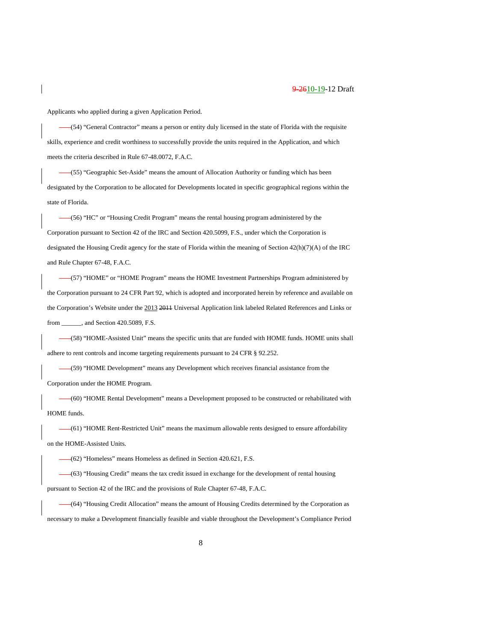Applicants who applied during a given Application Period.

(54) "General Contractor" means a person or entity duly licensed in the state of Florida with the requisite skills, experience and credit worthiness to successfully provide the units required in the Application, and which meets the criteria described in Rule 67-48.0072, F.A.C.

(55) "Geographic Set-Aside" means the amount of Allocation Authority or funding which has been designated by the Corporation to be allocated for Developments located in specific geographical regions within the state of Florida.

(56) "HC" or "Housing Credit Program" means the rental housing program administered by the Corporation pursuant to Section 42 of the IRC and Section 420.5099, F.S., under which the Corporation is designated the Housing Credit agency for the state of Florida within the meaning of Section 42(h)(7)(A) of the IRC and Rule Chapter 67-48, F.A.C.

(57) "HOME" or "HOME Program" means the HOME Investment Partnerships Program administered by the Corporation pursuant to 24 CFR Part 92, which is adopted and incorporated herein by reference and available on the Corporation's Website under the 2013 2011 Universal Application link labeled Related References and Links or from \_\_\_\_\_\_, and Section 420.5089, F.S.

(58) "HOME-Assisted Unit" means the specific units that are funded with HOME funds. HOME units shall adhere to rent controls and income targeting requirements pursuant to 24 CFR § 92.252.

(59) "HOME Development" means any Development which receives financial assistance from the Corporation under the HOME Program.

(60) "HOME Rental Development" means a Development proposed to be constructed or rehabilitated with HOME funds.

(61) "HOME Rent-Restricted Unit" means the maximum allowable rents designed to ensure affordability on the HOME-Assisted Units.

(62) "Homeless" means Homeless as defined in Section 420.621, F.S.

(63) "Housing Credit" means the tax credit issued in exchange for the development of rental housing pursuant to Section 42 of the IRC and the provisions of Rule Chapter 67-48, F.A.C.

(64) "Housing Credit Allocation" means the amount of Housing Credits determined by the Corporation as necessary to make a Development financially feasible and viable throughout the Development's Compliance Period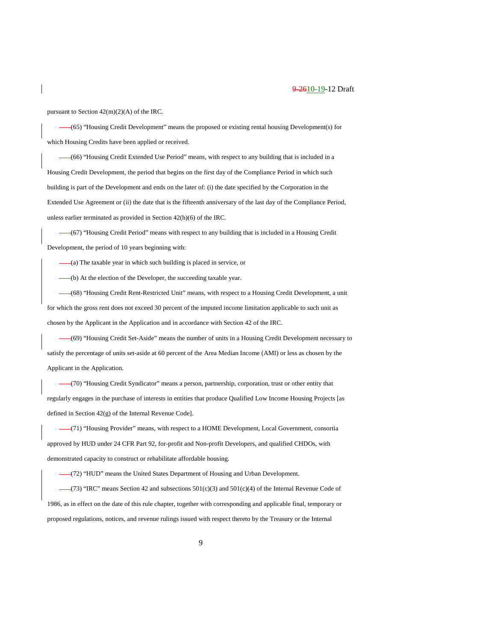pursuant to Section 42(m)(2)(A) of the IRC.

(65) "Housing Credit Development" means the proposed or existing rental housing Development(s) for which Housing Credits have been applied or received.

(66) "Housing Credit Extended Use Period" means, with respect to any building that is included in a Housing Credit Development, the period that begins on the first day of the Compliance Period in which such building is part of the Development and ends on the later of: (i) the date specified by the Corporation in the Extended Use Agreement or (ii) the date that is the fifteenth anniversary of the last day of the Compliance Period, unless earlier terminated as provided in Section 42(h)(6) of the IRC.

(67) "Housing Credit Period" means with respect to any building that is included in a Housing Credit Development, the period of 10 years beginning with:

 $-(a)$  The taxable year in which such building is placed in service, or

(b) At the election of the Developer, the succeeding taxable year.

(68) "Housing Credit Rent-Restricted Unit" means, with respect to a Housing Credit Development, a unit for which the gross rent does not exceed 30 percent of the imputed income limitation applicable to such unit as chosen by the Applicant in the Application and in accordance with Section 42 of the IRC.

(69) "Housing Credit Set-Aside" means the number of units in a Housing Credit Development necessary to satisfy the percentage of units set-aside at 60 percent of the Area Median Income (AMI) or less as chosen by the Applicant in the Application.

(70) "Housing Credit Syndicator" means a person, partnership, corporation, trust or other entity that regularly engages in the purchase of interests in entities that produce Qualified Low Income Housing Projects [as defined in Section 42(g) of the Internal Revenue Code].

(71) "Housing Provider" means, with respect to a HOME Development, Local Government, consortia approved by HUD under 24 CFR Part 92, for-profit and Non-profit Developers, and qualified CHDOs, with demonstrated capacity to construct or rehabilitate affordable housing.

(72) "HUD" means the United States Department of Housing and Urban Development.

 $-(73)$  "IRC" means Section 42 and subsections  $501(c)(3)$  and  $501(c)(4)$  of the Internal Revenue Code of 1986, as in effect on the date of this rule chapter, together with corresponding and applicable final, temporary or proposed regulations, notices, and revenue rulings issued with respect thereto by the Treasury or the Internal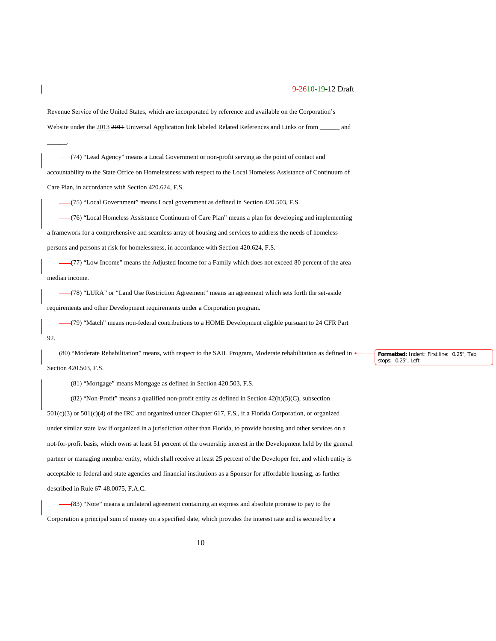Revenue Service of the United States, which are incorporated by reference and available on the Corporation's Website under the 2013 2011 Universal Application link labeled Related References and Links or from \_\_\_\_\_\_ and

(74) "Lead Agency" means a Local Government or non-profit serving as the point of contact and accountability to the State Office on Homelessness with respect to the Local Homeless Assistance of Continuum of Care Plan, in accordance with Section 420.624, F.S.

(75) "Local Government" means Local government as defined in Section 420.503, F.S.

\_\_\_\_\_\_.

(76) "Local Homeless Assistance Continuum of Care Plan" means a plan for developing and implementing a framework for a comprehensive and seamless array of housing and services to address the needs of homeless persons and persons at risk for homelessness, in accordance with Section 420.624, F.S.

(77) "Low Income" means the Adjusted Income for a Family which does not exceed 80 percent of the area median income.

(78) "LURA" or "Land Use Restriction Agreement" means an agreement which sets forth the set-aside requirements and other Development requirements under a Corporation program.

(79) "Match" means non-federal contributions to a HOME Development eligible pursuant to 24 CFR Part 92.

(80) "Moderate Rehabilitation" means, with respect to the SAIL Program, Moderate rehabilitation as defined in Section 420.503, F.S.

(81) "Mortgage" means Mortgage as defined in Section 420.503, F.S.

 $-(82)$  "Non-Profit" means a qualified non-profit entity as defined in Section  $42(h)(5)(C)$ , subsection 501(c)(3) or 501(c)(4) of the IRC and organized under Chapter 617, F.S., if a Florida Corporation, or organized under similar state law if organized in a jurisdiction other than Florida, to provide housing and other services on a not-for-profit basis, which owns at least 51 percent of the ownership interest in the Development held by the general partner or managing member entity, which shall receive at least 25 percent of the Developer fee, and which entity is acceptable to federal and state agencies and financial institutions as a Sponsor for affordable housing, as further described in Rule 67-48.0075, F.A.C.

(83) "Note" means a unilateral agreement containing an express and absolute promise to pay to the Corporation a principal sum of money on a specified date, which provides the interest rate and is secured by a **Formatted:** Indent: First line: 0.25", Tab stops: 0.25", Left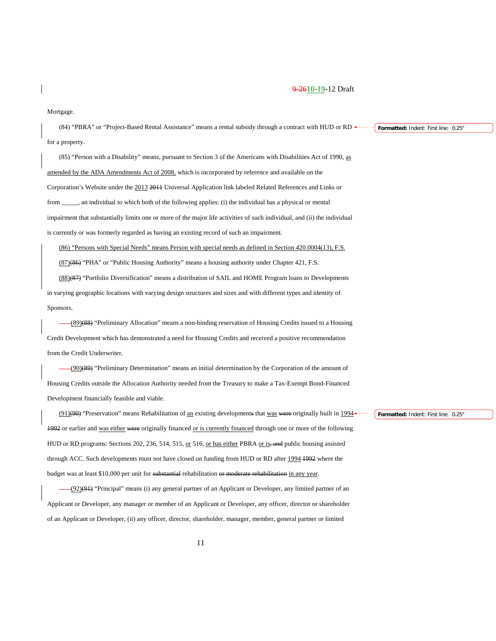#### Mortgage.

(84) "PBRA" or "Project-Based Rental Assistance" means a rental subsidy through a contract with HUD or RD for a property. **Formatted:** Indent: First line: 0.25"

(85) "Person with a Disability" means, pursuant to Section 3 of the Americans with Disabilities Act of 1990, as amended by the ADA Amendments Act of 2008, which is incorporated by reference and available on the Corporation's Website under the 2013 2011 Universal Application link labeled Related References and Links or from \_\_\_\_\_, an individual to which both of the following applies: (i) the individual has a physical or mental impairment that substantially limits one or more of the major life activities of such individual, and (ii) the individual is currently or was formerly regarded as having an existing record of such an impairment.

(86) "Persons with Special Needs" means Person with special needs as defined in Section 420.0004(13), F.S.

(87)(86) "PHA" or "Public Housing Authority" means a housing authority under Chapter 421, F.S.

(88)(87) "Portfolio Diversification" means a distribution of SAIL and HOME Program loans to Developments in varying geographic locations with varying design structures and sizes and with different types and identity of

Sponsors.

(89)(88) "Preliminary Allocation" means a non-binding reservation of Housing Credits issued to a Housing Credit Development which has demonstrated a need for Housing Credits and received a positive recommendation from the Credit Underwriter.

(90)(89) "Preliminary Determination" means an initial determination by the Corporation of the amount of Housing Credits outside the Allocation Authority needed from the Treasury to make a Tax-Exempt Bond-Financed Development financially feasible and viable.

(91)(90) "Preservation" means Rehabilitation of an existing developments that was were originally built in 1994 1992 or earlier and was either were originally financed or is currently financed through one or more of the following HUD or RD programs: Sections 202, 236, 514, 515, or 516, or has either PBRA or is, and public housing assisted through ACC. Such developments must not have closed on funding from HUD or RD after 1994 1992 where the budget was at least \$10,000 per unit for substantial rehabilitation or moderate rehabilitation in any year.

(92)(91) "Principal" means (i) any general partner of an Applicant or Developer, any limited partner of an Applicant or Developer, any manager or member of an Applicant or Developer, any officer, director or shareholder of an Applicant or Developer, (ii) any officer, director, shareholder, manager, member, general partner or limited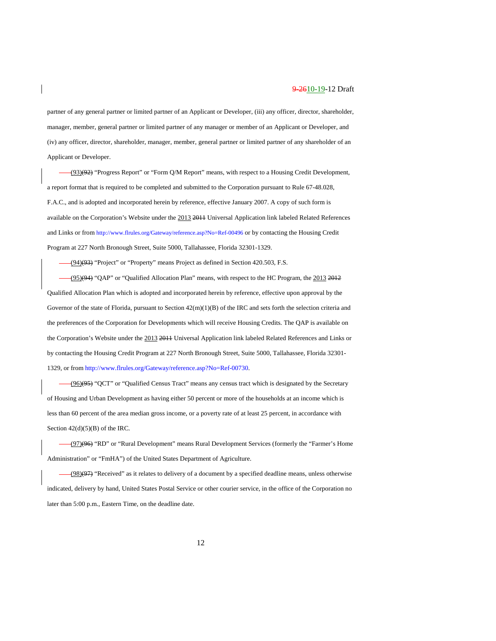partner of any general partner or limited partner of an Applicant or Developer, (iii) any officer, director, shareholder, manager, member, general partner or limited partner of any manager or member of an Applicant or Developer, and (iv) any officer, director, shareholder, manager, member, general partner or limited partner of any shareholder of an Applicant or Developer.

(93)(92) "Progress Report" or "Form Q/M Report" means, with respect to a Housing Credit Development, a report format that is required to be completed and submitted to the Corporation pursuant to Rule 67-48.028, F.A.C., and is adopted and incorporated herein by reference, effective January 2007. A copy of such form is available on the Corporation's Website under the 2013 2014 Universal Application link labeled Related References and Links or fro[m http://www.flrules.org/Gateway/reference.asp?No=Ref-00496](https://www.flrules.org/Gateway/reference.asp?No=Ref-00496) or by contacting the Housing Credit Program at 227 North Bronough Street, Suite 5000, Tallahassee, Florida 32301-1329.

 $-(94)(93)$  "Project" or "Property" means Project as defined in Section 420.503, F.S.

 $(95)(94)$  "QAP" or "Qualified Allocation Plan" means, with respect to the HC Program, the 2013  $\frac{2012}{201}$ Qualified Allocation Plan which is adopted and incorporated herein by reference, effective upon approval by the Governor of the state of Florida, pursuant to Section  $42(m)(1)(B)$  of the IRC and sets forth the selection criteria and the preferences of the Corporation for Developments which will receive Housing Credits. The QAP is available on the Corporation's Website under the 2013 2011 Universal Application link labeled Related References and Links or by contacting the Housing Credit Program at 227 North Bronough Street, Suite 5000, Tallahassee, Florida 32301- 1329, or fro[m http://www.flrules.org/Gateway/reference.asp?No=Ref-00730.](http://www.flrules.org/Gateway/reference.asp?No=Ref-00730)

(96)(95) "QCT" or "Qualified Census Tract" means any census tract which is designated by the Secretary of Housing and Urban Development as having either 50 percent or more of the households at an income which is less than 60 percent of the area median gross income, or a poverty rate of at least 25 percent, in accordance with Section  $42(d)(5)(B)$  of the IRC.

(97)(96) "RD" or "Rural Development" means Rural Development Services (formerly the "Farmer's Home Administration" or "FmHA") of the United States Department of Agriculture.

(98)<sup>(97)</sup> "Received" as it relates to delivery of a document by a specified deadline means, unless otherwise indicated, delivery by hand, United States Postal Service or other courier service, in the office of the Corporation no later than 5:00 p.m., Eastern Time, on the deadline date.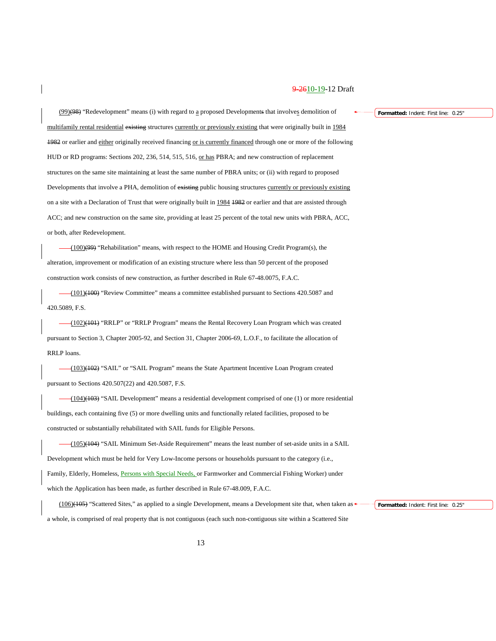(99)(98) "Redevelopment" means (i) with regard to a proposed Developments that involves demolition of multifamily rental residential existing structures currently or previously existing that were originally built in 1984 1982 or earlier and either originally received financing or is currently financed through one or more of the following HUD or RD programs: Sections 202, 236, 514, 515, 516, or has PBRA; and new construction of replacement structures on the same site maintaining at least the same number of PBRA units; or (ii) with regard to proposed Developments that involve a PHA, demolition of existing public housing structures currently or previously existing on a site with a Declaration of Trust that were originally built in 1984 1982 or earlier and that are assisted through ACC; and new construction on the same site, providing at least 25 percent of the total new units with PBRA, ACC, or both, after Redevelopment.

(100)(99) "Rehabilitation" means, with respect to the HOME and Housing Credit Program(s), the alteration, improvement or modification of an existing structure where less than 50 percent of the proposed construction work consists of new construction, as further described in Rule 67-48.0075, F.A.C.

(101)(100) "Review Committee" means a committee established pursuant to Sections 420.5087 and 420.5089, F.S.

(102)(101) "RRLP" or "RRLP Program" means the Rental Recovery Loan Program which was created pursuant to Section 3, Chapter 2005-92, and Section 31, Chapter 2006-69, L.O.F., to facilitate the allocation of RRLP loans.

(103)(102) "SAIL" or "SAIL Program" means the State Apartment Incentive Loan Program created pursuant to Sections 420.507(22) and 420.5087, F.S.

(104)(103) "SAIL Development" means a residential development comprised of one (1) or more residential buildings, each containing five (5) or more dwelling units and functionally related facilities, proposed to be constructed or substantially rehabilitated with SAIL funds for Eligible Persons.

(105)(104) "SAIL Minimum Set-Aside Requirement" means the least number of set-aside units in a SAIL Development which must be held for Very Low-Income persons or households pursuant to the category (i.e., Family, Elderly, Homeless, Persons with Special Needs, or Farmworker and Commercial Fishing Worker) under which the Application has been made, as further described in Rule 67-48.009, F.A.C.

(106)(105) "Scattered Sites," as applied to a single Development, means a Development site that, when taken as a whole, is comprised of real property that is not contiguous (each such non-contiguous site within a Scattered Site

**Formatted:** Indent: First line: 0.25"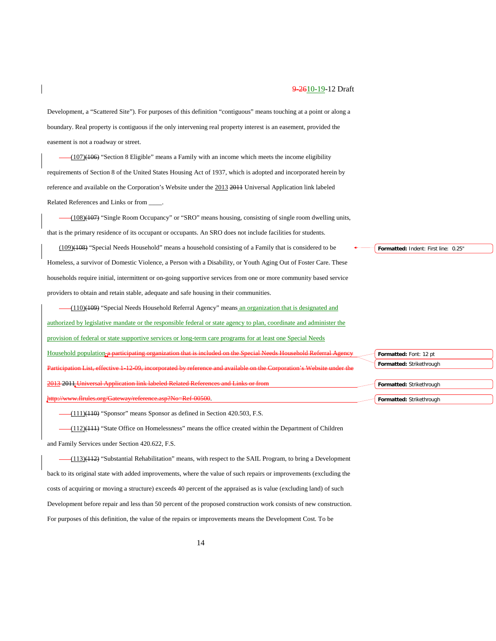Development, a "Scattered Site"). For purposes of this definition "contiguous" means touching at a point or along a boundary. Real property is contiguous if the only intervening real property interest is an easement, provided the easement is not a roadway or street.

(107)(106) "Section 8 Eligible" means a Family with an income which meets the income eligibility requirements of Section 8 of the United States Housing Act of 1937, which is adopted and incorporated herein by reference and available on the Corporation's Website under the 2013 2011 Universal Application link labeled Related References and Links or from \_\_\_\_.

(108)(107) "Single Room Occupancy" or "SRO" means housing, consisting of single room dwelling units, that is the primary residence of its occupant or occupants. An SRO does not include facilities for students.

(109)(108) "Special Needs Household" means a household consisting of a Family that is considered to be Homeless, a survivor of Domestic Violence, a Person with a Disability, or Youth Aging Out of Foster Care. These households require initial, intermittent or on-going supportive services from one or more community based service providers to obtain and retain stable, adequate and safe housing in their communities.

(110)(109) "Special Needs Household Referral Agency" means an organization that is designated and authorized by legislative mandate or the responsible federal or state agency to plan, coordinate and administer the provision of federal or state supportive services or long-term care programs for at least one Special Needs Household population a participating organization that is included on the Special Network Participation List, effective 1-12-09, incorporated by reference and available on the Corporation's Website under the 2013 2011 Universal Application link labeled Related References and Links or from [http://www.flrules.org/Gateway/reference.asp?No=Ref-00500.](https://www.flrules.org/Gateway/reference.asp?No=Ref-00500)

 $-(111)(110)$  "Sponsor" means Sponsor as defined in Section 420.503, F.S.

(112)(111) "State Office on Homelessness" means the office created within the Department of Children and Family Services under Section 420.622, F.S.

(113)(112) "Substantial Rehabilitation" means, with respect to the SAIL Program, to bring a Development back to its original state with added improvements, where the value of such repairs or improvements (excluding the costs of acquiring or moving a structure) exceeds 40 percent of the appraised as is value (excluding land) of such Development before repair and less than 50 percent of the proposed construction work consists of new construction. For purposes of this definition, the value of the repairs or improvements means the Development Cost. To be

**Formatted:** Indent: First line: 0.25"

**Formatted:** Font: 12 pt **Formatted:** Strikethrough

**Formatted:** Strikethrough **Formatted:** Strikethrough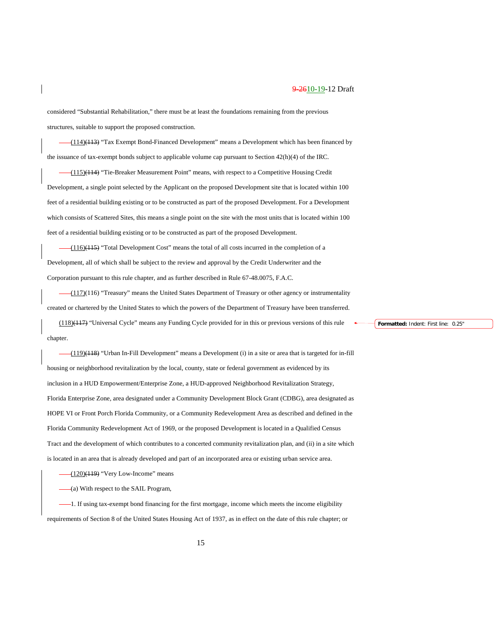considered "Substantial Rehabilitation," there must be at least the foundations remaining from the previous structures, suitable to support the proposed construction.

(114)(113) "Tax Exempt Bond-Financed Development" means a Development which has been financed by the issuance of tax-exempt bonds subject to applicable volume cap pursuant to Section 42(h)(4) of the IRC.

(115)(114) "Tie-Breaker Measurement Point" means, with respect to a Competitive Housing Credit Development, a single point selected by the Applicant on the proposed Development site that is located within 100 feet of a residential building existing or to be constructed as part of the proposed Development. For a Development which consists of Scattered Sites, this means a single point on the site with the most units that is located within 100 feet of a residential building existing or to be constructed as part of the proposed Development.

(116)(115) "Total Development Cost" means the total of all costs incurred in the completion of a Development, all of which shall be subject to the review and approval by the Credit Underwriter and the Corporation pursuant to this rule chapter, and as further described in Rule 67-48.0075, F.A.C.

(117)(116) "Treasury" means the United States Department of Treasury or other agency or instrumentality created or chartered by the United States to which the powers of the Department of Treasury have been transferred.

(118)(117) "Universal Cycle" means any Funding Cycle provided for in this or previous versions of this rule chapter.

(119)(118) "Urban In-Fill Development" means a Development (i) in a site or area that is targeted for in-fill housing or neighborhood revitalization by the local, county, state or federal government as evidenced by its inclusion in a HUD Empowerment/Enterprise Zone, a HUD-approved Neighborhood Revitalization Strategy, Florida Enterprise Zone, area designated under a Community Development Block Grant (CDBG), area designated as HOPE VI or Front Porch Florida Community, or a Community Redevelopment Area as described and defined in the Florida Community Redevelopment Act of 1969, or the proposed Development is located in a Qualified Census Tract and the development of which contributes to a concerted community revitalization plan, and (ii) in a site which is located in an area that is already developed and part of an incorporated area or existing urban service area.

 $-$ (120)(119) "Very Low-Income" means

(a) With respect to the SAIL Program,

1. If using tax-exempt bond financing for the first mortgage, income which meets the income eligibility requirements of Section 8 of the United States Housing Act of 1937, as in effect on the date of this rule chapter; or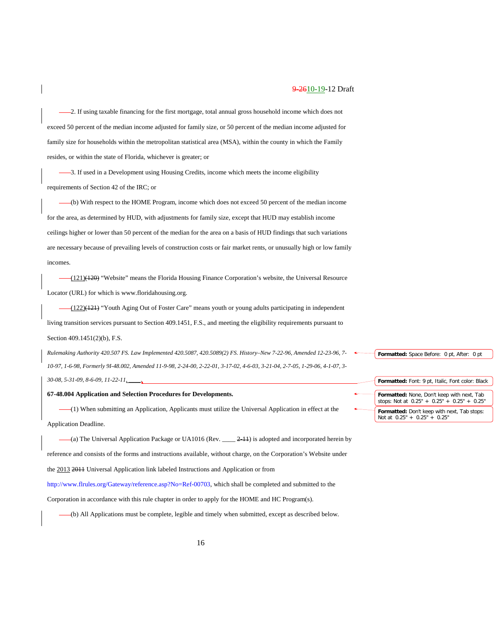2. If using taxable financing for the first mortgage, total annual gross household income which does not exceed 50 percent of the median income adjusted for family size, or 50 percent of the median income adjusted for family size for households within the metropolitan statistical area (MSA), within the county in which the Family resides, or within the state of Florida, whichever is greater; or

3. If used in a Development using Housing Credits, income which meets the income eligibility requirements of Section 42 of the IRC; or

(b) With respect to the HOME Program, income which does not exceed 50 percent of the median income for the area, as determined by HUD, with adjustments for family size, except that HUD may establish income ceilings higher or lower than 50 percent of the median for the area on a basis of HUD findings that such variations are necessary because of prevailing levels of construction costs or fair market rents, or unusually high or low family incomes.

(121)(120) "Website" means the Florida Housing Finance Corporation's website, the Universal Resource Locator (URL) for which is [www.floridahousing.org.](http://www.floridahousing.org/)

(122)(121) "Youth Aging Out of Foster Care" means youth or young adults participating in independent living transition services pursuant to Section 409.1451, F.S., and meeting the eligibility requirements pursuant to Section 409.1451(2)(b), F.S.

*Rulemaking Authority 420.507 FS. Law Implemented 420.5087, 420.5089(2) FS. History–New 7-22-96, Amended 12-23-96, 7- 10-97, 1-6-98, Formerly 9I-48.002, Amended 11-9-98, 2-24-00, 2-22-01, 3-17-02, 4-6-03, 3-21-04, 2-7-05, 1-29-06, 4-1-07, 3- 30-08, 5-31-09, 8-6-09, 11-22-11, \_\_\_\_.*

## **67-48.004 Application and Selection Procedures for Developments.**

(1) When submitting an Application, Applicants must utilize the Universal Application in effect at the Application Deadline.

(a) The Universal Application Package or UA1016 (Rev.  $\frac{2+1}{1}$ ) is adopted and incorporated herein by reference and consists of the forms and instructions available, without charge, on the Corporation's Website under the 2013 2011 Universal Application link labeled Instructions and Application or from

[http://www.flrules.org/Gateway/reference.asp?No=Ref-00703,](http://www.flrules.org/Gateway/reference.asp?No=Ref-00703) which shall be completed and submitted to the

Corporation in accordance with this rule chapter in order to apply for the HOME and HC Program(s).

(b) All Applications must be complete, legible and timely when submitted, except as described below.

**Formatted:** Space Before: 0 pt, After: 0 pt

**Formatted:** Font: 9 pt, Italic, Font color: Black **Formatted:** None, Don't keep with next, Tab stops: Not at 0.25" + 0.25" + 0.25" + 0.25" **Formatted:** Don't keep with next, Tab stops: Not at 0.25" + 0.25" + 0.25"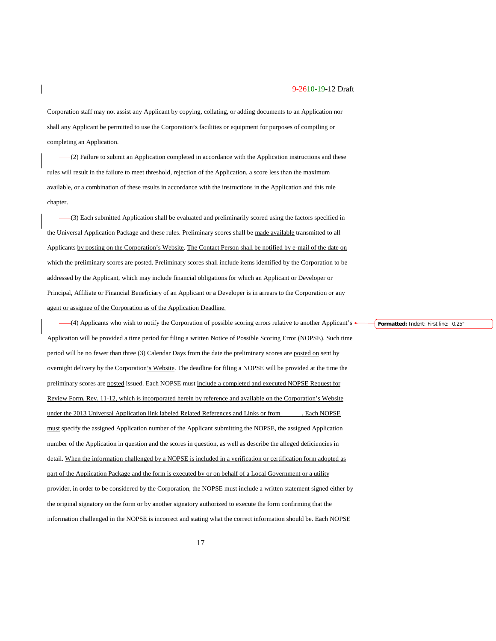Corporation staff may not assist any Applicant by copying, collating, or adding documents to an Application nor shall any Applicant be permitted to use the Corporation's facilities or equipment for purposes of compiling or completing an Application.

 $-(2)$  Failure to submit an Application completed in accordance with the Application instructions and these rules will result in the failure to meet threshold, rejection of the Application, a score less than the maximum available, or a combination of these results in accordance with the instructions in the Application and this rule chapter.

(3) Each submitted Application shall be evaluated and preliminarily scored using the factors specified in the Universal Application Package and these rules. Preliminary scores shall be made available transmitted to all Applicants by posting on the Corporation's Website. The Contact Person shall be notified by e-mail of the date on which the preliminary scores are posted. Preliminary scores shall include items identified by the Corporation to be addressed by the Applicant, which may include financial obligations for which an Applicant or Developer or Principal, Affiliate or Financial Beneficiary of an Applicant or a Developer is in arrears to the Corporation or any agent or assignee of the Corporation as of the Application Deadline.

(4) Applicants who wish to notify the Corporation of possible scoring errors relative to another Applicant's Application will be provided a time period for filing a written Notice of Possible Scoring Error (NOPSE). Such time period will be no fewer than three (3) Calendar Days from the date the preliminary scores are posted on sent by overnight delivery by the Corporation's Website. The deadline for filing a NOPSE will be provided at the time the preliminary scores are posted issued. Each NOPSE must include a completed and executed NOPSE Request for Review Form, Rev. 11-12, which is incorporated herein by reference and available on the Corporation's Website under the 2013 Universal Application link labeled Related References and Links or from \_\_\_\_\_\_\_. Each NOPSE must specify the assigned Application number of the Applicant submitting the NOPSE, the assigned Application number of the Application in question and the scores in question, as well as describe the alleged deficiencies in detail. When the information challenged by a NOPSE is included in a verification or certification form adopted as part of the Application Package and the form is executed by or on behalf of a Local Government or a utility provider, in order to be considered by the Corporation, the NOPSE must include a written statement signed either by the original signatory on the form or by another signatory authorized to execute the form confirming that the information challenged in the NOPSE is incorrect and stating what the correct information should be. Each NOPSE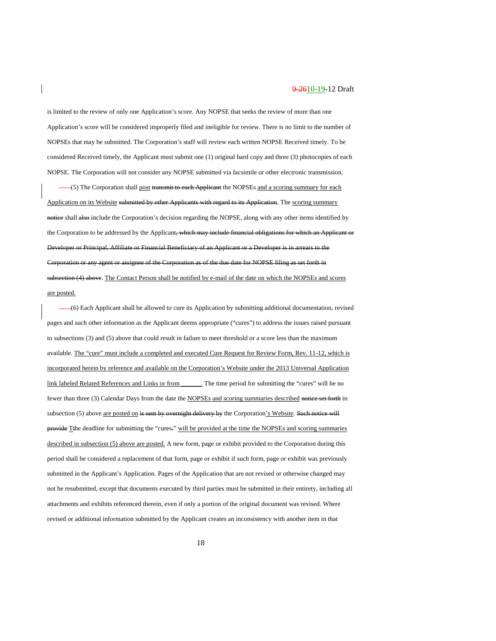is limited to the review of only one Application's score. Any NOPSE that seeks the review of more than one Application's score will be considered improperly filed and ineligible for review. There is no limit to the number of NOPSEs that may be submitted. The Corporation's staff will review each written NOPSE Received timely. To be considered Received timely, the Applicant must submit one (1) original hard copy and three (3) photocopies of each NOPSE. The Corporation will not consider any NOPSE submitted via facsimile or other electronic transmission.

(5) The Corporation shall post transmit to each Applicant the NOPSEs and a scoring summary for each Application on its Website submitted by other Applicants with regard to its Application. The scoring summary notice shall also include the Corporation's decision regarding the NOPSE, along with any other items identified by the Corporation to be addressed by the Applicant, which may include financial obligations for which an Applicant or Developer or Principal, Affiliate or Financial Beneficiary of an Applicant or a Developer is in arrears to the Corporation or any agent or assignee of the Corporation as of the due date for NOPSE filing as set forth in subsection (4) above. The Contact Person shall be notified by e-mail of the date on which the NOPSEs and scores are posted.

(6) Each Applicant shall be allowed to cure its Application by submitting additional documentation, revised pages and such other information as the Applicant deems appropriate ("cures") to address the issues raised pursuant to subsections (3) and (5) above that could result in failure to meet threshold or a score less than the maximum available. The "cure" must include a completed and executed Cure Request for Review Form, Rev. 11-12, which is incorporated herein by reference and available on the Corporation's Website under the 2013 Universal Application link labeled Related References and Links or from \_\_\_\_\_\_. The time period for submitting the "cures" will be no fewer than three (3) Calendar Days from the date the NOPSEs and scoring summaries described notice set forth in subsection (5) above are posted on is sent by overnight delivery by the Corporation's Website. Such notice will provide Tthe deadline for submitting the "cures-" will be provided at the time the NOPSEs and scoring summaries described in subsection (5) above are posted. A new form, page or exhibit provided to the Corporation during this period shall be considered a replacement of that form, page or exhibit if such form, page or exhibit was previously submitted in the Applicant's Application. Pages of the Application that are not revised or otherwise changed may not be resubmitted, except that documents executed by third parties must be submitted in their entirety, including all attachments and exhibits referenced therein, even if only a portion of the original document was revised. Where revised or additional information submitted by the Applicant creates an inconsistency with another item in that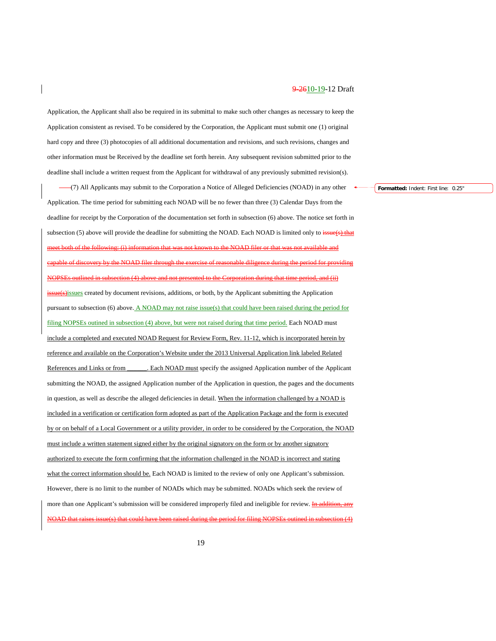Application, the Applicant shall also be required in its submittal to make such other changes as necessary to keep the Application consistent as revised. To be considered by the Corporation, the Applicant must submit one (1) original hard copy and three (3) photocopies of all additional documentation and revisions, and such revisions, changes and other information must be Received by the deadline set forth herein. Any subsequent revision submitted prior to the deadline shall include a written request from the Applicant for withdrawal of any previously submitted revision(s).

(7) All Applicants may submit to the Corporation a Notice of Alleged Deficiencies (NOAD) in any other Application. The time period for submitting each NOAD will be no fewer than three (3) Calendar Days from the deadline for receipt by the Corporation of the documentation set forth in subsection (6) above. The notice set forth in subsection (5) above will provide the deadline for submitting the NOAD. Each NOAD is limited only to issue(s) that meet both of the following: (i) information that was not known to the NOAD filer or that was not available and of discovery by the NOAD filer through the exercise of reasonable diligence during the period for providing utlined in subsection (4) above and not presented to the Corporation during that time period, and (ii) issue(s)issues created by document revisions, additions, or both, by the Applicant submitting the Application pursuant to subsection (6) above. A NOAD may not raise issue(s) that could have been raised during the period for filing NOPSEs outined in subsection (4) above, but were not raised during that time period. Each NOAD must include a completed and executed NOAD Request for Review Form, Rev. 11-12, which is incorporated herein by reference and available on the Corporation's Website under the 2013 Universal Application link labeled Related References and Links or from \_\_\_\_\_\_\_. Each NOAD must specify the assigned Application number of the Applicant submitting the NOAD, the assigned Application number of the Application in question, the pages and the documents in question, as well as describe the alleged deficiencies in detail. When the information challenged by a NOAD is included in a verification or certification form adopted as part of the Application Package and the form is executed by or on behalf of a Local Government or a utility provider, in order to be considered by the Corporation, the NOAD must include a written statement signed either by the original signatory on the form or by another signatory authorized to execute the form confirming that the information challenged in the NOAD is incorrect and stating what the correct information should be. Each NOAD is limited to the review of only one Applicant's submission. However, there is no limit to the number of NOADs which may be submitted. NOADs which seek the review of more than one Applicant's submission will be considered improperly filed and ineligible for review. In addition, een raised during the period for filing NOPSEs outined in subsection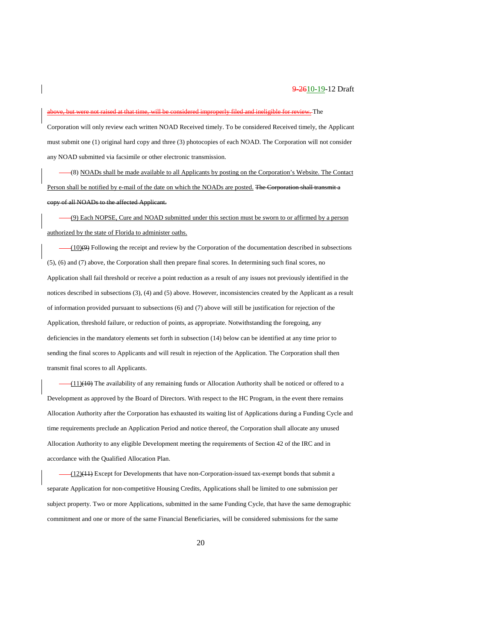### nd ineligible for review. The

Corporation will only review each written NOAD Received timely. To be considered Received timely, the Applicant must submit one (1) original hard copy and three (3) photocopies of each NOAD. The Corporation will not consider any NOAD submitted via facsimile or other electronic transmission.

(8) NOADs shall be made available to all Applicants by posting on the Corporation's Website. The Contact Person shall be notified by e-mail of the date on which the NOADs are posted. The Corp all NOADs to the affected Applicant.

(9) Each NOPSE, Cure and NOAD submitted under this section must be sworn to or affirmed by a person authorized by the state of Florida to administer oaths.

 $-(10)(9)$  Following the receipt and review by the Corporation of the documentation described in subsections (5), (6) and (7) above, the Corporation shall then prepare final scores. In determining such final scores, no Application shall fail threshold or receive a point reduction as a result of any issues not previously identified in the notices described in subsections (3), (4) and (5) above. However, inconsistencies created by the Applicant as a result of information provided pursuant to subsections (6) and (7) above will still be justification for rejection of the Application, threshold failure, or reduction of points, as appropriate. Notwithstanding the foregoing, any deficiencies in the mandatory elements set forth in subsection (14) below can be identified at any time prior to sending the final scores to Applicants and will result in rejection of the Application. The Corporation shall then transmit final scores to all Applicants.

(11)(10) The availability of any remaining funds or Allocation Authority shall be noticed or offered to a Development as approved by the Board of Directors. With respect to the HC Program, in the event there remains Allocation Authority after the Corporation has exhausted its waiting list of Applications during a Funding Cycle and time requirements preclude an Application Period and notice thereof, the Corporation shall allocate any unused Allocation Authority to any eligible Development meeting the requirements of Section 42 of the IRC and in accordance with the Qualified Allocation Plan.

 $-(12)(11)$  Except for Developments that have non-Corporation-issued tax-exempt bonds that submit a separate Application for non-competitive Housing Credits, Applications shall be limited to one submission per subject property. Two or more Applications, submitted in the same Funding Cycle, that have the same demographic commitment and one or more of the same Financial Beneficiaries, will be considered submissions for the same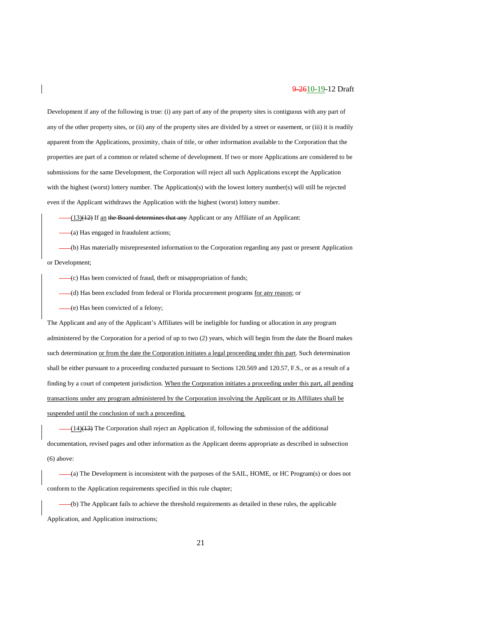Development if any of the following is true: (i) any part of any of the property sites is contiguous with any part of any of the other property sites, or (ii) any of the property sites are divided by a street or easement, or (iii) it is readily apparent from the Applications, proximity, chain of title, or other information available to the Corporation that the properties are part of a common or related scheme of development. If two or more Applications are considered to be submissions for the same Development, the Corporation will reject all such Applications except the Application with the highest (worst) lottery number. The Application(s) with the lowest lottery number(s) will still be rejected even if the Applicant withdraws the Application with the highest (worst) lottery number.

-(13)(12) If an the Board determines that any Applicant or any Affiliate of an Applicant:

(a) Has engaged in fraudulent actions;

(b) Has materially misrepresented information to the Corporation regarding any past or present Application or Development;

- (c) Has been convicted of fraud, theft or misappropriation of funds;
- (d) Has been excluded from federal or Florida procurement programs for any reason; or
- (e) Has been convicted of a felony;

The Applicant and any of the Applicant's Affiliates will be ineligible for funding or allocation in any program administered by the Corporation for a period of up to two (2) years, which will begin from the date the Board makes such determination or from the date the Corporation initiates a legal proceeding under this part. Such determination shall be either pursuant to a proceeding conducted pursuant to Sections 120.569 and 120.57, F.S., or as a result of a finding by a court of competent jurisdiction. When the Corporation initiates a proceeding under this part, all pending transactions under any program administered by the Corporation involving the Applicant or its Affiliates shall be suspended until the conclusion of such a proceeding.

(14)(13) The Corporation shall reject an Application if, following the submission of the additional documentation, revised pages and other information as the Applicant deems appropriate as described in subsection (6) above:

(a) The Development is inconsistent with the purposes of the SAIL, HOME, or HC Program(s) or does not conform to the Application requirements specified in this rule chapter;

(b) The Applicant fails to achieve the threshold requirements as detailed in these rules, the applicable Application, and Application instructions;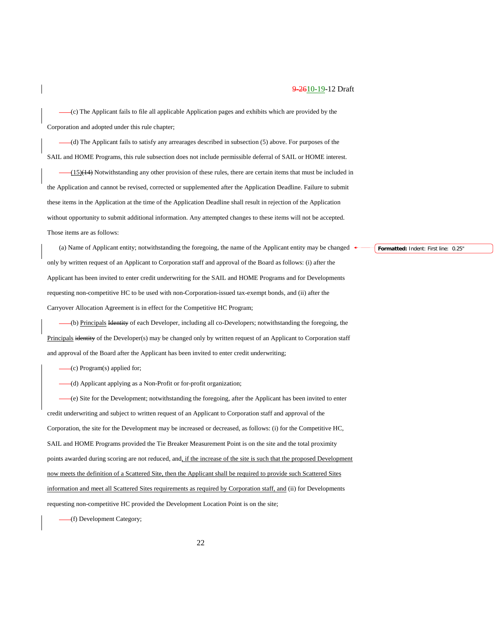(c) The Applicant fails to file all applicable Application pages and exhibits which are provided by the Corporation and adopted under this rule chapter;

(d) The Applicant fails to satisfy any arrearages described in subsection (5) above. For purposes of the SAIL and HOME Programs, this rule subsection does not include permissible deferral of SAIL or HOME interest.

 $(15)(14)$  Notwithstanding any other provision of these rules, there are certain items that must be included in the Application and cannot be revised, corrected or supplemented after the Application Deadline. Failure to submit these items in the Application at the time of the Application Deadline shall result in rejection of the Application without opportunity to submit additional information. Any attempted changes to these items will not be accepted. Those items are as follows:

(a) Name of Applicant entity; notwithstanding the foregoing, the name of the Applicant entity may be changed only by written request of an Applicant to Corporation staff and approval of the Board as follows: (i) after the Applicant has been invited to enter credit underwriting for the SAIL and HOME Programs and for Developments requesting non-competitive HC to be used with non-Corporation-issued tax-exempt bonds, and (ii) after the Carryover Allocation Agreement is in effect for the Competitive HC Program;

(b) Principals Identity of each Developer, including all co-Developers; notwithstanding the foregoing, the Principals identity of the Developer(s) may be changed only by written request of an Applicant to Corporation staff and approval of the Board after the Applicant has been invited to enter credit underwriting;

(c) Program(s) applied for;

(d) Applicant applying as a Non-Profit or for-profit organization;

(e) Site for the Development; notwithstanding the foregoing, after the Applicant has been invited to enter credit underwriting and subject to written request of an Applicant to Corporation staff and approval of the Corporation, the site for the Development may be increased or decreased, as follows: (i) for the Competitive HC, SAIL and HOME Programs provided the Tie Breaker Measurement Point is on the site and the total proximity points awarded during scoring are not reduced, and, if the increase of the site is such that the proposed Development now meets the definition of a Scattered Site, then the Applicant shall be required to provide such Scattered Sites information and meet all Scattered Sites requirements as required by Corporation staff, and (ii) for Developments requesting non-competitive HC provided the Development Location Point is on the site;

(f) Development Category;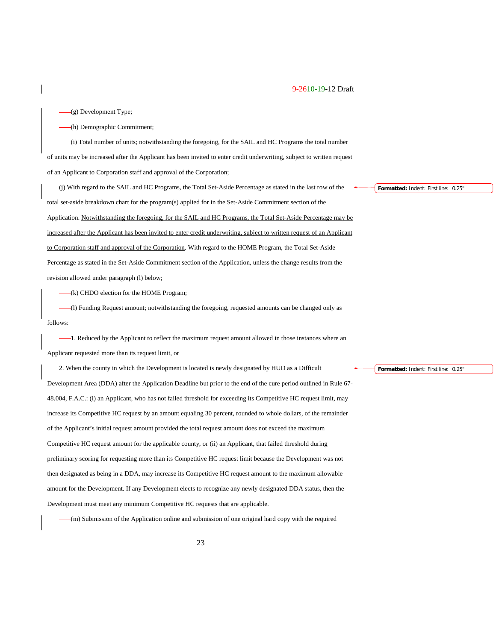(g) Development Type;

(h) Demographic Commitment;

(i) Total number of units; notwithstanding the foregoing, for the SAIL and HC Programs the total number of units may be increased after the Applicant has been invited to enter credit underwriting, subject to written request of an Applicant to Corporation staff and approval of the Corporation;

(j) With regard to the SAIL and HC Programs, the Total Set-Aside Percentage as stated in the last row of the total set-aside breakdown chart for the program(s) applied for in the Set-Aside Commitment section of the Application. Notwithstanding the foregoing, for the SAIL and HC Programs, the Total Set-Aside Percentage may be increased after the Applicant has been invited to enter credit underwriting, subject to written request of an Applicant to Corporation staff and approval of the Corporation. With regard to the HOME Program, the Total Set-Aside Percentage as stated in the Set-Aside Commitment section of the Application, unless the change results from the revision allowed under paragraph (l) below;

(k) CHDO election for the HOME Program;

(l) Funding Request amount; notwithstanding the foregoing, requested amounts can be changed only as follows:

1. Reduced by the Applicant to reflect the maximum request amount allowed in those instances where an Applicant requested more than its request limit, or

2. When the county in which the Development is located is newly designated by HUD as a Difficult Development Area (DDA) after the Application Deadline but prior to the end of the cure period outlined in Rule 67- 48.004, F.A.C.: (i) an Applicant, who has not failed threshold for exceeding its Competitive HC request limit, may increase its Competitive HC request by an amount equaling 30 percent, rounded to whole dollars, of the remainder of the Applicant's initial request amount provided the total request amount does not exceed the maximum Competitive HC request amount for the applicable county, or (ii) an Applicant, that failed threshold during preliminary scoring for requesting more than its Competitive HC request limit because the Development was not then designated as being in a DDA, may increase its Competitive HC request amount to the maximum allowable amount for the Development. If any Development elects to recognize any newly designated DDA status, then the Development must meet any minimum Competitive HC requests that are applicable.

(m) Submission of the Application online and submission of one original hard copy with the required

**Formatted:** Indent: First line: 0.25"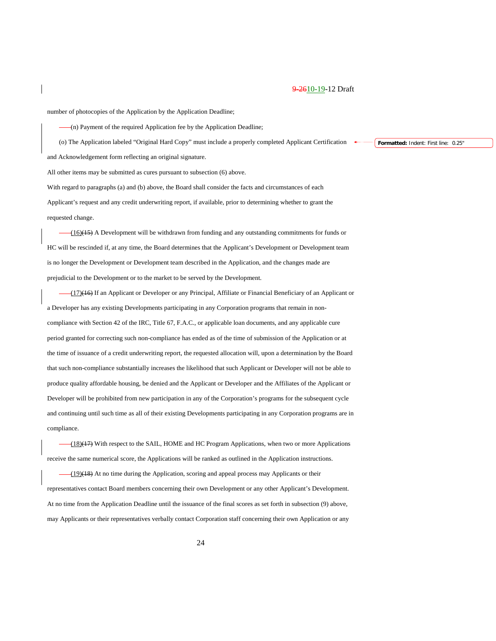number of photocopies of the Application by the Application Deadline;

(n) Payment of the required Application fee by the Application Deadline;

(o) The Application labeled "Original Hard Copy" must include a properly completed Applicant Certification and Acknowledgement form reflecting an original signature.

All other items may be submitted as cures pursuant to subsection (6) above.

With regard to paragraphs (a) and (b) above, the Board shall consider the facts and circumstances of each Applicant's request and any credit underwriting report, if available, prior to determining whether to grant the requested change.

(16)(15) A Development will be withdrawn from funding and any outstanding commitments for funds or HC will be rescinded if, at any time, the Board determines that the Applicant's Development or Development team is no longer the Development or Development team described in the Application, and the changes made are prejudicial to the Development or to the market to be served by the Development.

(17)(16) If an Applicant or Developer or any Principal, Affiliate or Financial Beneficiary of an Applicant or a Developer has any existing Developments participating in any Corporation programs that remain in noncompliance with Section 42 of the IRC, Title 67, F.A.C., or applicable loan documents, and any applicable cure period granted for correcting such non-compliance has ended as of the time of submission of the Application or at the time of issuance of a credit underwriting report, the requested allocation will, upon a determination by the Board that such non-compliance substantially increases the likelihood that such Applicant or Developer will not be able to produce quality affordable housing, be denied and the Applicant or Developer and the Affiliates of the Applicant or Developer will be prohibited from new participation in any of the Corporation's programs for the subsequent cycle and continuing until such time as all of their existing Developments participating in any Corporation programs are in compliance.

(18)(17) With respect to the SAIL, HOME and HC Program Applications, when two or more Applications receive the same numerical score, the Applications will be ranked as outlined in the Application instructions.

 $-(19)(18)$  At no time during the Application, scoring and appeal process may Applicants or their representatives contact Board members concerning their own Development or any other Applicant's Development. At no time from the Application Deadline until the issuance of the final scores as set forth in subsection (9) above, may Applicants or their representatives verbally contact Corporation staff concerning their own Application or any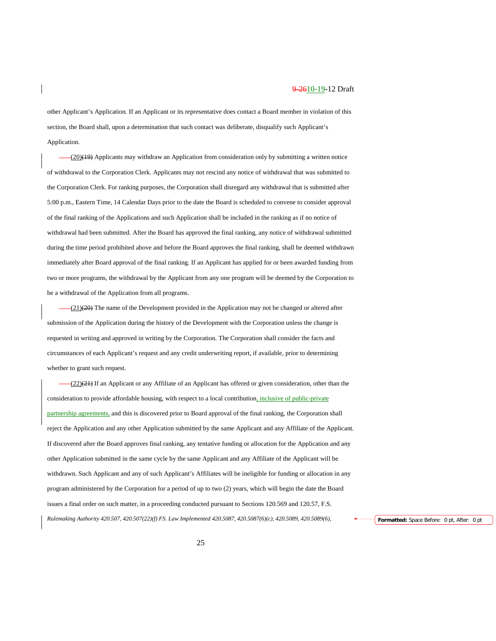other Applicant's Application. If an Applicant or its representative does contact a Board member in violation of this section, the Board shall, upon a determination that such contact was deliberate, disqualify such Applicant's Application.

(20)(19) Applicants may withdraw an Application from consideration only by submitting a written notice of withdrawal to the Corporation Clerk. Applicants may not rescind any notice of withdrawal that was submitted to the Corporation Clerk. For ranking purposes, the Corporation shall disregard any withdrawal that is submitted after 5:00 p.m., Eastern Time, 14 Calendar Days prior to the date the Board is scheduled to convene to consider approval of the final ranking of the Applications and such Application shall be included in the ranking as if no notice of withdrawal had been submitted. After the Board has approved the final ranking, any notice of withdrawal submitted during the time period prohibited above and before the Board approves the final ranking, shall be deemed withdrawn immediately after Board approval of the final ranking. If an Applicant has applied for or been awarded funding from two or more programs, the withdrawal by the Applicant from any one program will be deemed by the Corporation to be a withdrawal of the Application from all programs.

(21)(20) The name of the Development provided in the Application may not be changed or altered after submission of the Application during the history of the Development with the Corporation unless the change is requested in writing and approved in writing by the Corporation. The Corporation shall consider the facts and circumstances of each Applicant's request and any credit underwriting report, if available, prior to determining whether to grant such request.

(22)(21) If an Applicant or any Affiliate of an Applicant has offered or given consideration, other than the consideration to provide affordable housing, with respect to a local contribution, inclusive of public-private partnership agreements, and this is discovered prior to Board approval of the final ranking, the Corporation shall reject the Application and any other Application submitted by the same Applicant and any Affiliate of the Applicant. If discovered after the Board approves final ranking, any tentative funding or allocation for the Application and any other Application submitted in the same cycle by the same Applicant and any Affiliate of the Applicant will be withdrawn. Such Applicant and any of such Applicant's Affiliates will be ineligible for funding or allocation in any program administered by the Corporation for a period of up to two (2) years, which will begin the date the Board issues a final order on such matter, in a proceeding conducted pursuant to Sections 120.569 and 120.57, F.S. *Rulemaking Authority 420.507, 420.507(22)(f) FS. Law Implemented 420.5087, 420.5087(6)(c), 420.5089, 420.5089(6),* **Formatted:** Space Before: 0 pt, After: 0 pt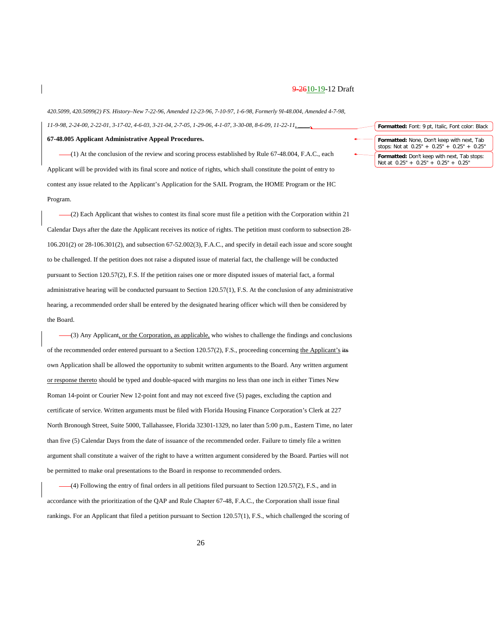*420.5099, 420.5099(2) FS. History–New 7-22-96, Amended 12-23-96, 7-10-97, 1-6-98, Formerly 9I-48.004, Amended 4-7-98, 11-9-98, 2-24-00, 2-22-01, 3-17-02, 4-6-03, 3-21-04, 2-7-05, 1-29-06, 4-1-07, 3-30-08, 8-6-09, 11-22-11, \_\_\_\_.*

**67-48.005 Applicant Administrative Appeal Procedures.**

(1) At the conclusion of the review and scoring process established by Rule 67-48.004, F.A.C., each Applicant will be provided with its final score and notice of rights, which shall constitute the point of entry to contest any issue related to the Applicant's Application for the SAIL Program, the HOME Program or the HC Program.

(2) Each Applicant that wishes to contest its final score must file a petition with the Corporation within 21 Calendar Days after the date the Applicant receives its notice of rights. The petition must conform to subsection 28- 106.201(2) or 28-106.301(2), and subsection 67-52.002(3), F.A.C., and specify in detail each issue and score sought to be challenged. If the petition does not raise a disputed issue of material fact, the challenge will be conducted pursuant to Section 120.57(2), F.S. If the petition raises one or more disputed issues of material fact, a formal administrative hearing will be conducted pursuant to Section 120.57(1), F.S. At the conclusion of any administrative hearing, a recommended order shall be entered by the designated hearing officer which will then be considered by the Board.

(3) Any Applicant, or the Corporation, as applicable, who wishes to challenge the findings and conclusions of the recommended order entered pursuant to a Section 120.57(2), F.S., proceeding concerning the Applicant's its own Application shall be allowed the opportunity to submit written arguments to the Board. Any written argument or response thereto should be typed and double-spaced with margins no less than one inch in either Times New Roman 14-point or Courier New 12-point font and may not exceed five (5) pages, excluding the caption and certificate of service. Written arguments must be filed with Florida Housing Finance Corporation's Clerk at 227 North Bronough Street, Suite 5000, Tallahassee, Florida 32301-1329, no later than 5:00 p.m., Eastern Time, no later than five (5) Calendar Days from the date of issuance of the recommended order. Failure to timely file a written argument shall constitute a waiver of the right to have a written argument considered by the Board. Parties will not be permitted to make oral presentations to the Board in response to recommended orders.

(4) Following the entry of final orders in all petitions filed pursuant to Section 120.57(2), F.S., and in accordance with the prioritization of the QAP and Rule Chapter 67-48, F.A.C., the Corporation shall issue final rankings. For an Applicant that filed a petition pursuant to Section 120.57(1), F.S., which challenged the scoring of

| Formatted: Font: 9 pt, Italic, Font color: Black                                                   |
|----------------------------------------------------------------------------------------------------|
| <b>Formatted:</b> None, Don't keep with next, Tab<br>stops: Not at $0.25" + 0.25" + 0.25" + 0.25"$ |
| Formatted: Don't keep with next, Tab stops:<br>Not at $0.25'' + 0.25'' + 0.25'' + 0.25''$          |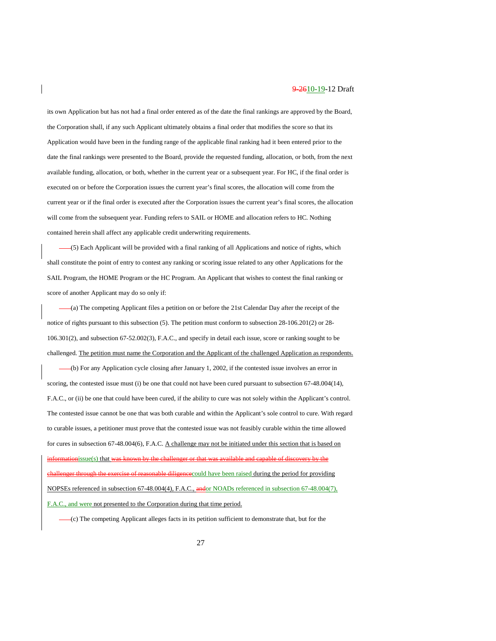its own Application but has not had a final order entered as of the date the final rankings are approved by the Board, the Corporation shall, if any such Applicant ultimately obtains a final order that modifies the score so that its Application would have been in the funding range of the applicable final ranking had it been entered prior to the date the final rankings were presented to the Board, provide the requested funding, allocation, or both, from the next available funding, allocation, or both, whether in the current year or a subsequent year. For HC, if the final order is executed on or before the Corporation issues the current year's final scores, the allocation will come from the current year or if the final order is executed after the Corporation issues the current year's final scores, the allocation will come from the subsequent year. Funding refers to SAIL or HOME and allocation refers to HC. Nothing contained herein shall affect any applicable credit underwriting requirements.

(5) Each Applicant will be provided with a final ranking of all Applications and notice of rights, which shall constitute the point of entry to contest any ranking or scoring issue related to any other Applications for the SAIL Program, the HOME Program or the HC Program. An Applicant that wishes to contest the final ranking or score of another Applicant may do so only if:

(a) The competing Applicant files a petition on or before the 21st Calendar Day after the receipt of the notice of rights pursuant to this subsection (5). The petition must conform to subsection 28-106.201(2) or 28- 106.301(2), and subsection 67-52.002(3), F.A.C., and specify in detail each issue, score or ranking sought to be challenged. The petition must name the Corporation and the Applicant of the challenged Application as respondents.

(b) For any Application cycle closing after January 1, 2002, if the contested issue involves an error in scoring, the contested issue must (i) be one that could not have been cured pursuant to subsection 67-48.004(14), F.A.C., or (ii) be one that could have been cured, if the ability to cure was not solely within the Applicant's control. The contested issue cannot be one that was both curable and within the Applicant's sole control to cure. With regard to curable issues, a petitioner must prove that the contested issue was not feasibly curable within the time allowed for cures in subsection 67-48.004(6), F.A.C. A challenge may not be initiated under this section that is based on tionissue(s) that was known by the challenger or that was available of reasonable diligence could have been raised during the period for providing NOPSEs referenced in subsection 67-48.004(4), F.A.C., andor NOADs referenced in subsection 67-48.004(7), F.A.C., and were not presented to the Corporation during that time period.

(c) The competing Applicant alleges facts in its petition sufficient to demonstrate that, but for the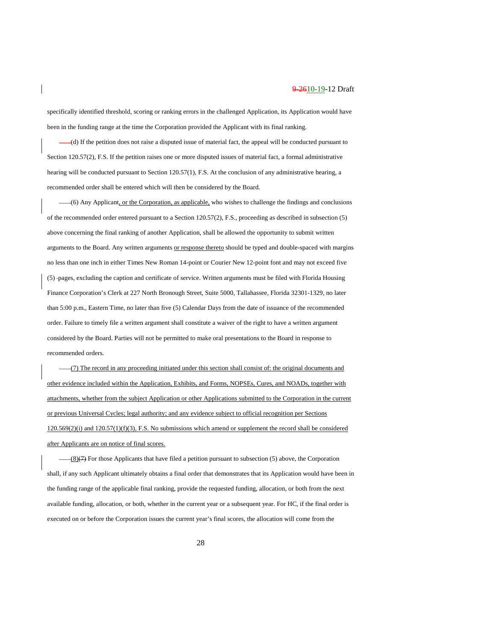specifically identified threshold, scoring or ranking errors in the challenged Application, its Application would have been in the funding range at the time the Corporation provided the Applicant with its final ranking.

(d) If the petition does not raise a disputed issue of material fact, the appeal will be conducted pursuant to Section 120.57(2), F.S. If the petition raises one or more disputed issues of material fact, a formal administrative hearing will be conducted pursuant to Section 120.57(1), F.S. At the conclusion of any administrative hearing, a recommended order shall be entered which will then be considered by the Board.

(6) Any Applicant, or the Corporation, as applicable, who wishes to challenge the findings and conclusions of the recommended order entered pursuant to a Section 120.57(2), F.S., proceeding as described in subsection (5) above concerning the final ranking of another Application, shall be allowed the opportunity to submit written arguments to the Board. Any written arguments or response thereto should be typed and double-spaced with margins no less than one inch in either Times New Roman 14-point or Courier New 12-point font and may not exceed five (5) pages, excluding the caption and certificate of service. Written arguments must be filed with Florida Housing Finance Corporation's Clerk at 227 North Bronough Street, Suite 5000, Tallahassee, Florida 32301-1329, no later than 5:00 p.m., Eastern Time, no later than five (5) Calendar Days from the date of issuance of the recommended order. Failure to timely file a written argument shall constitute a waiver of the right to have a written argument considered by the Board. Parties will not be permitted to make oral presentations to the Board in response to recommended orders.

(7) The record in any proceeding initiated under this section shall consist of: the original documents and other evidence included within the Application, Exhibits, and Forms, NOPSEs, Cures, and NOADs, together with attachments, whether from the subject Application or other Applications submitted to the Corporation in the current or previous Universal Cycles; legal authority; and any evidence subject to official recognition per Sections  $120.569(2)$ (i) and  $120.57(1)$ (f)(3), F.S. No submissions which amend or supplement the record shall be considered after Applicants are on notice of final scores.

(8)(7) For those Applicants that have filed a petition pursuant to subsection (5) above, the Corporation shall, if any such Applicant ultimately obtains a final order that demonstrates that its Application would have been in the funding range of the applicable final ranking, provide the requested funding, allocation, or both from the next available funding, allocation, or both, whether in the current year or a subsequent year. For HC, if the final order is executed on or before the Corporation issues the current year's final scores, the allocation will come from the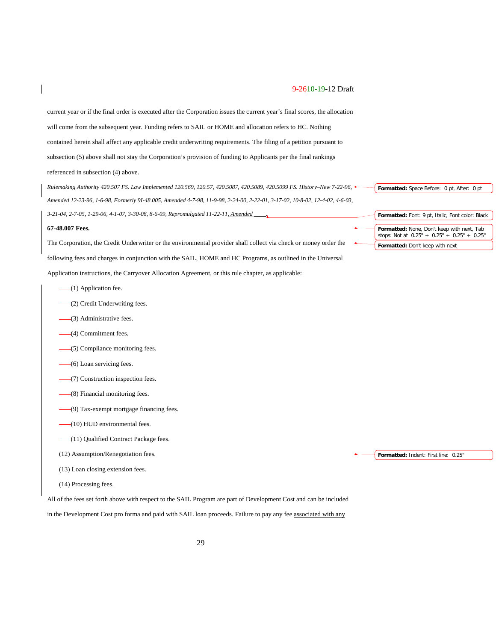| current year or if the final order is executed after the Corporation issues the current year's final scores, the allocation |                                                                                           |
|-----------------------------------------------------------------------------------------------------------------------------|-------------------------------------------------------------------------------------------|
| will come from the subsequent year. Funding refers to SAIL or HOME and allocation refers to HC. Nothing                     |                                                                                           |
| contained herein shall affect any applicable credit underwriting requirements. The filing of a petition pursuant to         |                                                                                           |
| subsection (5) above shall not stay the Corporation's provision of funding to Applicants per the final rankings             |                                                                                           |
| referenced in subsection (4) above.                                                                                         |                                                                                           |
| Fulemaking Authority 420.507 FS. Law Implemented 120.569, 120.57, 420.5087, 420.5089, 420.5099 FS. History–New 7-22-96,     | Formatted: Space Before: 0 pt, After: 0 pt                                                |
| Amended 12-23-96, 1-6-98, Formerly 91-48.005, Amended 4-7-98, 11-9-98, 2-24-00, 2-22-01, 3-17-02, 10-8-02, 12-4-02, 4-6-03, |                                                                                           |
| 3-21-04, 2-7-05, 1-29-06, 4-1-07, 3-30-08, 8-6-09, Repromulgated 11-22-11, Amended                                          | Formatted: Font: 9 pt, Italic, Font color: Black                                          |
| 67-48.007 Fees.                                                                                                             | Formatted: None, Don't keep with next, Tab<br>stops: Not at 0.25" + 0.25" + 0.25" + 0.25" |
| The Corporation, the Credit Underwriter or the environmental provider shall collect via check or money order the            | Formatted: Don't keep with next                                                           |
| following fees and charges in conjunction with the SAIL, HOME and HC Programs, as outlined in the Universal                 |                                                                                           |
| Application instructions, the Carryover Allocation Agreement, or this rule chapter, as applicable:                          |                                                                                           |
| $-(1)$ Application fee.                                                                                                     |                                                                                           |
| -(2) Credit Underwriting fees.                                                                                              |                                                                                           |
| (3) Administrative fees.                                                                                                    |                                                                                           |
| (4) Commitment fees.                                                                                                        |                                                                                           |
| -(5) Compliance monitoring fees.                                                                                            |                                                                                           |
| -(6) Loan servicing fees.                                                                                                   |                                                                                           |
| (7) Construction inspection fees.                                                                                           |                                                                                           |
| (8) Financial monitoring fees.                                                                                              |                                                                                           |
| (9) Tax-exempt mortgage financing fees.                                                                                     |                                                                                           |
| (10) HUD environmental fees.                                                                                                |                                                                                           |
| -(11) Qualified Contract Package fees.                                                                                      |                                                                                           |
| (12) Assumption/Renegotiation fees.                                                                                         | Formatted: Indent: First line: 0.25"                                                      |
| (13) Loan closing extension fees.                                                                                           |                                                                                           |
| (14) Processing fees.                                                                                                       |                                                                                           |
| All of the fees set forth above with respect to the SAIL Program are part of Development Cost and can be included           |                                                                                           |

in the Development Cost pro forma and paid with SAIL loan proceeds. Failure to pay any fee associated with any

 $\overline{\phantom{a}}$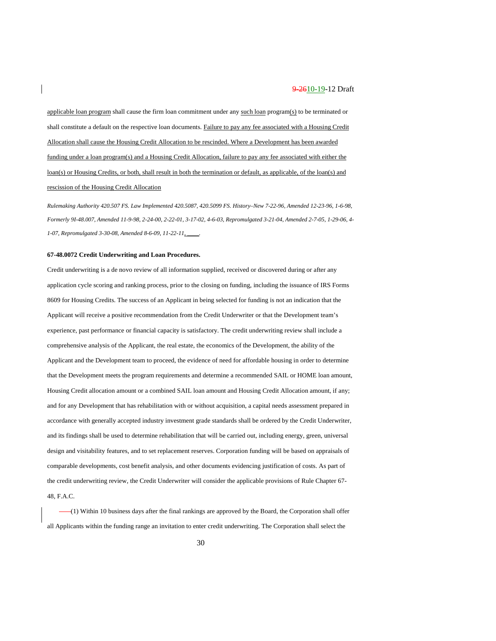applicable loan program shall cause the firm loan commitment under any such loan program(s) to be terminated or shall constitute a default on the respective loan documents. Failure to pay any fee associated with a Housing Credit Allocation shall cause the Housing Credit Allocation to be rescinded. Where a Development has been awarded funding under a loan program(s) and a Housing Credit Allocation, failure to pay any fee associated with either the loan(s) or Housing Credits, or both, shall result in both the termination or default, as applicable, of the loan(s) and rescission of the Housing Credit Allocation

*Rulemaking Authority 420.507 FS. Law Implemented 420.5087, 420.5099 FS. History–New 7-22-96, Amended 12-23-96, 1-6-98, Formerly 9I-48.007, Amended 11-9-98, 2-24-00, 2-22-01, 3-17-02, 4-6-03, Repromulgated 3-21-04, Amended 2-7-05, 1-29-06, 4- 1-07, Repromulgated 3-30-08, Amended 8-6-09, 11-22-11, \_\_\_\_.*

#### **67-48.0072 Credit Underwriting and Loan Procedures.**

Credit underwriting is a de novo review of all information supplied, received or discovered during or after any application cycle scoring and ranking process, prior to the closing on funding, including the issuance of IRS Forms 8609 for Housing Credits. The success of an Applicant in being selected for funding is not an indication that the Applicant will receive a positive recommendation from the Credit Underwriter or that the Development team's experience, past performance or financial capacity is satisfactory. The credit underwriting review shall include a comprehensive analysis of the Applicant, the real estate, the economics of the Development, the ability of the Applicant and the Development team to proceed, the evidence of need for affordable housing in order to determine that the Development meets the program requirements and determine a recommended SAIL or HOME loan amount, Housing Credit allocation amount or a combined SAIL loan amount and Housing Credit Allocation amount, if any; and for any Development that has rehabilitation with or without acquisition, a capital needs assessment prepared in accordance with generally accepted industry investment grade standards shall be ordered by the Credit Underwriter, and its findings shall be used to determine rehabilitation that will be carried out, including energy, green, universal design and visitability features, and to set replacement reserves. Corporation funding will be based on appraisals of comparable developments, cost benefit analysis, and other documents evidencing justification of costs. As part of the credit underwriting review, the Credit Underwriter will consider the applicable provisions of Rule Chapter 67- 48, F.A.C.

(1) Within 10 business days after the final rankings are approved by the Board, the Corporation shall offer all Applicants within the funding range an invitation to enter credit underwriting. The Corporation shall select the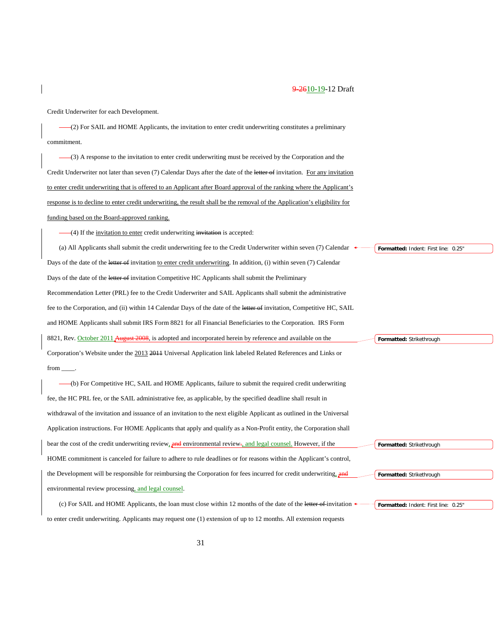| Credit Underwriter for each Development.                                                                                  |                                      |
|---------------------------------------------------------------------------------------------------------------------------|--------------------------------------|
| (2) For SAIL and HOME Applicants, the invitation to enter credit underwriting constitutes a preliminary                   |                                      |
| commitment.                                                                                                               |                                      |
| $(3)$ A response to the invitation to enter credit underwriting must be received by the Corporation and the               |                                      |
| Credit Underwriter not later than seven (7) Calendar Days after the date of the letter of invitation. For any invitation  |                                      |
| to enter credit underwriting that is offered to an Applicant after Board approval of the ranking where the Applicant's    |                                      |
| response is to decline to enter credit underwriting, the result shall be the removal of the Application's eligibility for |                                      |
| <u>funding based on the Board-approved ranking.</u>                                                                       |                                      |
| (4) If the <u>invitation to enter</u> credit underwriting invitation is accepted:                                         |                                      |
| (a) All Applicants shall submit the credit underwriting fee to the Credit Underwriter within seven (7) Calendar           | Formatted: Indent: First line: 0.25" |
| Days of the date of the letter of invitation to enter credit underwriting. In addition, (i) within seven (7) Calendar     |                                      |
| Days of the date of the letter of invitation Competitive HC Applicants shall submit the Preliminary                       |                                      |
|                                                                                                                           |                                      |
| Recommendation Letter (PRL) fee to the Credit Underwriter and SAIL Applicants shall submit the administrative             |                                      |
| fee to the Corporation, and (ii) within 14 Calendar Days of the date of the letter of invitation, Competitive HC, SAIL    |                                      |
|                                                                                                                           |                                      |
| and HOME Applicants shall submit IRS Form 8821 for all Financial Beneficiaries to the Corporation. IRS Form               |                                      |
| 8821, Rev. October 2011 August 2008, is adopted and incorporated herein by reference and available on the                 | Formatted: Strikethrough             |
| Corporation's Website under the 2013 2011 Universal Application link labeled Related References and Links or              |                                      |
| from $\qquad$                                                                                                             |                                      |
| (b) For Competitive HC, SAIL and HOME Applicants, failure to submit the required credit underwriting                      |                                      |
| fee, the HC PRL fee, or the SAIL administrative fee, as applicable, by the specified deadline shall result in             |                                      |
| withdrawal of the invitation and issuance of an invitation to the next eligible Applicant as outlined in the Universal    |                                      |
| Application instructions. For HOME Applicants that apply and qualify as a Non-Profit entity, the Corporation shall        |                                      |
| bear the cost of the credit underwriting review, and environmental review, and legal counsel. However, if the             | Formatted: Strikethrough             |
| HOME commitment is canceled for failure to adhere to rule deadlines or for reasons within the Applicant's control,        |                                      |
| the Development will be responsible for reimbursing the Corporation for fees incurred for credit underwriting, and        | Formatted: Strikethrough             |
| environmental review processing, and legal counsel.                                                                       |                                      |
| (c) For SAIL and HOME Applicants, the loan must close within 12 months of the date of the letter of invitation            | Formatted: Indent: First line: 0.25" |

 $\overline{\phantom{a}}$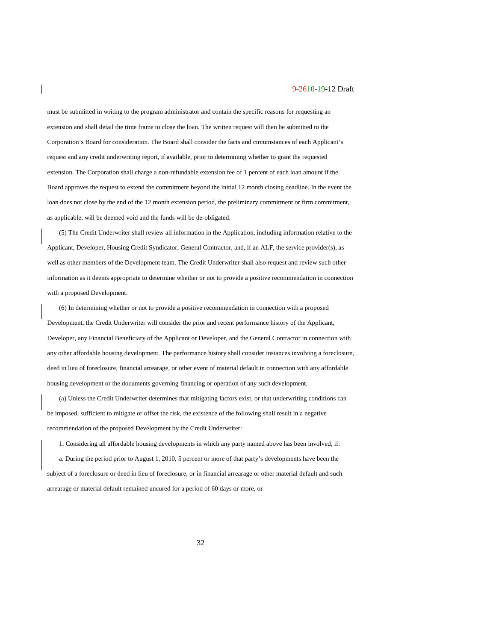must be submitted in writing to the program administrator and contain the specific reasons for requesting an extension and shall detail the time frame to close the loan. The written request will then be submitted to the Corporation's Board for consideration. The Board shall consider the facts and circumstances of each Applicant's request and any credit underwriting report, if available, prior to determining whether to grant the requested extension. The Corporation shall charge a non-refundable extension fee of 1 percent of each loan amount if the Board approves the request to extend the commitment beyond the initial 12 month closing deadline. In the event the loan does not close by the end of the 12 month extension period, the preliminary commitment or firm commitment, as applicable, will be deemed void and the funds will be de-obligated.

(5) The Credit Underwriter shall review all information in the Application, including information relative to the Applicant, Developer, Housing Credit Syndicator, General Contractor, and, if an ALF, the service provider(s), as well as other members of the Development team. The Credit Underwriter shall also request and review such other information as it deems appropriate to determine whether or not to provide a positive recommendation in connection with a proposed Development.

(6) In determining whether or not to provide a positive recommendation in connection with a proposed Development, the Credit Underwriter will consider the prior and recent performance history of the Applicant, Developer, any Financial Beneficiary of the Applicant or Developer, and the General Contractor in connection with any other affordable housing development. The performance history shall consider instances involving a foreclosure, deed in lieu of foreclosure, financial arrearage, or other event of material default in connection with any affordable housing development or the documents governing financing or operation of any such development.

(a) Unless the Credit Underwriter determines that mitigating factors exist, or that underwriting conditions can be imposed, sufficient to mitigate or offset the risk, the existence of the following shall result in a negative recommendation of the proposed Development by the Credit Underwriter:

1. Considering all affordable housing developments in which any party named above has been involved, if: a. During the period prior to August 1, 2010, 5 percent or more of that party's developments have been the subject of a foreclosure or deed in lieu of foreclosure, or in financial arrearage or other material default and such arrearage or material default remained uncured for a period of 60 days or more, or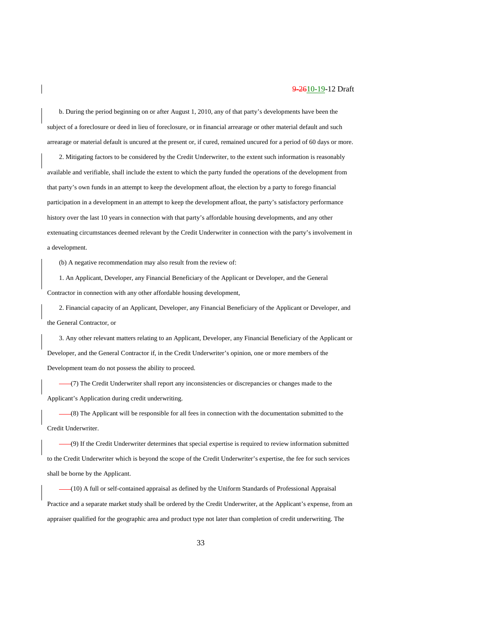b. During the period beginning on or after August 1, 2010, any of that party's developments have been the subject of a foreclosure or deed in lieu of foreclosure, or in financial arrearage or other material default and such arrearage or material default is uncured at the present or, if cured, remained uncured for a period of 60 days or more.

2. Mitigating factors to be considered by the Credit Underwriter, to the extent such information is reasonably available and verifiable, shall include the extent to which the party funded the operations of the development from that party's own funds in an attempt to keep the development afloat, the election by a party to forego financial participation in a development in an attempt to keep the development afloat, the party's satisfactory performance history over the last 10 years in connection with that party's affordable housing developments, and any other extenuating circumstances deemed relevant by the Credit Underwriter in connection with the party's involvement in a development.

(b) A negative recommendation may also result from the review of:

1. An Applicant, Developer, any Financial Beneficiary of the Applicant or Developer, and the General Contractor in connection with any other affordable housing development,

2. Financial capacity of an Applicant, Developer, any Financial Beneficiary of the Applicant or Developer, and the General Contractor, or

3. Any other relevant matters relating to an Applicant, Developer, any Financial Beneficiary of the Applicant or Developer, and the General Contractor if, in the Credit Underwriter's opinion, one or more members of the Development team do not possess the ability to proceed.

(7) The Credit Underwriter shall report any inconsistencies or discrepancies or changes made to the Applicant's Application during credit underwriting.

(8) The Applicant will be responsible for all fees in connection with the documentation submitted to the Credit Underwriter.

(9) If the Credit Underwriter determines that special expertise is required to review information submitted to the Credit Underwriter which is beyond the scope of the Credit Underwriter's expertise, the fee for such services shall be borne by the Applicant.

(10) A full or self-contained appraisal as defined by the Uniform Standards of Professional Appraisal Practice and a separate market study shall be ordered by the Credit Underwriter, at the Applicant's expense, from an appraiser qualified for the geographic area and product type not later than completion of credit underwriting. The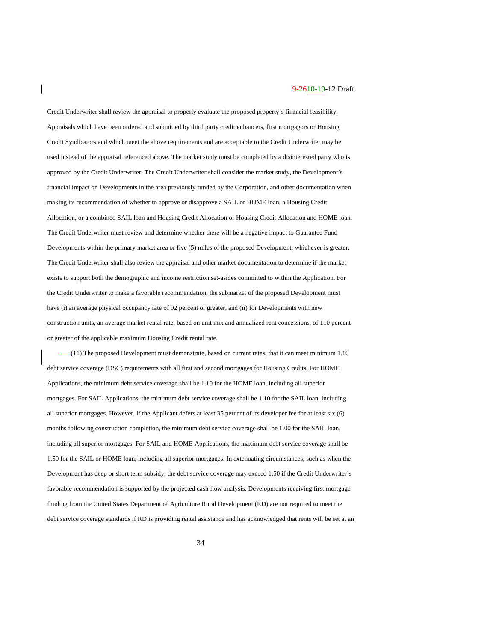Credit Underwriter shall review the appraisal to properly evaluate the proposed property's financial feasibility. Appraisals which have been ordered and submitted by third party credit enhancers, first mortgagors or Housing Credit Syndicators and which meet the above requirements and are acceptable to the Credit Underwriter may be used instead of the appraisal referenced above. The market study must be completed by a disinterested party who is approved by the Credit Underwriter. The Credit Underwriter shall consider the market study, the Development's financial impact on Developments in the area previously funded by the Corporation, and other documentation when making its recommendation of whether to approve or disapprove a SAIL or HOME loan, a Housing Credit Allocation, or a combined SAIL loan and Housing Credit Allocation or Housing Credit Allocation and HOME loan. The Credit Underwriter must review and determine whether there will be a negative impact to Guarantee Fund Developments within the primary market area or five (5) miles of the proposed Development, whichever is greater. The Credit Underwriter shall also review the appraisal and other market documentation to determine if the market exists to support both the demographic and income restriction set-asides committed to within the Application. For the Credit Underwriter to make a favorable recommendation, the submarket of the proposed Development must have (i) an average physical occupancy rate of 92 percent or greater, and (ii) for Developments with new construction units, an average market rental rate, based on unit mix and annualized rent concessions, of 110 percent or greater of the applicable maximum Housing Credit rental rate.

 $-(11)$  The proposed Development must demonstrate, based on current rates, that it can meet minimum 1.10 debt service coverage (DSC) requirements with all first and second mortgages for Housing Credits. For HOME Applications, the minimum debt service coverage shall be 1.10 for the HOME loan, including all superior mortgages. For SAIL Applications, the minimum debt service coverage shall be 1.10 for the SAIL loan, including all superior mortgages. However, if the Applicant defers at least 35 percent of its developer fee for at least six (6) months following construction completion, the minimum debt service coverage shall be 1.00 for the SAIL loan, including all superior mortgages. For SAIL and HOME Applications, the maximum debt service coverage shall be 1.50 for the SAIL or HOME loan, including all superior mortgages. In extenuating circumstances, such as when the Development has deep or short term subsidy, the debt service coverage may exceed 1.50 if the Credit Underwriter's favorable recommendation is supported by the projected cash flow analysis. Developments receiving first mortgage funding from the United States Department of Agriculture Rural Development (RD) are not required to meet the debt service coverage standards if RD is providing rental assistance and has acknowledged that rents will be set at an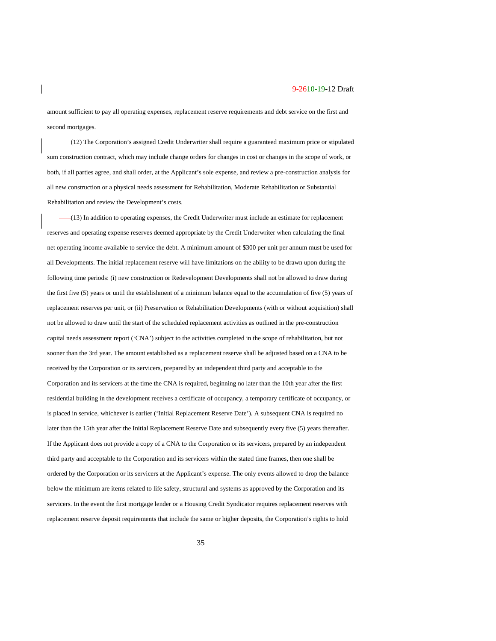amount sufficient to pay all operating expenses, replacement reserve requirements and debt service on the first and second mortgages.

(12) The Corporation's assigned Credit Underwriter shall require a guaranteed maximum price or stipulated sum construction contract, which may include change orders for changes in cost or changes in the scope of work, or both, if all parties agree, and shall order, at the Applicant's sole expense, and review a pre-construction analysis for all new construction or a physical needs assessment for Rehabilitation, Moderate Rehabilitation or Substantial Rehabilitation and review the Development's costs.

(13) In addition to operating expenses, the Credit Underwriter must include an estimate for replacement reserves and operating expense reserves deemed appropriate by the Credit Underwriter when calculating the final net operating income available to service the debt. A minimum amount of \$300 per unit per annum must be used for all Developments. The initial replacement reserve will have limitations on the ability to be drawn upon during the following time periods: (i) new construction or Redevelopment Developments shall not be allowed to draw during the first five (5) years or until the establishment of a minimum balance equal to the accumulation of five (5) years of replacement reserves per unit, or (ii) Preservation or Rehabilitation Developments (with or without acquisition) shall not be allowed to draw until the start of the scheduled replacement activities as outlined in the pre-construction capital needs assessment report ('CNA') subject to the activities completed in the scope of rehabilitation, but not sooner than the 3rd year. The amount established as a replacement reserve shall be adjusted based on a CNA to be received by the Corporation or its servicers, prepared by an independent third party and acceptable to the Corporation and its servicers at the time the CNA is required, beginning no later than the 10th year after the first residential building in the development receives a certificate of occupancy, a temporary certificate of occupancy, or is placed in service, whichever is earlier ('Initial Replacement Reserve Date'). A subsequent CNA is required no later than the 15th year after the Initial Replacement Reserve Date and subsequently every five (5) years thereafter. If the Applicant does not provide a copy of a CNA to the Corporation or its servicers, prepared by an independent third party and acceptable to the Corporation and its servicers within the stated time frames, then one shall be ordered by the Corporation or its servicers at the Applicant's expense. The only events allowed to drop the balance below the minimum are items related to life safety, structural and systems as approved by the Corporation and its servicers. In the event the first mortgage lender or a Housing Credit Syndicator requires replacement reserves with replacement reserve deposit requirements that include the same or higher deposits, the Corporation's rights to hold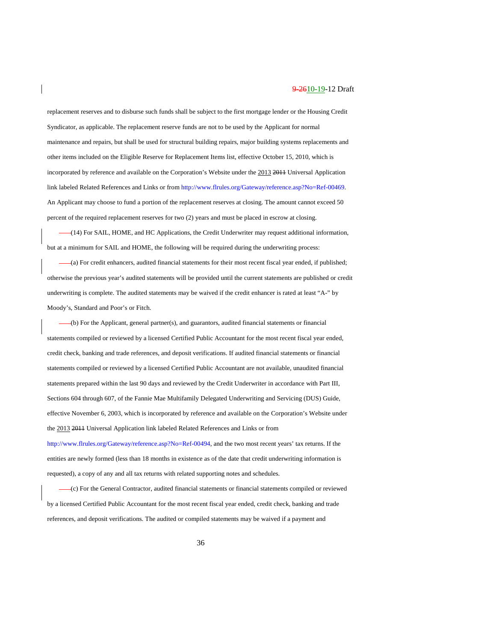replacement reserves and to disburse such funds shall be subject to the first mortgage lender or the Housing Credit Syndicator, as applicable. The replacement reserve funds are not to be used by the Applicant for normal maintenance and repairs, but shall be used for structural building repairs, major building systems replacements and other items included on the Eligible Reserve for Replacement Items list, effective October 15, 2010, which is incorporated by reference and available on the Corporation's Website under the 2013 2011 Universal Application link labeled Related References and Links or from [http://www.flrules.org/Gateway/reference.asp?No=Ref-00469.](https://www.flrules.org/Gateway/reference.asp?No=Ref-00469) An Applicant may choose to fund a portion of the replacement reserves at closing. The amount cannot exceed 50 percent of the required replacement reserves for two (2) years and must be placed in escrow at closing.

(14) For SAIL, HOME, and HC Applications, the Credit Underwriter may request additional information, but at a minimum for SAIL and HOME, the following will be required during the underwriting process:

(a) For credit enhancers, audited financial statements for their most recent fiscal year ended, if published; otherwise the previous year's audited statements will be provided until the current statements are published or credit underwriting is complete. The audited statements may be waived if the credit enhancer is rated at least "A-" by Moody's, Standard and Poor's or Fitch.

(b) For the Applicant, general partner(s), and guarantors, audited financial statements or financial statements compiled or reviewed by a licensed Certified Public Accountant for the most recent fiscal year ended, credit check, banking and trade references, and deposit verifications. If audited financial statements or financial statements compiled or reviewed by a licensed Certified Public Accountant are not available, unaudited financial statements prepared within the last 90 days and reviewed by the Credit Underwriter in accordance with Part III, Sections 604 through 607, of the Fannie Mae Multifamily Delegated Underwriting and Servicing (DUS) Guide, effective November 6, 2003, which is incorporated by reference and available on the Corporation's Website under the 2013 2011 Universal Application link labeled Related References and Links or from [http://www.flrules.org/Gateway/reference.asp?No=Ref-00494,](https://www.flrules.org/Gateway/reference.asp?No=Ref-00494) and the two most recent years' tax returns. If the entities are newly formed (less than 18 months in existence as of the date that credit underwriting information is requested), a copy of any and all tax returns with related supporting notes and schedules.

(c) For the General Contractor, audited financial statements or financial statements compiled or reviewed by a licensed Certified Public Accountant for the most recent fiscal year ended, credit check, banking and trade references, and deposit verifications. The audited or compiled statements may be waived if a payment and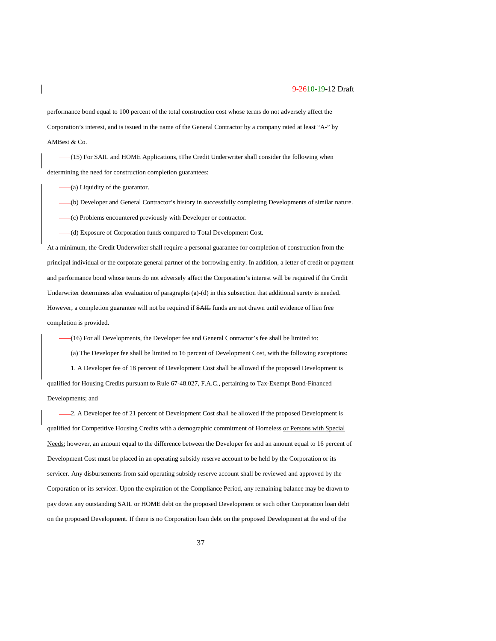performance bond equal to 100 percent of the total construction cost whose terms do not adversely affect the Corporation's interest, and is issued in the name of the General Contractor by a company rated at least "A-" by AMBest & Co.

(15) For SAIL and HOME Applications, t<sub>te</sub> Credit Underwriter shall consider the following when determining the need for construction completion guarantees:

(a) Liquidity of the guarantor.

(b) Developer and General Contractor's history in successfully completing Developments of similar nature.

(c) Problems encountered previously with Developer or contractor.

(d) Exposure of Corporation funds compared to Total Development Cost.

At a minimum, the Credit Underwriter shall require a personal guarantee for completion of construction from the principal individual or the corporate general partner of the borrowing entity. In addition, a letter of credit or payment and performance bond whose terms do not adversely affect the Corporation's interest will be required if the Credit Underwriter determines after evaluation of paragraphs (a)-(d) in this subsection that additional surety is needed. However, a completion guarantee will not be required if SAIL funds are not drawn until evidence of lien free completion is provided.

(16) For all Developments, the Developer fee and General Contractor's fee shall be limited to: (a) The Developer fee shall be limited to 16 percent of Development Cost, with the following exceptions: -1. A Developer fee of 18 percent of Development Cost shall be allowed if the proposed Development is qualified for Housing Credits pursuant to Rule 67-48.027, F.A.C., pertaining to Tax-Exempt Bond-Financed Developments; and

2. A Developer fee of 21 percent of Development Cost shall be allowed if the proposed Development is qualified for Competitive Housing Credits with a demographic commitment of Homeless or Persons with Special Needs; however, an amount equal to the difference between the Developer fee and an amount equal to 16 percent of Development Cost must be placed in an operating subsidy reserve account to be held by the Corporation or its servicer. Any disbursements from said operating subsidy reserve account shall be reviewed and approved by the Corporation or its servicer. Upon the expiration of the Compliance Period, any remaining balance may be drawn to pay down any outstanding SAIL or HOME debt on the proposed Development or such other Corporation loan debt on the proposed Development. If there is no Corporation loan debt on the proposed Development at the end of the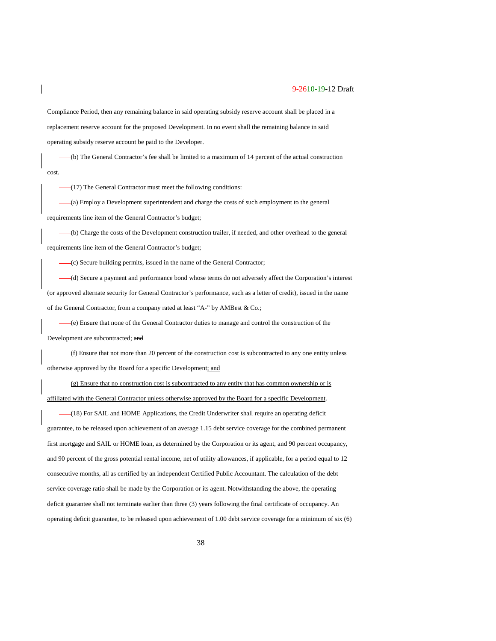Compliance Period, then any remaining balance in said operating subsidy reserve account shall be placed in a replacement reserve account for the proposed Development. In no event shall the remaining balance in said operating subsidy reserve account be paid to the Developer.

(b) The General Contractor's fee shall be limited to a maximum of 14 percent of the actual construction cost.

(17) The General Contractor must meet the following conditions:

(a) Employ a Development superintendent and charge the costs of such employment to the general requirements line item of the General Contractor's budget;

(b) Charge the costs of the Development construction trailer, if needed, and other overhead to the general requirements line item of the General Contractor's budget;

(c) Secure building permits, issued in the name of the General Contractor;

(d) Secure a payment and performance bond whose terms do not adversely affect the Corporation's interest (or approved alternate security for General Contractor's performance, such as a letter of credit), issued in the name of the General Contractor, from a company rated at least "A-" by AMBest & Co.;

(e) Ensure that none of the General Contractor duties to manage and control the construction of the

Development are subcontracted; and

 $-(f)$  Ensure that not more than 20 percent of the construction cost is subcontracted to any one entity unless otherwise approved by the Board for a specific Development; and

(g) Ensure that no construction cost is subcontracted to any entity that has common ownership or is affiliated with the General Contractor unless otherwise approved by the Board for a specific Development.

(18) For SAIL and HOME Applications, the Credit Underwriter shall require an operating deficit guarantee, to be released upon achievement of an average 1.15 debt service coverage for the combined permanent first mortgage and SAIL or HOME loan, as determined by the Corporation or its agent, and 90 percent occupancy, and 90 percent of the gross potential rental income, net of utility allowances, if applicable, for a period equal to 12 consecutive months, all as certified by an independent Certified Public Accountant. The calculation of the debt service coverage ratio shall be made by the Corporation or its agent. Notwithstanding the above, the operating deficit guarantee shall not terminate earlier than three (3) years following the final certificate of occupancy. An operating deficit guarantee, to be released upon achievement of 1.00 debt service coverage for a minimum of six (6)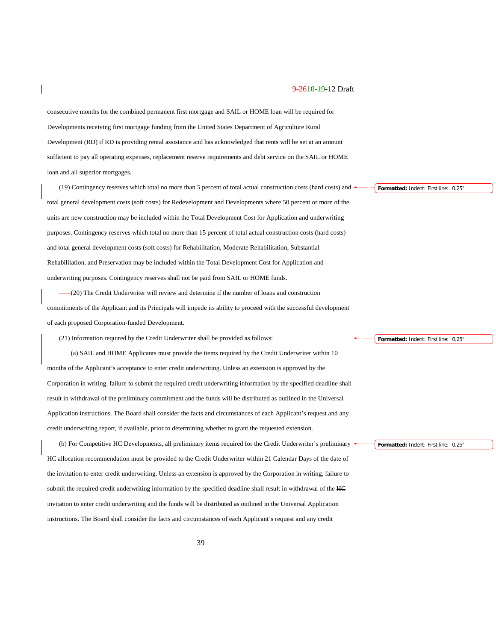consecutive months for the combined permanent first mortgage and SAIL or HOME loan will be required for Developments receiving first mortgage funding from the United States Department of Agriculture Rural Development (RD) if RD is providing rental assistance and has acknowledged that rents will be set at an amount sufficient to pay all operating expenses, replacement reserve requirements and debt service on the SAIL or HOME loan and all superior mortgages.

(19) Contingency reserves which total no more than 5 percent of total actual construction costs (hard costs) and total general development costs (soft costs) for Redevelopment and Developments where 50 percent or more of the units are new construction may be included within the Total Development Cost for Application and underwriting purposes. Contingency reserves which total no more than 15 percent of total actual construction costs (hard costs) and total general development costs (soft costs) for Rehabilitation, Moderate Rehabilitation, Substantial Rehabilitation, and Preservation may be included within the Total Development Cost for Application and underwriting purposes. Contingency reserves shall not be paid from SAIL or HOME funds.

(20) The Credit Underwriter will review and determine if the number of loans and construction commitments of the Applicant and its Principals will impede its ability to proceed with the successful development of each proposed Corporation-funded Development.

(21) Information required by the Credit Underwriter shall be provided as follows:

(a) SAIL and HOME Applicants must provide the items required by the Credit Underwriter within 10 months of the Applicant's acceptance to enter credit underwriting. Unless an extension is approved by the Corporation in writing, failure to submit the required credit underwriting information by the specified deadline shall result in withdrawal of the preliminary commitment and the funds will be distributed as outlined in the Universal Application instructions. The Board shall consider the facts and circumstances of each Applicant's request and any credit underwriting report, if available, prior to determining whether to grant the requested extension.

(b) For Competitive HC Developments, all preliminary items required for the Credit Underwriter's preliminary HC allocation recommendation must be provided to the Credit Underwriter within 21 Calendar Days of the date of the invitation to enter credit underwriting. Unless an extension is approved by the Corporation in writing, failure to submit the required credit underwriting information by the specified deadline shall result in withdrawal of the HC invitation to enter credit underwriting and the funds will be distributed as outlined in the Universal Application instructions. The Board shall consider the facts and circumstances of each Applicant's request and any credit

**Formatted:** Indent: First line: 0.25"

**Formatted:** Indent: First line: 0.25"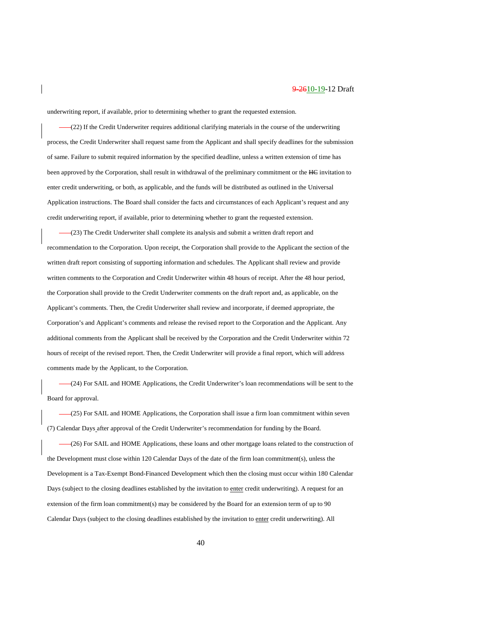underwriting report, if available, prior to determining whether to grant the requested extension.

(22) If the Credit Underwriter requires additional clarifying materials in the course of the underwriting process, the Credit Underwriter shall request same from the Applicant and shall specify deadlines for the submission of same. Failure to submit required information by the specified deadline, unless a written extension of time has been approved by the Corporation, shall result in withdrawal of the preliminary commitment or the HC invitation to enter credit underwriting, or both, as applicable, and the funds will be distributed as outlined in the Universal Application instructions. The Board shall consider the facts and circumstances of each Applicant's request and any credit underwriting report, if available, prior to determining whether to grant the requested extension.

(23) The Credit Underwriter shall complete its analysis and submit a written draft report and recommendation to the Corporation. Upon receipt, the Corporation shall provide to the Applicant the section of the written draft report consisting of supporting information and schedules. The Applicant shall review and provide written comments to the Corporation and Credit Underwriter within 48 hours of receipt. After the 48 hour period, the Corporation shall provide to the Credit Underwriter comments on the draft report and, as applicable, on the Applicant's comments. Then, the Credit Underwriter shall review and incorporate, if deemed appropriate, the Corporation's and Applicant's comments and release the revised report to the Corporation and the Applicant. Any additional comments from the Applicant shall be received by the Corporation and the Credit Underwriter within 72 hours of receipt of the revised report. Then, the Credit Underwriter will provide a final report, which will address comments made by the Applicant, to the Corporation.

(24) For SAIL and HOME Applications, the Credit Underwriter's loan recommendations will be sent to the Board for approval.

(25) For SAIL and HOME Applications, the Corporation shall issue a firm loan commitment within seven (7) Calendar Days after approval of the Credit Underwriter's recommendation for funding by the Board.

(26) For SAIL and HOME Applications, these loans and other mortgage loans related to the construction of the Development must close within 120 Calendar Days of the date of the firm loan commitment(s), unless the Development is a Tax-Exempt Bond-Financed Development which then the closing must occur within 180 Calendar Days (subject to the closing deadlines established by the invitation to enter credit underwriting). A request for an extension of the firm loan commitment(s) may be considered by the Board for an extension term of up to 90 Calendar Days (subject to the closing deadlines established by the invitation to enter credit underwriting). All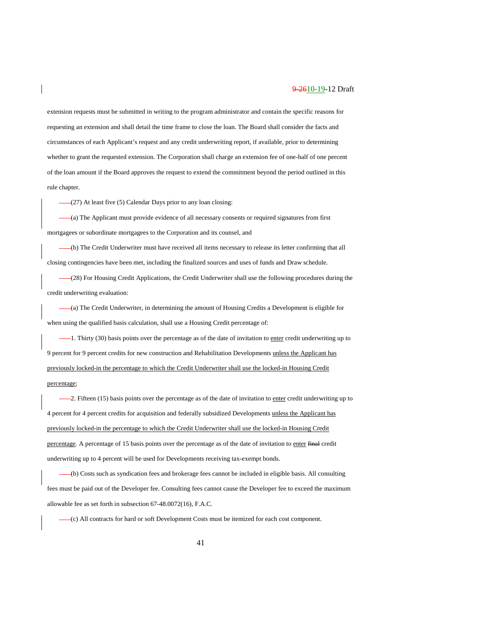extension requests must be submitted in writing to the program administrator and contain the specific reasons for requesting an extension and shall detail the time frame to close the loan. The Board shall consider the facts and circumstances of each Applicant's request and any credit underwriting report, if available, prior to determining whether to grant the requested extension. The Corporation shall charge an extension fee of one-half of one percent of the loan amount if the Board approves the request to extend the commitment beyond the period outlined in this rule chapter.

(27) At least five (5) Calendar Days prior to any loan closing:

(a) The Applicant must provide evidence of all necessary consents or required signatures from first mortgagees or subordinate mortgagees to the Corporation and its counsel, and

(b) The Credit Underwriter must have received all items necessary to release its letter confirming that all closing contingencies have been met, including the finalized sources and uses of funds and Draw schedule.

(28) For Housing Credit Applications, the Credit Underwriter shall use the following procedures during the credit underwriting evaluation:

(a) The Credit Underwriter, in determining the amount of Housing Credits a Development is eligible for when using the qualified basis calculation, shall use a Housing Credit percentage of:

-1. Thirty (30) basis points over the percentage as of the date of invitation to enter credit underwriting up to 9 percent for 9 percent credits for new construction and Rehabilitation Developments unless the Applicant has previously locked-in the percentage to which the Credit Underwriter shall use the locked-in Housing Credit percentage;

-2. Fifteen (15) basis points over the percentage as of the date of invitation to enter credit underwriting up to 4 percent for 4 percent credits for acquisition and federally subsidized Developments unless the Applicant has previously locked-in the percentage to which the Credit Underwriter shall use the locked-in Housing Credit percentage. A percentage of 15 basis points over the percentage as of the date of invitation to enter final credit underwriting up to 4 percent will be used for Developments receiving tax-exempt bonds.

(b) Costs such as syndication fees and brokerage fees cannot be included in eligible basis. All consulting fees must be paid out of the Developer fee. Consulting fees cannot cause the Developer fee to exceed the maximum allowable fee as set forth in subsection 67-48.0072(16), F.A.C.

(c) All contracts for hard or soft Development Costs must be itemized for each cost component.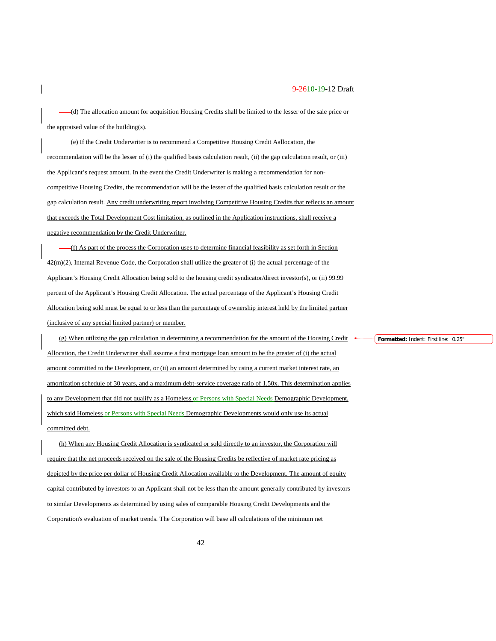(d) The allocation amount for acquisition Housing Credits shall be limited to the lesser of the sale price or the appraised value of the building(s).

(e) If the Credit Underwriter is to recommend a Competitive Housing Credit Aallocation, the recommendation will be the lesser of (i) the qualified basis calculation result, (ii) the gap calculation result, or (iii) the Applicant's request amount. In the event the Credit Underwriter is making a recommendation for noncompetitive Housing Credits, the recommendation will be the lesser of the qualified basis calculation result or the gap calculation result. Any credit underwriting report involving Competitive Housing Credits that reflects an amount that exceeds the Total Development Cost limitation, as outlined in the Application instructions, shall receive a negative recommendation by the Credit Underwriter.

(f) As part of the process the Corporation uses to determine financial feasibility as set forth in Section 42(m)(2), Internal Revenue Code, the Corporation shall utilize the greater of (i) the actual percentage of the Applicant's Housing Credit Allocation being sold to the housing credit syndicator/direct investor(s), or (ii) 99.99 percent of the Applicant's Housing Credit Allocation. The actual percentage of the Applicant's Housing Credit Allocation being sold must be equal to or less than the percentage of ownership interest held by the limited partner (inclusive of any special limited partner) or member.

(g) When utilizing the gap calculation in determining a recommendation for the amount of the Housing Credit Allocation, the Credit Underwriter shall assume a first mortgage loan amount to be the greater of (i) the actual amount committed to the Development, or (ii) an amount determined by using a current market interest rate, an amortization schedule of 30 years, and a maximum debt-service coverage ratio of 1.50x. This determination applies to any Development that did not qualify as a Homeless or Persons with Special Needs Demographic Development, which said Homeless or Persons with Special Needs Demographic Developments would only use its actual committed debt.

(h) When any Housing Credit Allocation is syndicated or sold directly to an investor, the Corporation will require that the net proceeds received on the sale of the Housing Credits be reflective of market rate pricing as depicted by the price per dollar of Housing Credit Allocation available to the Development. The amount of equity capital contributed by investors to an Applicant shall not be less than the amount generally contributed by investors to similar Developments as determined by using sales of comparable Housing Credit Developments and the Corporation's evaluation of market trends. The Corporation will base all calculations of the minimum net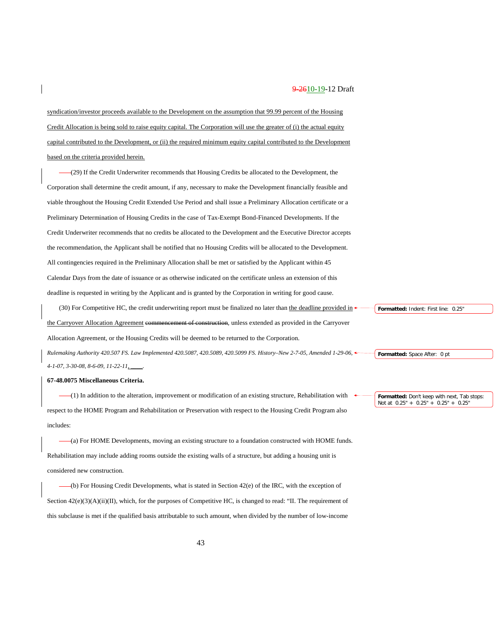syndication/investor proceeds available to the Development on the assumption that 99.99 percent of the Housing Credit Allocation is being sold to raise equity capital. The Corporation will use the greater of (i) the actual equity capital contributed to the Development, or (ii) the required minimum equity capital contributed to the Development based on the criteria provided herein.

(29) If the Credit Underwriter recommends that Housing Credits be allocated to the Development, the Corporation shall determine the credit amount, if any, necessary to make the Development financially feasible and viable throughout the Housing Credit Extended Use Period and shall issue a Preliminary Allocation certificate or a Preliminary Determination of Housing Credits in the case of Tax-Exempt Bond-Financed Developments. If the Credit Underwriter recommends that no credits be allocated to the Development and the Executive Director accepts the recommendation, the Applicant shall be notified that no Housing Credits will be allocated to the Development. All contingencies required in the Preliminary Allocation shall be met or satisfied by the Applicant within 45 Calendar Days from the date of issuance or as otherwise indicated on the certificate unless an extension of this deadline is requested in writing by the Applicant and is granted by the Corporation in writing for good cause.

(30) For Competitive HC, the credit underwriting report must be finalized no later than the deadline provided in the Carryover Allocation Agreement commencement of construction, unless extended as provided in the Carryover Allocation Agreement, or the Housing Credits will be deemed to be returned to the Corporation. *Rulemaking Authority 420.507 FS. Law Implemented 420.5087, 420.5089, 420.5099 FS. History–New 2-7-05, Amended 1-29-06, 4-1-07, 3-30-08, 8-6-09, 11-22-11, \_\_\_\_.*

#### **67-48.0075 Miscellaneous Criteria.**

(1) In addition to the alteration, improvement or modification of an existing structure, Rehabilitation with respect to the HOME Program and Rehabilitation or Preservation with respect to the Housing Credit Program also includes:

(a) For HOME Developments, moving an existing structure to a foundation constructed with HOME funds. Rehabilitation may include adding rooms outside the existing walls of a structure, but adding a housing unit is considered new construction.

(b) For Housing Credit Developments, what is stated in Section 42(e) of the IRC, with the exception of Section  $42(e)(3)(A)(ii)(II)$ , which, for the purposes of Competitive HC, is changed to read: "II. The requirement of this subclause is met if the qualified basis attributable to such amount, when divided by the number of low-income **Formatted:** Indent: First line: 0.25"

**Formatted:** Space After: 0 pt

**Formatted:** Don't keep with next, Tab stops: Not at 0.25" + 0.25" + 0.25" + 0.25"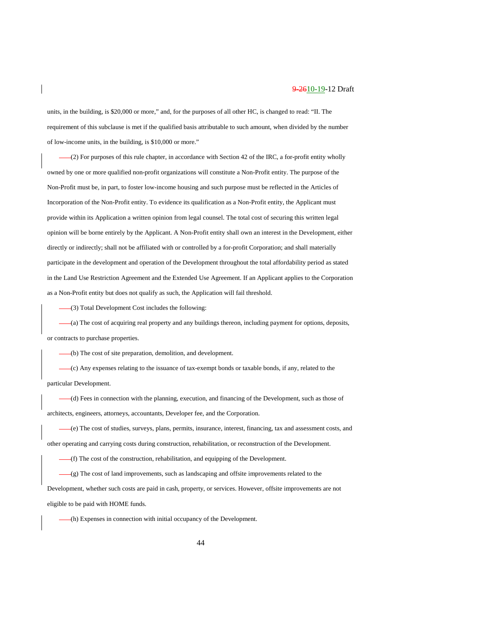units, in the building, is \$20,000 or more," and, for the purposes of all other HC, is changed to read: "II. The requirement of this subclause is met if the qualified basis attributable to such amount, when divided by the number of low-income units, in the building, is \$10,000 or more."

(2) For purposes of this rule chapter, in accordance with Section 42 of the IRC, a for-profit entity wholly owned by one or more qualified non-profit organizations will constitute a Non-Profit entity. The purpose of the Non-Profit must be, in part, to foster low-income housing and such purpose must be reflected in the Articles of Incorporation of the Non-Profit entity. To evidence its qualification as a Non-Profit entity, the Applicant must provide within its Application a written opinion from legal counsel. The total cost of securing this written legal opinion will be borne entirely by the Applicant. A Non-Profit entity shall own an interest in the Development, either directly or indirectly; shall not be affiliated with or controlled by a for-profit Corporation; and shall materially participate in the development and operation of the Development throughout the total affordability period as stated in the Land Use Restriction Agreement and the Extended Use Agreement. If an Applicant applies to the Corporation as a Non-Profit entity but does not qualify as such, the Application will fail threshold.

(3) Total Development Cost includes the following:

(a) The cost of acquiring real property and any buildings thereon, including payment for options, deposits, or contracts to purchase properties.

(b) The cost of site preparation, demolition, and development.

(c) Any expenses relating to the issuance of tax-exempt bonds or taxable bonds, if any, related to the particular Development.

(d) Fees in connection with the planning, execution, and financing of the Development, such as those of architects, engineers, attorneys, accountants, Developer fee, and the Corporation.

(e) The cost of studies, surveys, plans, permits, insurance, interest, financing, tax and assessment costs, and other operating and carrying costs during construction, rehabilitation, or reconstruction of the Development.

(f) The cost of the construction, rehabilitation, and equipping of the Development.

(g) The cost of land improvements, such as landscaping and offsite improvements related to the Development, whether such costs are paid in cash, property, or services. However, offsite improvements are not

eligible to be paid with HOME funds.

(h) Expenses in connection with initial occupancy of the Development.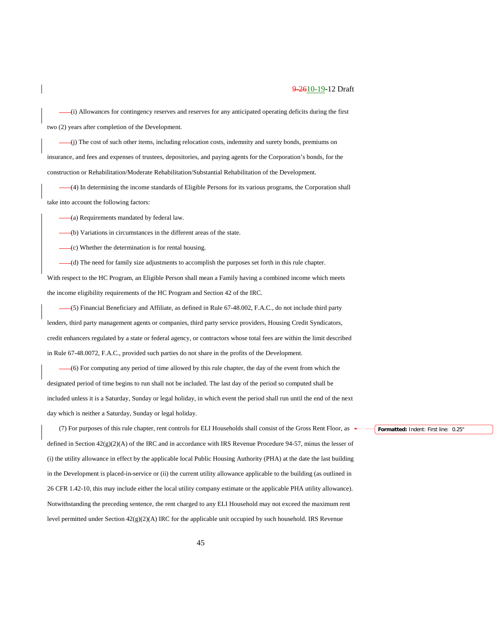(i) Allowances for contingency reserves and reserves for any anticipated operating deficits during the first two (2) years after completion of the Development.

(j) The cost of such other items, including relocation costs, indemnity and surety bonds, premiums on insurance, and fees and expenses of trustees, depositories, and paying agents for the Corporation's bonds, for the construction or Rehabilitation/Moderate Rehabilitation/Substantial Rehabilitation of the Development.

(4) In determining the income standards of Eligible Persons for its various programs, the Corporation shall take into account the following factors:

(a) Requirements mandated by federal law.

(b) Variations in circumstances in the different areas of the state.

(c) Whether the determination is for rental housing.

(d) The need for family size adjustments to accomplish the purposes set forth in this rule chapter.

With respect to the HC Program, an Eligible Person shall mean a Family having a combined income which meets the income eligibility requirements of the HC Program and Section 42 of the IRC.

(5) Financial Beneficiary and Affiliate, as defined in Rule 67-48.002, F.A.C., do not include third party lenders, third party management agents or companies, third party service providers, Housing Credit Syndicators, credit enhancers regulated by a state or federal agency, or contractors whose total fees are within the limit described in Rule 67-48.0072, F.A.C., provided such parties do not share in the profits of the Development.

(6) For computing any period of time allowed by this rule chapter, the day of the event from which the designated period of time begins to run shall not be included. The last day of the period so computed shall be included unless it is a Saturday, Sunday or legal holiday, in which event the period shall run until the end of the next day which is neither a Saturday, Sunday or legal holiday.

(7) For purposes of this rule chapter, rent controls for ELI Households shall consist of the Gross Rent Floor, as defined in Section  $42(g)(2)(A)$  of the IRC and in accordance with IRS Revenue Procedure 94-57, minus the lesser of (i) the utility allowance in effect by the applicable local Public Housing Authority (PHA) at the date the last building in the Development is placed-in-service or (ii) the current utility allowance applicable to the building (as outlined in 26 CFR 1.42-10, this may include either the local utility company estimate or the applicable PHA utility allowance). Notwithstanding the preceding sentence, the rent charged to any ELI Household may not exceed the maximum rent level permitted under Section 42(g)(2)(A) IRC for the applicable unit occupied by such household. IRS Revenue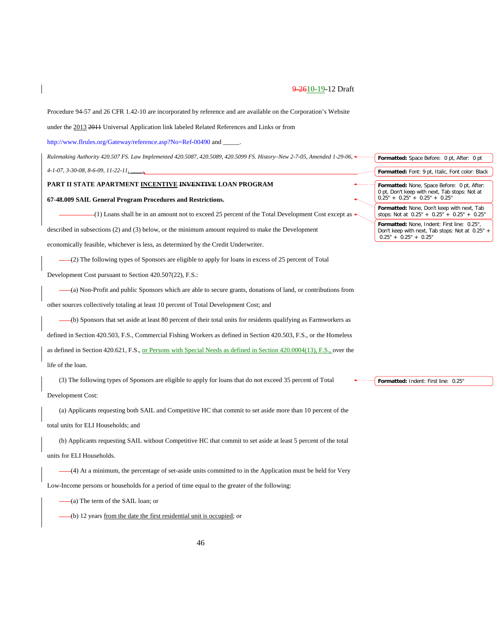Procedure 94-57 and 26 CFR 1.42-10 are incorporated by reference and are available on the Corporation's Website

under the 2013 2011 Universal Application link labeled Related References and Links or from

[http://www.flrules.org/Gateway/reference.asp?No=Ref-00490](https://www.flrules.org/Gateway/reference.asp?No=Ref-00490) and \_

*Rulemaking Authority 420.507 FS. Law Implemented 420.5087, 420.5089, 420.5099 FS. History–New 2-7-05, Amended 1-29-06, 4-1-07, 3-30-08, 8-6-09, 11-22-11, \_\_\_\_.*

#### **PART II STATE APARTMENT INCENTIVE INVENTIVE LOAN PROGRAM**

#### **67-48.009 SAIL General Program Procedures and Restrictions.**

 $-(1)$  Loans shall be in an amount not to exceed 25 percent of the Total Development Cost except as  $\leftarrow$ 

described in subsections (2) and (3) below, or the minimum amount required to make the Development

economically feasible, whichever is less, as determined by the Credit Underwriter.

(2) The following types of Sponsors are eligible to apply for loans in excess of 25 percent of Total

Development Cost pursuant to Section 420.507(22), F.S.:

(a) Non-Profit and public Sponsors which are able to secure grants, donations of land, or contributions from other sources collectively totaling at least 10 percent of Total Development Cost; and

(b) Sponsors that set aside at least 80 percent of their total units for residents qualifying as Farmworkers as defined in Section 420.503, F.S., Commercial Fishing Workers as defined in Section 420.503, F.S., or the Homeless as defined in Section 420.621, F.S., or Persons with Special Needs as defined in Section 420.0004(13), F.S., over the

# life of the loan.

(3) The following types of Sponsors are eligible to apply for loans that do not exceed 35 percent of Total Development Cost:

(a) Applicants requesting both SAIL and Competitive HC that commit to set aside more than 10 percent of the total units for ELI Households; and

(b) Applicants requesting SAIL without Competitive HC that commit to set aside at least 5 percent of the total units for ELI Households.

(4) At a minimum, the percentage of set-aside units committed to in the Application must be held for Very Low-Income persons or households for a period of time equal to the greater of the following:

(a) The term of the SAIL loan; or

(b) 12 years from the date the first residential unit is occupied; or

| <b>Formatted:</b> Space Before: 0 pt, After: 0 pt                                                                               |
|---------------------------------------------------------------------------------------------------------------------------------|
| <b>Formatted:</b> Font: 9 pt, Italic, Font color: Black                                                                         |
| Formatted: None, Space Before: 0 pt, After:<br>0 pt, Don't keep with next, Tab stops: Not at<br>$0.25" + 0.25" + 0.25" + 0.25"$ |
| Formatted: None, Don't keep with next, Tab<br>stops: Not at $0.25" + 0.25" + 0.25" + 0.25"$                                     |
| Formatted: None, Indent: First line: 0.25",<br>Don't keep with next, Tab stops: Not at 0.25" +<br>$0.25" + 0.25" + 0.25"$       |
|                                                                                                                                 |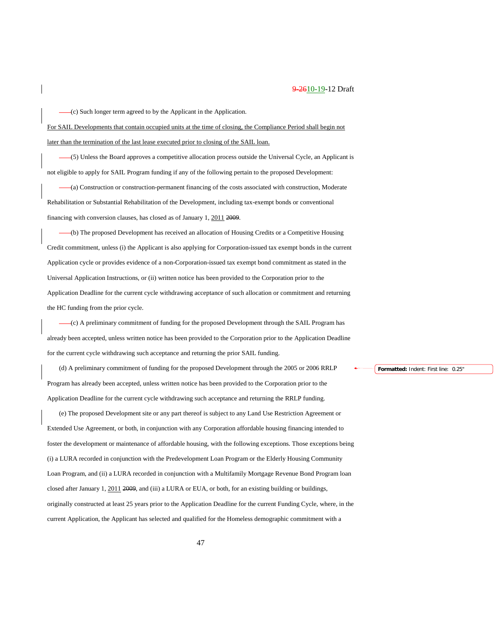(c) Such longer term agreed to by the Applicant in the Application.

For SAIL Developments that contain occupied units at the time of closing, the Compliance Period shall begin not later than the termination of the last lease executed prior to closing of the SAIL loan.

(5) Unless the Board approves a competitive allocation process outside the Universal Cycle, an Applicant is not eligible to apply for SAIL Program funding if any of the following pertain to the proposed Development:

(a) Construction or construction-permanent financing of the costs associated with construction, Moderate Rehabilitation or Substantial Rehabilitation of the Development, including tax-exempt bonds or conventional financing with conversion clauses, has closed as of January 1, 2011 2009.

(b) The proposed Development has received an allocation of Housing Credits or a Competitive Housing Credit commitment, unless (i) the Applicant is also applying for Corporation-issued tax exempt bonds in the current Application cycle or provides evidence of a non-Corporation-issued tax exempt bond commitment as stated in the Universal Application Instructions, or (ii) written notice has been provided to the Corporation prior to the Application Deadline for the current cycle withdrawing acceptance of such allocation or commitment and returning the HC funding from the prior cycle.

(c) A preliminary commitment of funding for the proposed Development through the SAIL Program has already been accepted, unless written notice has been provided to the Corporation prior to the Application Deadline for the current cycle withdrawing such acceptance and returning the prior SAIL funding.

(d) A preliminary commitment of funding for the proposed Development through the 2005 or 2006 RRLP Program has already been accepted, unless written notice has been provided to the Corporation prior to the Application Deadline for the current cycle withdrawing such acceptance and returning the RRLP funding.

(e) The proposed Development site or any part thereof is subject to any Land Use Restriction Agreement or Extended Use Agreement, or both, in conjunction with any Corporation affordable housing financing intended to foster the development or maintenance of affordable housing, with the following exceptions. Those exceptions being (i) a LURA recorded in conjunction with the Predevelopment Loan Program or the Elderly Housing Community Loan Program, and (ii) a LURA recorded in conjunction with a Multifamily Mortgage Revenue Bond Program loan closed after January 1, 2011 2009, and (iii) a LURA or EUA, or both, for an existing building or buildings, originally constructed at least 25 years prior to the Application Deadline for the current Funding Cycle, where, in the current Application, the Applicant has selected and qualified for the Homeless demographic commitment with a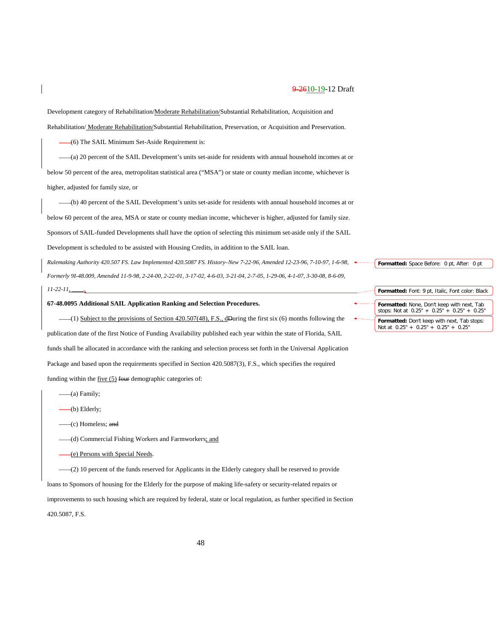Development category of Rehabilitation/Moderate Rehabilitation/Substantial Rehabilitation, Acquisition and Rehabilitation/ Moderate Rehabilitation/Substantial Rehabilitation, Preservation, or Acquisition and Preservation.

(6) The SAIL Minimum Set-Aside Requirement is:

(a) 20 percent of the SAIL Development's units set-aside for residents with annual household incomes at or below 50 percent of the area, metropolitan statistical area ("MSA") or state or county median income, whichever is higher, adjusted for family size, or

(b) 40 percent of the SAIL Development's units set-aside for residents with annual household incomes at or below 60 percent of the area, MSA or state or county median income, whichever is higher, adjusted for family size. Sponsors of SAIL-funded Developments shall have the option of selecting this minimum set-aside only if the SAIL Development is scheduled to be assisted with Housing Credits, in addition to the SAIL loan.

*Rulemaking Authority 420.507 FS. Law Implemented 420.5087 FS. History–New 7-22-96, Amended 12-23-96, 7-10-97, 1-6-98, Formerly 9I-48.009, Amended 11-9-98, 2-24-00, 2-22-01, 3-17-02, 4-6-03, 3-21-04, 2-7-05, 1-29-06, 4-1-07, 3-30-08, 8-6-09,* 

*11-22-11, \_\_\_\_.*

# **67-48.0095 Additional SAIL Application Ranking and Selection Procedures.**

 $-(1)$  Subject to the provisions of Section 420.507(48), F.S., dDuring the first six (6) months following the publication date of the first Notice of Funding Availability published each year within the state of Florida, SAIL funds shall be allocated in accordance with the ranking and selection process set forth in the Universal Application Package and based upon the requirements specified in Section 420.5087(3), F.S., which specifies the required funding within the  $five (5)$  four demographic categories of:

- $-(a)$  Family;
- (b) Elderly;
- (c) Homeless; and
- (d) Commercial Fishing Workers and Farmworkers; and
- (e) Persons with Special Needs.

(2) 10 percent of the funds reserved for Applicants in the Elderly category shall be reserved to provide loans to Sponsors of housing for the Elderly for the purpose of making life-safety or security-related repairs or improvements to such housing which are required by federal, state or local regulation, as further specified in Section 420.5087, F.S.

**Formatted:** Space Before: 0 pt, After: 0 pt

**Formatted:** Font: 9 pt, Italic, Font color: Black **Formatted:** None, Don't keep with next, Tab stops: Not at 0.25" + 0.25" + 0.25" + 0.25" **Formatted:** Don't keep with next, Tab stops: Not at 0.25" + 0.25" + 0.25" + 0.25"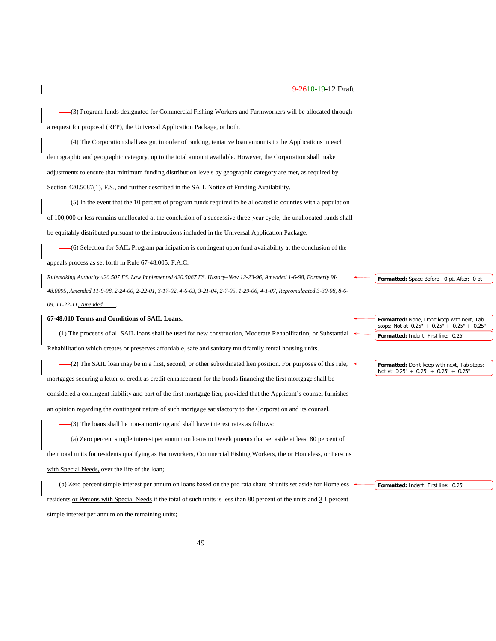(3) Program funds designated for Commercial Fishing Workers and Farmworkers will be allocated through a request for proposal (RFP), the Universal Application Package, or both.

(4) The Corporation shall assign, in order of ranking, tentative loan amounts to the Applications in each demographic and geographic category, up to the total amount available. However, the Corporation shall make adjustments to ensure that minimum funding distribution levels by geographic category are met, as required by Section 420.5087(1), F.S., and further described in the SAIL Notice of Funding Availability.

(5) In the event that the 10 percent of program funds required to be allocated to counties with a population of 100,000 or less remains unallocated at the conclusion of a successive three-year cycle, the unallocated funds shall be equitably distributed pursuant to the instructions included in the Universal Application Package.

(6) Selection for SAIL Program participation is contingent upon fund availability at the conclusion of the appeals process as set forth in Rule 67-48.005, F.A.C.

*Rulemaking Authority 420.507 FS. Law Implemented 420.5087 FS. History–New 12-23-96, Amended 1-6-98, Formerly 9I-48.0095, Amended 11-9-98, 2-24-00, 2-22-01, 3-17-02, 4-6-03, 3-21-04, 2-7-05, 1-29-06, 4-1-07, Repromulgated 3-30-08, 8-6- 09, 11-22-11, Amended \_\_\_\_.*

# **67-48.010 Terms and Conditions of SAIL Loans.**

(1) The proceeds of all SAIL loans shall be used for new construction, Moderate Rehabilitation, or Substantial Rehabilitation which creates or preserves affordable, safe and sanitary multifamily rental housing units.

(2) The SAIL loan may be in a first, second, or other subordinated lien position. For purposes of this rule, mortgages securing a letter of credit as credit enhancement for the bonds financing the first mortgage shall be considered a contingent liability and part of the first mortgage lien, provided that the Applicant's counsel furnishes an opinion regarding the contingent nature of such mortgage satisfactory to the Corporation and its counsel.

(3) The loans shall be non-amortizing and shall have interest rates as follows:

(a) Zero percent simple interest per annum on loans to Developments that set aside at least 80 percent of their total units for residents qualifying as Farmworkers, Commercial Fishing Workers, the  $\omega$  Homeless, or Persons with Special Needs, over the life of the loan;

(b) Zero percent simple interest per annum on loans based on the pro rata share of units set aside for Homeless residents or Persons with Special Needs if the total of such units is less than 80 percent of the units and  $\frac{3}{2}$  1 percent simple interest per annum on the remaining units;

**Formatted:** None, Don't keep with next, Tab stops: Not at 0.25" + 0.25" + 0.25" + 0.25" Formatted: Indent: First line: 0.25

**Formatted:** Space Before: 0 pt, After: 0 pt

**Formatted:** Don't keep with next, Tab stops: Not at 0.25" + 0.25" + 0.25" + 0.25"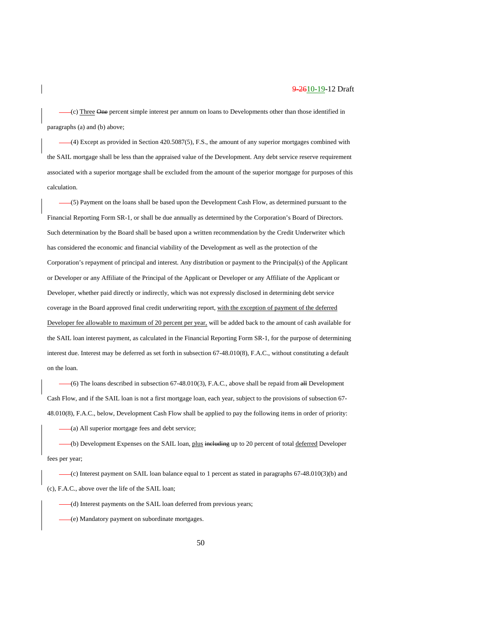(c) Three One percent simple interest per annum on loans to Developments other than those identified in paragraphs (a) and (b) above;

(4) Except as provided in Section 420.5087(5), F.S., the amount of any superior mortgages combined with the SAIL mortgage shall be less than the appraised value of the Development. Any debt service reserve requirement associated with a superior mortgage shall be excluded from the amount of the superior mortgage for purposes of this calculation.

(5) Payment on the loans shall be based upon the Development Cash Flow, as determined pursuant to the Financial Reporting Form SR-1, or shall be due annually as determined by the Corporation's Board of Directors. Such determination by the Board shall be based upon a written recommendation by the Credit Underwriter which has considered the economic and financial viability of the Development as well as the protection of the Corporation's repayment of principal and interest. Any distribution or payment to the Principal(s) of the Applicant or Developer or any Affiliate of the Principal of the Applicant or Developer or any Affiliate of the Applicant or Developer, whether paid directly or indirectly, which was not expressly disclosed in determining debt service coverage in the Board approved final credit underwriting report, with the exception of payment of the deferred Developer fee allowable to maximum of 20 percent per year, will be added back to the amount of cash available for the SAIL loan interest payment, as calculated in the Financial Reporting Form SR-1, for the purpose of determining interest due. Interest may be deferred as set forth in subsection 67-48.010(8), F.A.C., without constituting a default on the loan.

(6) The loans described in subsection 67-48.010(3), F.A.C., above shall be repaid from all Development Cash Flow, and if the SAIL loan is not a first mortgage loan, each year, subject to the provisions of subsection 67- 48.010(8), F.A.C., below, Development Cash Flow shall be applied to pay the following items in order of priority:

(a) All superior mortgage fees and debt service;

(b) Development Expenses on the SAIL loan, plus including up to 20 percent of total deferred Developer fees per year;

(c) Interest payment on SAIL loan balance equal to 1 percent as stated in paragraphs 67-48.010(3)(b) and (c), F.A.C., above over the life of the SAIL loan;

(d) Interest payments on the SAIL loan deferred from previous years;

(e) Mandatory payment on subordinate mortgages.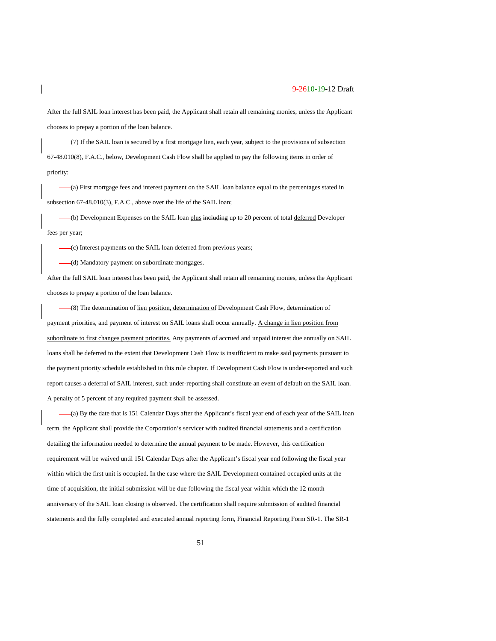After the full SAIL loan interest has been paid, the Applicant shall retain all remaining monies, unless the Applicant chooses to prepay a portion of the loan balance.

(7) If the SAIL loan is secured by a first mortgage lien, each year, subject to the provisions of subsection 67-48.010(8), F.A.C., below, Development Cash Flow shall be applied to pay the following items in order of priority:

(a) First mortgage fees and interest payment on the SAIL loan balance equal to the percentages stated in subsection 67-48.010(3), F.A.C., above over the life of the SAIL loan;

(b) Development Expenses on the SAIL loan plus including up to 20 percent of total deferred Developer fees per year;

(c) Interest payments on the SAIL loan deferred from previous years;

(d) Mandatory payment on subordinate mortgages.

After the full SAIL loan interest has been paid, the Applicant shall retain all remaining monies, unless the Applicant chooses to prepay a portion of the loan balance.

(8) The determination of lien position, determination of Development Cash Flow, determination of payment priorities, and payment of interest on SAIL loans shall occur annually. A change in lien position from subordinate to first changes payment priorities. Any payments of accrued and unpaid interest due annually on SAIL loans shall be deferred to the extent that Development Cash Flow is insufficient to make said payments pursuant to the payment priority schedule established in this rule chapter. If Development Cash Flow is under-reported and such report causes a deferral of SAIL interest, such under-reporting shall constitute an event of default on the SAIL loan. A penalty of 5 percent of any required payment shall be assessed.

(a) By the date that is 151 Calendar Days after the Applicant's fiscal year end of each year of the SAIL loan term, the Applicant shall provide the Corporation's servicer with audited financial statements and a certification detailing the information needed to determine the annual payment to be made. However, this certification requirement will be waived until 151 Calendar Days after the Applicant's fiscal year end following the fiscal year within which the first unit is occupied. In the case where the SAIL Development contained occupied units at the time of acquisition, the initial submission will be due following the fiscal year within which the 12 month anniversary of the SAIL loan closing is observed. The certification shall require submission of audited financial statements and the fully completed and executed annual reporting form, Financial Reporting Form SR-1. The SR-1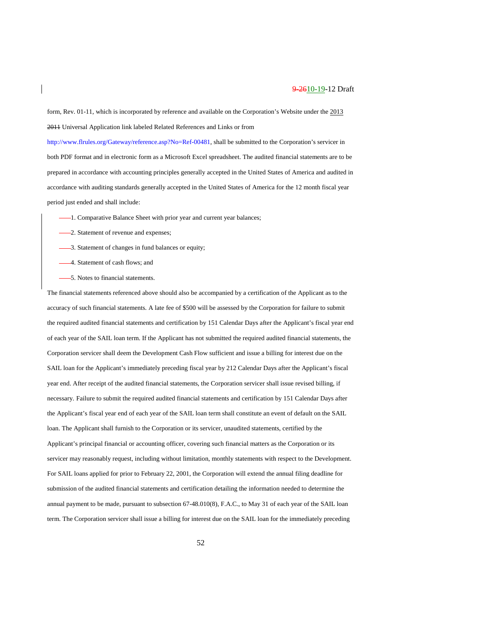form, Rev. 01-11, which is incorporated by reference and available on the Corporation's Website under the 2013 2011 Universal Application link labeled Related References and Links or from

[http://www.flrules.org/Gateway/reference.asp?No=Ref-00481,](https://www.flrules.org/Gateway/reference.asp?No=Ref-00481) shall be submitted to the Corporation's servicer in both PDF format and in electronic form as a Microsoft Excel spreadsheet. The audited financial statements are to be prepared in accordance with accounting principles generally accepted in the United States of America and audited in accordance with auditing standards generally accepted in the United States of America for the 12 month fiscal year period just ended and shall include:

- -1. Comparative Balance Sheet with prior year and current year balances;
- -2. Statement of revenue and expenses;
- 3. Statement of changes in fund balances or equity;
- 4. Statement of cash flows; and
- 5. Notes to financial statements.

The financial statements referenced above should also be accompanied by a certification of the Applicant as to the accuracy of such financial statements. A late fee of \$500 will be assessed by the Corporation for failure to submit the required audited financial statements and certification by 151 Calendar Days after the Applicant's fiscal year end of each year of the SAIL loan term. If the Applicant has not submitted the required audited financial statements, the Corporation servicer shall deem the Development Cash Flow sufficient and issue a billing for interest due on the SAIL loan for the Applicant's immediately preceding fiscal year by 212 Calendar Days after the Applicant's fiscal year end. After receipt of the audited financial statements, the Corporation servicer shall issue revised billing, if necessary. Failure to submit the required audited financial statements and certification by 151 Calendar Days after the Applicant's fiscal year end of each year of the SAIL loan term shall constitute an event of default on the SAIL loan. The Applicant shall furnish to the Corporation or its servicer, unaudited statements, certified by the Applicant's principal financial or accounting officer, covering such financial matters as the Corporation or its servicer may reasonably request, including without limitation, monthly statements with respect to the Development. For SAIL loans applied for prior to February 22, 2001, the Corporation will extend the annual filing deadline for submission of the audited financial statements and certification detailing the information needed to determine the annual payment to be made, pursuant to subsection 67-48.010(8), F.A.C., to May 31 of each year of the SAIL loan term. The Corporation servicer shall issue a billing for interest due on the SAIL loan for the immediately preceding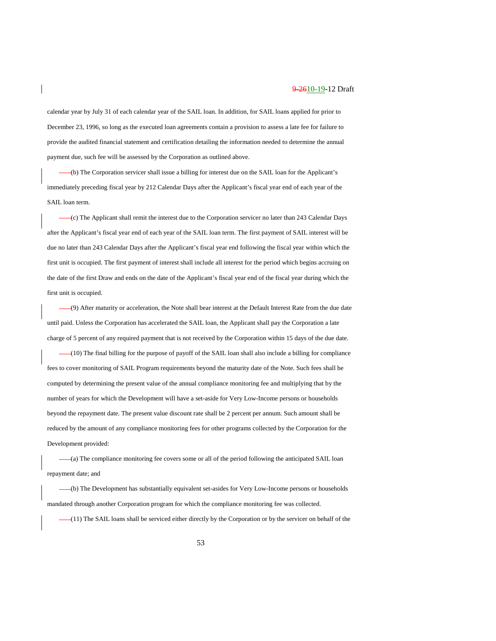calendar year by July 31 of each calendar year of the SAIL loan. In addition, for SAIL loans applied for prior to December 23, 1996, so long as the executed loan agreements contain a provision to assess a late fee for failure to provide the audited financial statement and certification detailing the information needed to determine the annual payment due, such fee will be assessed by the Corporation as outlined above.

(b) The Corporation servicer shall issue a billing for interest due on the SAIL loan for the Applicant's immediately preceding fiscal year by 212 Calendar Days after the Applicant's fiscal year end of each year of the SAIL loan term.

(c) The Applicant shall remit the interest due to the Corporation servicer no later than 243 Calendar Days after the Applicant's fiscal year end of each year of the SAIL loan term. The first payment of SAIL interest will be due no later than 243 Calendar Days after the Applicant's fiscal year end following the fiscal year within which the first unit is occupied. The first payment of interest shall include all interest for the period which begins accruing on the date of the first Draw and ends on the date of the Applicant's fiscal year end of the fiscal year during which the first unit is occupied.

(9) After maturity or acceleration, the Note shall bear interest at the Default Interest Rate from the due date until paid. Unless the Corporation has accelerated the SAIL loan, the Applicant shall pay the Corporation a late charge of 5 percent of any required payment that is not received by the Corporation within 15 days of the due date.

(10) The final billing for the purpose of payoff of the SAIL loan shall also include a billing for compliance fees to cover monitoring of SAIL Program requirements beyond the maturity date of the Note. Such fees shall be computed by determining the present value of the annual compliance monitoring fee and multiplying that by the number of years for which the Development will have a set-aside for Very Low-Income persons or households beyond the repayment date. The present value discount rate shall be 2 percent per annum. Such amount shall be reduced by the amount of any compliance monitoring fees for other programs collected by the Corporation for the Development provided:

(a) The compliance monitoring fee covers some or all of the period following the anticipated SAIL loan repayment date; and

(b) The Development has substantially equivalent set-asides for Very Low-Income persons or households mandated through another Corporation program for which the compliance monitoring fee was collected.

(11) The SAIL loans shall be serviced either directly by the Corporation or by the servicer on behalf of the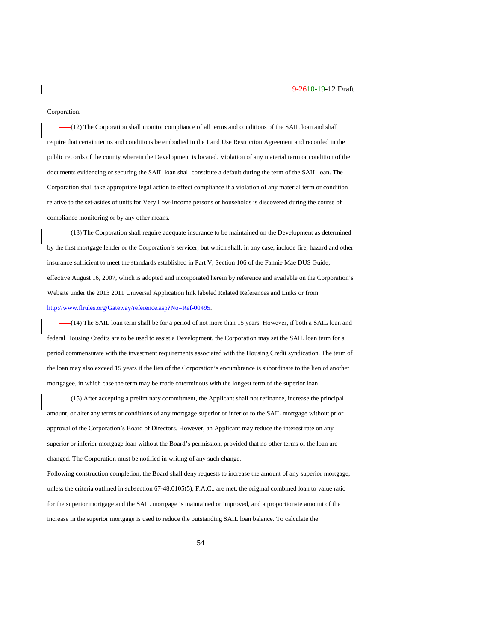#### Corporation.

(12) The Corporation shall monitor compliance of all terms and conditions of the SAIL loan and shall require that certain terms and conditions be embodied in the Land Use Restriction Agreement and recorded in the public records of the county wherein the Development is located. Violation of any material term or condition of the documents evidencing or securing the SAIL loan shall constitute a default during the term of the SAIL loan. The Corporation shall take appropriate legal action to effect compliance if a violation of any material term or condition relative to the set-asides of units for Very Low-Income persons or households is discovered during the course of compliance monitoring or by any other means.

(13) The Corporation shall require adequate insurance to be maintained on the Development as determined by the first mortgage lender or the Corporation's servicer, but which shall, in any case, include fire, hazard and other insurance sufficient to meet the standards established in Part V, Section 106 of the Fannie Mae DUS Guide, effective August 16, 2007, which is adopted and incorporated herein by reference and available on the Corporation's Website under the 2013 2011 Universal Application link labeled Related References and Links or from [http://www.flrules.org/Gateway/reference.asp?No=Ref-00495.](https://www.flrules.org/Gateway/reference.asp?No=Ref-00495)

(14) The SAIL loan term shall be for a period of not more than 15 years. However, if both a SAIL loan and federal Housing Credits are to be used to assist a Development, the Corporation may set the SAIL loan term for a period commensurate with the investment requirements associated with the Housing Credit syndication. The term of the loan may also exceed 15 years if the lien of the Corporation's encumbrance is subordinate to the lien of another mortgagee, in which case the term may be made coterminous with the longest term of the superior loan.

(15) After accepting a preliminary commitment, the Applicant shall not refinance, increase the principal amount, or alter any terms or conditions of any mortgage superior or inferior to the SAIL mortgage without prior approval of the Corporation's Board of Directors. However, an Applicant may reduce the interest rate on any superior or inferior mortgage loan without the Board's permission, provided that no other terms of the loan are changed. The Corporation must be notified in writing of any such change.

Following construction completion, the Board shall deny requests to increase the amount of any superior mortgage, unless the criteria outlined in subsection 67-48.0105(5), F.A.C., are met, the original combined loan to value ratio for the superior mortgage and the SAIL mortgage is maintained or improved, and a proportionate amount of the increase in the superior mortgage is used to reduce the outstanding SAIL loan balance. To calculate the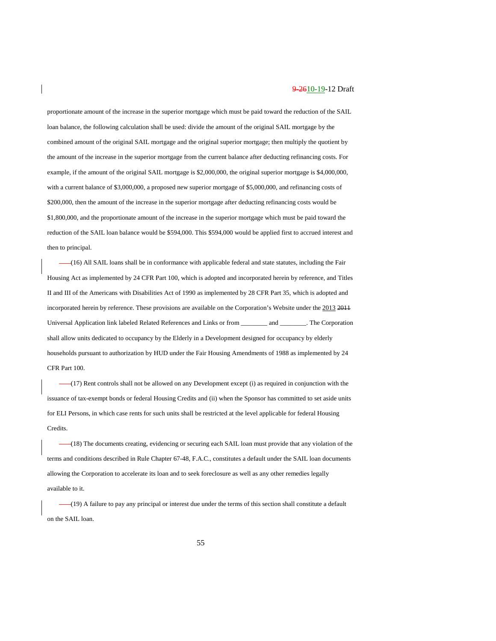proportionate amount of the increase in the superior mortgage which must be paid toward the reduction of the SAIL loan balance, the following calculation shall be used: divide the amount of the original SAIL mortgage by the combined amount of the original SAIL mortgage and the original superior mortgage; then multiply the quotient by the amount of the increase in the superior mortgage from the current balance after deducting refinancing costs. For example, if the amount of the original SAIL mortgage is \$2,000,000, the original superior mortgage is \$4,000,000, with a current balance of \$3,000,000, a proposed new superior mortgage of \$5,000,000, and refinancing costs of \$200,000, then the amount of the increase in the superior mortgage after deducting refinancing costs would be \$1,800,000, and the proportionate amount of the increase in the superior mortgage which must be paid toward the reduction of the SAIL loan balance would be \$594,000. This \$594,000 would be applied first to accrued interest and then to principal.

(16) All SAIL loans shall be in conformance with applicable federal and state statutes, including the Fair Housing Act as implemented by 24 CFR Part 100, which is adopted and incorporated herein by reference, and Titles II and III of the Americans with Disabilities Act of 1990 as implemented by 28 CFR Part 35, which is adopted and incorporated herein by reference. These provisions are available on the Corporation's Website under the 2013 2011 Universal Application link labeled Related References and Links or from \_\_\_\_\_\_\_\_ and \_\_\_\_\_\_\_\_. The Corporation shall allow units dedicated to occupancy by the Elderly in a Development designed for occupancy by elderly households pursuant to authorization by HUD under the Fair Housing Amendments of 1988 as implemented by 24 CFR Part 100.

(17) Rent controls shall not be allowed on any Development except (i) as required in conjunction with the issuance of tax-exempt bonds or federal Housing Credits and (ii) when the Sponsor has committed to set aside units for ELI Persons, in which case rents for such units shall be restricted at the level applicable for federal Housing Credits.

(18) The documents creating, evidencing or securing each SAIL loan must provide that any violation of the terms and conditions described in Rule Chapter 67-48, F.A.C., constitutes a default under the SAIL loan documents allowing the Corporation to accelerate its loan and to seek foreclosure as well as any other remedies legally available to it.

(19) A failure to pay any principal or interest due under the terms of this section shall constitute a default on the SAIL loan.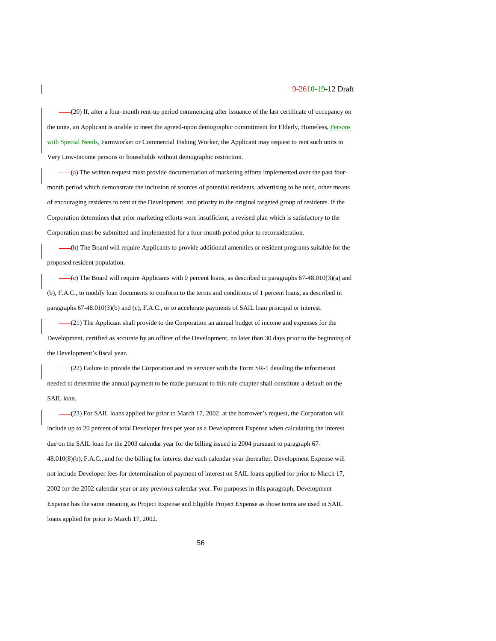(20) If, after a four-month rent-up period commencing after issuance of the last certificate of occupancy on the units, an Applicant is unable to meet the agreed-upon demographic commitment for Elderly, Homeless, Persons with Special Needs, Farmworker or Commercial Fishing Worker, the Applicant may request to rent such units to Very Low-Income persons or households without demographic restriction.

(a) The written request must provide documentation of marketing efforts implemented over the past fourmonth period which demonstrate the inclusion of sources of potential residents, advertising to be used, other means of encouraging residents to rent at the Development, and priority to the original targeted group of residents. If the Corporation determines that prior marketing efforts were insufficient, a revised plan which is satisfactory to the Corporation must be submitted and implemented for a four-month period prior to reconsideration.

(b) The Board will require Applicants to provide additional amenities or resident programs suitable for the proposed resident population.

 $-(c)$  The Board will require Applicants with 0 percent loans, as described in paragraphs  $67-48.010(3)(a)$  and (b), F.A.C., to modify loan documents to conform to the terms and conditions of 1 percent loans, as described in paragraphs 67-48.010(3)(b) and (c), F.A.C., or to accelerate payments of SAIL loan principal or interest.

 $-(21)$  The Applicant shall provide to the Corporation an annual budget of income and expenses for the Development, certified as accurate by an officer of the Development, no later than 30 days prior to the beginning of the Development's fiscal year.

 $-(22)$  Failure to provide the Corporation and its servicer with the Form SR-1 detailing the information needed to determine the annual payment to be made pursuant to this rule chapter shall constitute a default on the SAIL loan.

(23) For SAIL loans applied for prior to March 17, 2002, at the borrower's request, the Corporation will include up to 20 percent of total Developer fees per year as a Development Expense when calculating the interest due on the SAIL loan for the 2003 calendar year for the billing issued in 2004 pursuant to paragraph 67- 48.010(8)(b), F.A.C., and for the billing for interest due each calendar year thereafter. Development Expense will not include Developer fees for determination of payment of interest on SAIL loans applied for prior to March 17, 2002 for the 2002 calendar year or any previous calendar year. For purposes in this paragraph, Development Expense has the same meaning as Project Expense and Eligible Project Expense as those terms are used in SAIL loans applied for prior to March 17, 2002.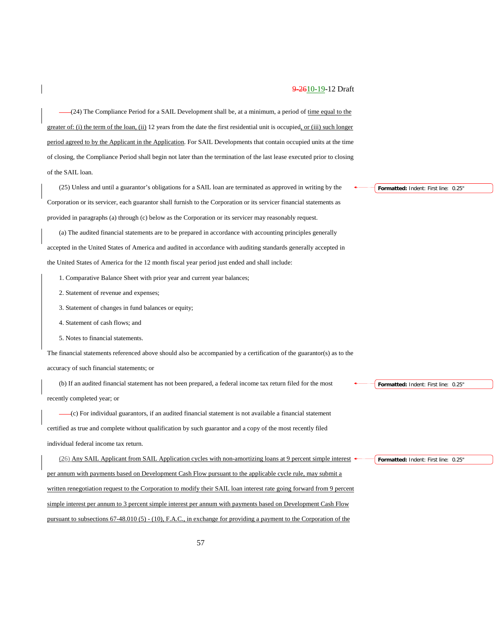(24) The Compliance Period for a SAIL Development shall be, at a minimum, a period of time equal to the greater of: (i) the term of the loan, (ii) 12 years from the date the first residential unit is occupied, or (iii) such longer period agreed to by the Applicant in the Application. For SAIL Developments that contain occupied units at the time of closing, the Compliance Period shall begin not later than the termination of the last lease executed prior to closing of the SAIL loan.

(25) Unless and until a guarantor's obligations for a SAIL loan are terminated as approved in writing by the Corporation or its servicer, each guarantor shall furnish to the Corporation or its servicer financial statements as provided in paragraphs (a) through (c) below as the Corporation or its servicer may reasonably request.

(a) The audited financial statements are to be prepared in accordance with accounting principles generally accepted in the United States of America and audited in accordance with auditing standards generally accepted in the United States of America for the 12 month fiscal year period just ended and shall include:

- 1. Comparative Balance Sheet with prior year and current year balances;
- 2. Statement of revenue and expenses;
- 3. Statement of changes in fund balances or equity;
- 4. Statement of cash flows; and
- 5. Notes to financial statements.

The financial statements referenced above should also be accompanied by a certification of the guarantor(s) as to the

accuracy of such financial statements; or

(b) If an audited financial statement has not been prepared, a federal income tax return filed for the most recently completed year; or

(c) For individual guarantors, if an audited financial statement is not available a financial statement certified as true and complete without qualification by such guarantor and a copy of the most recently filed individual federal income tax return.

(26) Any SAIL Applicant from SAIL Application cycles with non-amortizing loans at 9 percent simple interest per annum with payments based on Development Cash Flow pursuant to the applicable cycle rule, may submit a written renegotiation request to the Corporation to modify their SAIL loan interest rate going forward from 9 percent simple interest per annum to 3 percent simple interest per annum with payments based on Development Cash Flow pursuant to subsections 67-48.010 (5) - (10), F.A.C., in exchange for providing a payment to the Corporation of the

**Formatted:** Indent: First line: 0.25"

**Formatted:** Indent: First line: 0.25"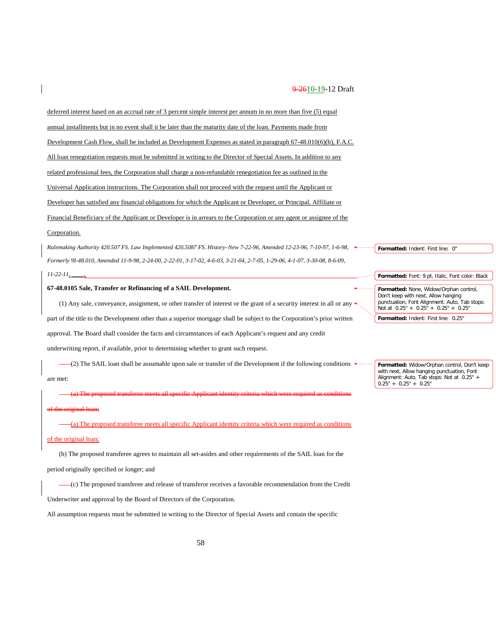deferred interest based on an accrual rate of 3 percent simple interest per annum in no more than five (5) equal annual installments but in no event shall it be later than the maturity date of the loan. Payments made from Development Cash Flow, shall be included as Development Expenses as stated in paragraph 67-48.010(6)(b), F.A.C. All loan renegotiation requests must be submitted in writing to the Director of Special Assets. In addition to any related professional fees, the Corporation shall charge a non-refundable renegotiation fee as outlined in the Universal Application instructions. The Corporation shall not proceed with the request until the Applicant or Developer has satisfied any financial obligations for which the Applicant or Developer, or Principal, Affiliate or Financial Beneficiary of the Applicant or Developer is in arrears to the Corporation or any agent or assignee of the

#### Corporation.

*Rulemaking Authority 420.507 FS. Law Implemented 420.5087 FS. History–New 7-22-96, Amended 12-23-96, 7-10-97, 1-6-98, Formerly 9I-48.010, Amended 11-9-98, 2-24-00, 2-22-01, 3-17-02, 4-6-03, 3-21-04, 2-7-05, 1-29-06, 4-1-07, 3-30-08, 8-6-09,* 

#### *11-22-11, \_\_\_\_.*

# **67-48.0105 Sale, Transfer or Refinancing of a SAIL Development.**

(1) Any sale, conveyance, assignment, or other transfer of interest or the grant of a security interest in all or any part of the title to the Development other than a superior mortgage shall be subject to the Corporation's prior written approval. The Board shall consider the facts and circumstances of each Applicant's request and any credit underwriting report, if available, prior to determining whether to grant such request.

(2) The SAIL loan shall be assumable upon sale or transfer of the Development if the following conditions are met:

(a) The proposed transferee meets all specific Applicant identity criteria which were required as conditions of the original loan;

(a) The proposed transferee meets all specific Applicant identity criteria which were required as conditions of the original loan;

(b) The proposed transferee agrees to maintain all set-asides and other requirements of the SAIL loan for the period originally specified or longer; and

(c) The proposed transferee and release of transferor receives a favorable recommendation from the Credit

Underwriter and approval by the Board of Directors of the Corporation.

All assumption requests must be submitted in writing to the Director of Special Assets and contain the specific

**Formatted:** Indent: First line: 0"

**Formatted:** Font: 9 pt, Italic, Font color: Black **Formatted:** None, Widow/Orphan control, Don't keep with next, Allow hanging punctuation, Font Alignment: Auto, Tab stops: Not at 0.25" + 0.25" + 0.25" + 0.25"

**Formatted:** Indent: First line: 0.25"

**Formatted:** Widow/Orphan control, Don't keep with next, Allow hanging punctuation, Font Alignment: Auto, Tab stops: Not at 0.25" + 0.25" + 0.25" + 0.25"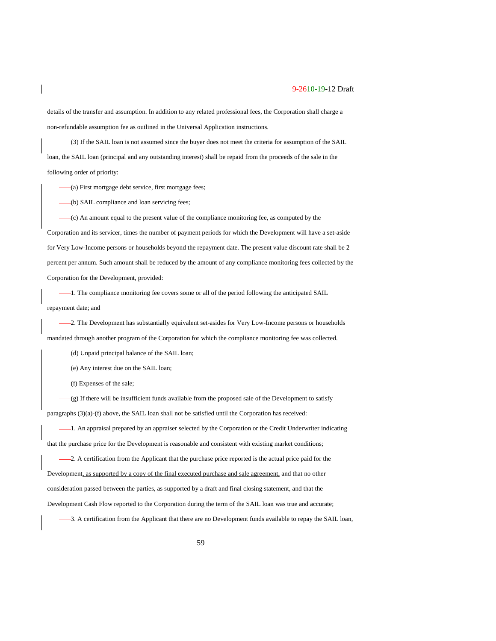details of the transfer and assumption. In addition to any related professional fees, the Corporation shall charge a non-refundable assumption fee as outlined in the Universal Application instructions.

(3) If the SAIL loan is not assumed since the buyer does not meet the criteria for assumption of the SAIL loan, the SAIL loan (principal and any outstanding interest) shall be repaid from the proceeds of the sale in the following order of priority:

(a) First mortgage debt service, first mortgage fees;

(b) SAIL compliance and loan servicing fees;

(c) An amount equal to the present value of the compliance monitoring fee, as computed by the Corporation and its servicer, times the number of payment periods for which the Development will have a set-aside for Very Low-Income persons or households beyond the repayment date. The present value discount rate shall be 2 percent per annum. Such amount shall be reduced by the amount of any compliance monitoring fees collected by the Corporation for the Development, provided:

1. The compliance monitoring fee covers some or all of the period following the anticipated SAIL repayment date; and

-2. The Development has substantially equivalent set-asides for Very Low-Income persons or households mandated through another program of the Corporation for which the compliance monitoring fee was collected.

(d) Unpaid principal balance of the SAIL loan;

(e) Any interest due on the SAIL loan;

(f) Expenses of the sale;

(g) If there will be insufficient funds available from the proposed sale of the Development to satisfy paragraphs (3)(a)-(f) above, the SAIL loan shall not be satisfied until the Corporation has received:

 $-1$ . An appraisal prepared by an appraiser selected by the Corporation or the Credit Underwriter indicating that the purchase price for the Development is reasonable and consistent with existing market conditions;

-2. A certification from the Applicant that the purchase price reported is the actual price paid for the Development, as supported by a copy of the final executed purchase and sale agreement, and that no other consideration passed between the parties, as supported by a draft and final closing statement, and that the Development Cash Flow reported to the Corporation during the term of the SAIL loan was true and accurate;

3. A certification from the Applicant that there are no Development funds available to repay the SAIL loan,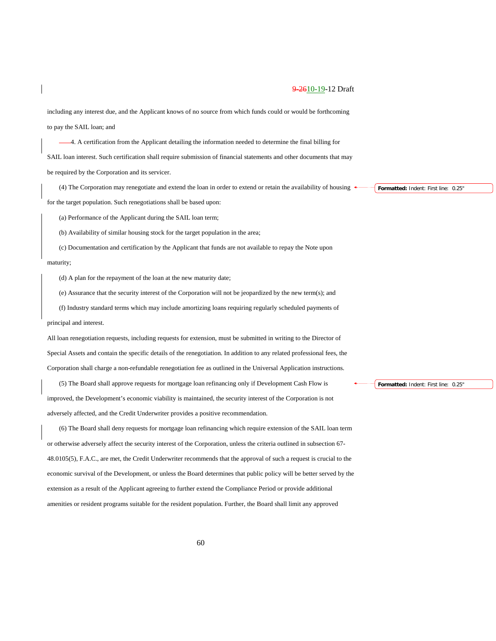including any interest due, and the Applicant knows of no source from which funds could or would be forthcoming to pay the SAIL loan; and

4. A certification from the Applicant detailing the information needed to determine the final billing for SAIL loan interest. Such certification shall require submission of financial statements and other documents that may be required by the Corporation and its servicer.

(4) The Corporation may renegotiate and extend the loan in order to extend or retain the availability of housing for the target population. Such renegotiations shall be based upon:

(a) Performance of the Applicant during the SAIL loan term;

(b) Availability of similar housing stock for the target population in the area;

(c) Documentation and certification by the Applicant that funds are not available to repay the Note upon maturity;

(d) A plan for the repayment of the loan at the new maturity date;

(e) Assurance that the security interest of the Corporation will not be jeopardized by the new term(s); and

(f) Industry standard terms which may include amortizing loans requiring regularly scheduled payments of principal and interest.

All loan renegotiation requests, including requests for extension, must be submitted in writing to the Director of Special Assets and contain the specific details of the renegotiation. In addition to any related professional fees, the Corporation shall charge a non-refundable renegotiation fee as outlined in the Universal Application instructions.

(5) The Board shall approve requests for mortgage loan refinancing only if Development Cash Flow is improved, the Development's economic viability is maintained, the security interest of the Corporation is not adversely affected, and the Credit Underwriter provides a positive recommendation.

(6) The Board shall deny requests for mortgage loan refinancing which require extension of the SAIL loan term or otherwise adversely affect the security interest of the Corporation, unless the criteria outlined in subsection 67- 48.0105(5), F.A.C., are met, the Credit Underwriter recommends that the approval of such a request is crucial to the economic survival of the Development, or unless the Board determines that public policy will be better served by the extension as a result of the Applicant agreeing to further extend the Compliance Period or provide additional amenities or resident programs suitable for the resident population. Further, the Board shall limit any approved

**Formatted:** Indent: First line: 0.25"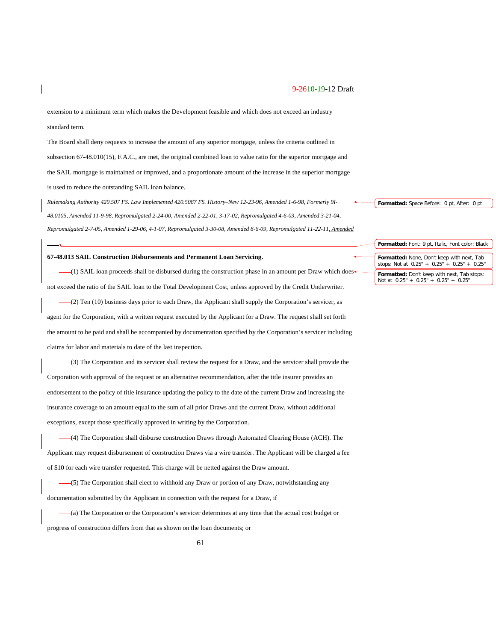*\_\_\_\_.*

extension to a minimum term which makes the Development feasible and which does not exceed an industry standard term.

The Board shall deny requests to increase the amount of any superior mortgage, unless the criteria outlined in subsection 67-48.010(15), F.A.C., are met, the original combined loan to value ratio for the superior mortgage and the SAIL mortgage is maintained or improved, and a proportionate amount of the increase in the superior mortgage is used to reduce the outstanding SAIL loan balance.

*Rulemaking Authority 420.507 FS. Law Implemented 420.5087 FS. History–New 12-23-96, Amended 1-6-98, Formerly 9I-48.0105, Amended 11-9-98, Repromulgated 2-24-00, Amended 2-22-01, 3-17-02, Repromulgated 4-6-03, Amended 3-21-04, Repromulgated 2-7-05, Amended 1-29-06, 4-1-07, Repromulgated 3-30-08, Amended 8-6-09, Repromulgated 11-22-11, Amended* 

#### **67-48.013 SAIL Construction Disbursements and Permanent Loan Servicing.**

(1) SAIL loan proceeds shall be disbursed during the construction phase in an amount per Draw which does not exceed the ratio of the SAIL loan to the Total Development Cost, unless approved by the Credit Underwriter.

(2) Ten (10) business days prior to each Draw, the Applicant shall supply the Corporation's servicer, as agent for the Corporation, with a written request executed by the Applicant for a Draw. The request shall set forth the amount to be paid and shall be accompanied by documentation specified by the Corporation's servicer including claims for labor and materials to date of the last inspection.

(3) The Corporation and its servicer shall review the request for a Draw, and the servicer shall provide the Corporation with approval of the request or an alternative recommendation, after the title insurer provides an endorsement to the policy of title insurance updating the policy to the date of the current Draw and increasing the insurance coverage to an amount equal to the sum of all prior Draws and the current Draw, without additional exceptions, except those specifically approved in writing by the Corporation.

(4) The Corporation shall disburse construction Draws through Automated Clearing House (ACH). The Applicant may request disbursement of construction Draws via a wire transfer. The Applicant will be charged a fee of \$10 for each wire transfer requested. This charge will be netted against the Draw amount.

(5) The Corporation shall elect to withhold any Draw or portion of any Draw, notwithstanding any documentation submitted by the Applicant in connection with the request for a Draw, if

(a) The Corporation or the Corporation's servicer determines at any time that the actual cost budget or progress of construction differs from that as shown on the loan documents; or

61

**Formatted:** Space Before: 0 pt, After: 0 pt

**Formatted:** Font: 9 pt, Italic, Font color: Black

**Formatted:** None, Don't keep with next, Tab stops: Not at 0.25" + 0.25" + 0.25" + 0.25" **Formatted:** Don't keep with next, Tab stops: Not at 0.25" + 0.25" + 0.25" + 0.25"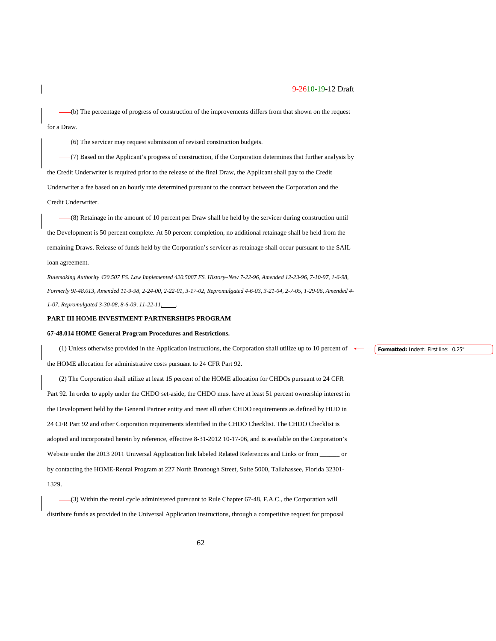(b) The percentage of progress of construction of the improvements differs from that shown on the request for a Draw.

(6) The servicer may request submission of revised construction budgets.

(7) Based on the Applicant's progress of construction, if the Corporation determines that further analysis by the Credit Underwriter is required prior to the release of the final Draw, the Applicant shall pay to the Credit Underwriter a fee based on an hourly rate determined pursuant to the contract between the Corporation and the Credit Underwriter.

(8) Retainage in the amount of 10 percent per Draw shall be held by the servicer during construction until the Development is 50 percent complete. At 50 percent completion, no additional retainage shall be held from the remaining Draws. Release of funds held by the Corporation's servicer as retainage shall occur pursuant to the SAIL loan agreement.

*Rulemaking Authority 420.507 FS. Law Implemented 420.5087 FS. History–New 7-22-96, Amended 12-23-96, 7-10-97, 1-6-98, Formerly 9I-48.013, Amended 11-9-98, 2-24-00, 2-22-01, 3-17-02, Repromulgated 4-6-03, 3-21-04, 2-7-05, 1-29-06, Amended 4- 1-07, Repromulgated 3-30-08, 8-6-09, 11-22-11, \_\_\_\_.*

#### **PART III HOME INVESTMENT PARTNERSHIPS PROGRAM**

#### **67-48.014 HOME General Program Procedures and Restrictions.**

(1) Unless otherwise provided in the Application instructions, the Corporation shall utilize up to 10 percent of the HOME allocation for administrative costs pursuant to 24 CFR Part 92.

(2) The Corporation shall utilize at least 15 percent of the HOME allocation for CHDOs pursuant to 24 CFR Part 92. In order to apply under the CHDO set-aside, the CHDO must have at least 51 percent ownership interest in the Development held by the General Partner entity and meet all other CHDO requirements as defined by HUD in 24 CFR Part 92 and other Corporation requirements identified in the CHDO Checklist. The CHDO Checklist is adopted and incorporated herein by reference, effective 8-31-2012 10-17-06, and is available on the Corporation's Website under the 2013 2011 Universal Application link labeled Related References and Links or from \_\_\_\_\_\_ or by contacting the HOME-Rental Program at 227 North Bronough Street, Suite 5000, Tallahassee, Florida 32301- 1329.

(3) Within the rental cycle administered pursuant to Rule Chapter 67-48, F.A.C., the Corporation will distribute funds as provided in the Universal Application instructions, through a competitive request for proposal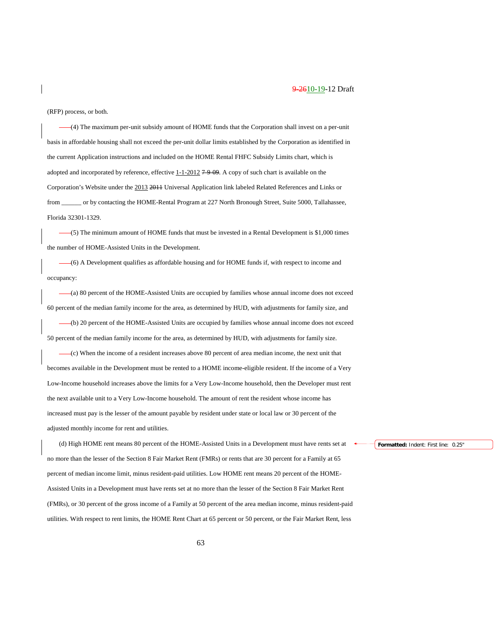(RFP) process, or both.

(4) The maximum per-unit subsidy amount of HOME funds that the Corporation shall invest on a per-unit basis in affordable housing shall not exceed the per-unit dollar limits established by the Corporation as identified in the current Application instructions and included on the HOME Rental FHFC Subsidy Limits chart, which is adopted and incorporated by reference, effective  $1-1-2012$  7-9-09. A copy of such chart is available on the Corporation's Website under the 2013 2011 Universal Application link labeled Related References and Links or from \_\_\_\_\_\_ or by contacting the HOME-Rental Program at 227 North Bronough Street, Suite 5000, Tallahassee, Florida 32301-1329.

(5) The minimum amount of HOME funds that must be invested in a Rental Development is \$1,000 times the number of HOME-Assisted Units in the Development.

(6) A Development qualifies as affordable housing and for HOME funds if, with respect to income and occupancy:

(a) 80 percent of the HOME-Assisted Units are occupied by families whose annual income does not exceed 60 percent of the median family income for the area, as determined by HUD, with adjustments for family size, and

(b) 20 percent of the HOME-Assisted Units are occupied by families whose annual income does not exceed 50 percent of the median family income for the area, as determined by HUD, with adjustments for family size.

(c) When the income of a resident increases above 80 percent of area median income, the next unit that becomes available in the Development must be rented to a HOME income-eligible resident. If the income of a Very Low-Income household increases above the limits for a Very Low-Income household, then the Developer must rent the next available unit to a Very Low-Income household. The amount of rent the resident whose income has increased must pay is the lesser of the amount payable by resident under state or local law or 30 percent of the adjusted monthly income for rent and utilities.

(d) High HOME rent means 80 percent of the HOME-Assisted Units in a Development must have rents set at no more than the lesser of the Section 8 Fair Market Rent (FMRs) or rents that are 30 percent for a Family at 65 percent of median income limit, minus resident-paid utilities. Low HOME rent means 20 percent of the HOME-Assisted Units in a Development must have rents set at no more than the lesser of the Section 8 Fair Market Rent (FMRs), or 30 percent of the gross income of a Family at 50 percent of the area median income, minus resident-paid utilities. With respect to rent limits, the HOME Rent Chart at 65 percent or 50 percent, or the Fair Market Rent, less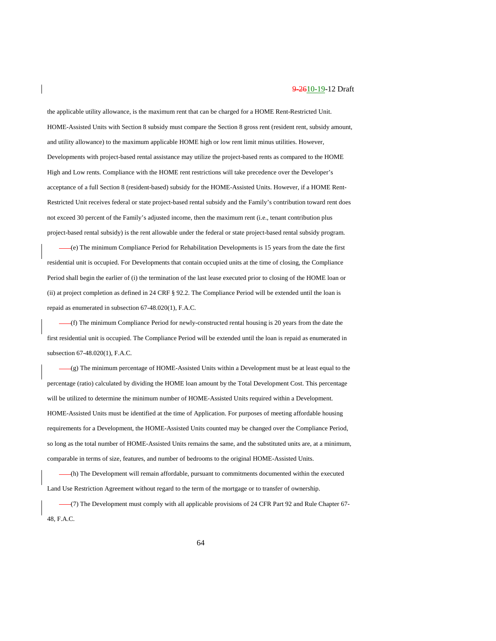the applicable utility allowance, is the maximum rent that can be charged for a HOME Rent-Restricted Unit. HOME-Assisted Units with Section 8 subsidy must compare the Section 8 gross rent (resident rent, subsidy amount, and utility allowance) to the maximum applicable HOME high or low rent limit minus utilities. However, Developments with project-based rental assistance may utilize the project-based rents as compared to the HOME High and Low rents. Compliance with the HOME rent restrictions will take precedence over the Developer's acceptance of a full Section 8 (resident-based) subsidy for the HOME-Assisted Units. However, if a HOME Rent-Restricted Unit receives federal or state project-based rental subsidy and the Family's contribution toward rent does not exceed 30 percent of the Family's adjusted income, then the maximum rent (i.e., tenant contribution plus project-based rental subsidy) is the rent allowable under the federal or state project-based rental subsidy program.

(e) The minimum Compliance Period for Rehabilitation Developments is 15 years from the date the first residential unit is occupied. For Developments that contain occupied units at the time of closing, the Compliance Period shall begin the earlier of (i) the termination of the last lease executed prior to closing of the HOME loan or (ii) at project completion as defined in 24 CRF § 92.2. The Compliance Period will be extended until the loan is repaid as enumerated in subsection 67-48.020(1), F.A.C.

(f) The minimum Compliance Period for newly-constructed rental housing is 20 years from the date the first residential unit is occupied. The Compliance Period will be extended until the loan is repaid as enumerated in subsection 67-48.020(1), F.A.C.

(g) The minimum percentage of HOME-Assisted Units within a Development must be at least equal to the percentage (ratio) calculated by dividing the HOME loan amount by the Total Development Cost. This percentage will be utilized to determine the minimum number of HOME-Assisted Units required within a Development. HOME-Assisted Units must be identified at the time of Application. For purposes of meeting affordable housing requirements for a Development, the HOME-Assisted Units counted may be changed over the Compliance Period, so long as the total number of HOME-Assisted Units remains the same, and the substituted units are, at a minimum, comparable in terms of size, features, and number of bedrooms to the original HOME-Assisted Units.

(h) The Development will remain affordable, pursuant to commitments documented within the executed Land Use Restriction Agreement without regard to the term of the mortgage or to transfer of ownership.

(7) The Development must comply with all applicable provisions of 24 CFR Part 92 and Rule Chapter 67- 48, F.A.C.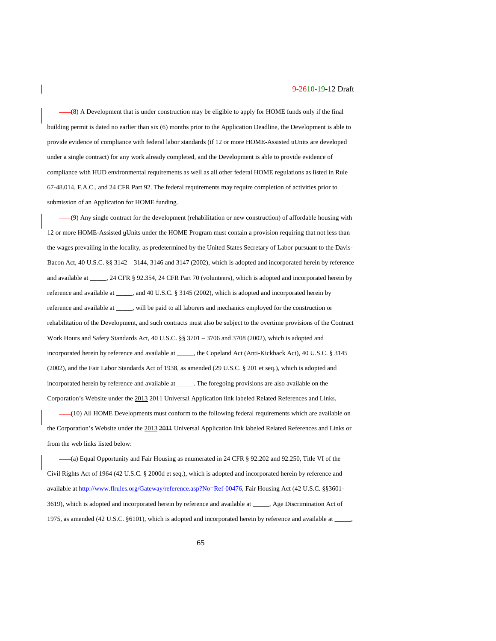(8) A Development that is under construction may be eligible to apply for HOME funds only if the final building permit is dated no earlier than six (6) months prior to the Application Deadline, the Development is able to provide evidence of compliance with federal labor standards (if 12 or more HOME Assisted uUnits are developed under a single contract) for any work already completed, and the Development is able to provide evidence of compliance with HUD environmental requirements as well as all other federal HOME regulations as listed in Rule 67-48.014, F.A.C., and 24 CFR Part 92. The federal requirements may require completion of activities prior to submission of an Application for HOME funding.

(9) Any single contract for the development (rehabilitation or new construction) of affordable housing with 12 or more HOME-Assisted uUnits under the HOME Program must contain a provision requiring that not less than the wages prevailing in the locality, as predetermined by the United States Secretary of Labor pursuant to the Davis-Bacon Act, 40 U.S.C. §§ 3142 – 3144, 3146 and 3147 (2002), which is adopted and incorporated herein by reference and available at \_\_\_\_\_, 24 CFR § 92.354, 24 CFR Part 70 (volunteers), which is adopted and incorporated herein by reference and available at \_\_\_\_\_, and 40 U.S.C. § 3145 (2002), which is adopted and incorporated herein by reference and available at \_\_\_\_\_, will be paid to all laborers and mechanics employed for the construction or rehabilitation of the Development, and such contracts must also be subject to the overtime provisions of the Contract Work Hours and Safety Standards Act, 40 U.S.C. §§ 3701 – 3706 and 3708 (2002), which is adopted and incorporated herein by reference and available at \_\_\_\_\_, the Copeland Act (Anti-Kickback Act), 40 U.S.C. § 3145 (2002), and the Fair Labor Standards Act of 1938, as amended (29 U.S.C. § 201 et seq.), which is adopted and incorporated herein by reference and available at \_\_\_\_\_. The foregoing provisions are also available on the Corporation's Website under the 2013 2011 Universal Application link labeled Related References and Links.

(10) All HOME Developments must conform to the following federal requirements which are available on the Corporation's Website under the 2013 2011 Universal Application link labeled Related References and Links or from the web links listed below:

(a) Equal Opportunity and Fair Housing as enumerated in 24 CFR § 92.202 and 92.250, Title VI of the Civil Rights Act of 1964 (42 U.S.C. § 2000d et seq.), which is adopted and incorporated herein by reference and available at [http://www.flrules.org/Gateway/reference.asp?No=Ref-00476,](https://www.flrules.org/Gateway/reference.asp?No=Ref-00476) Fair Housing Act (42 U.S.C. §§3601- 3619), which is adopted and incorporated herein by reference and available at \_\_\_\_\_, Age Discrimination Act of 1975, as amended (42 U.S.C. §6101), which is adopted and incorporated herein by reference and available at  $\overline{\phantom{a}}$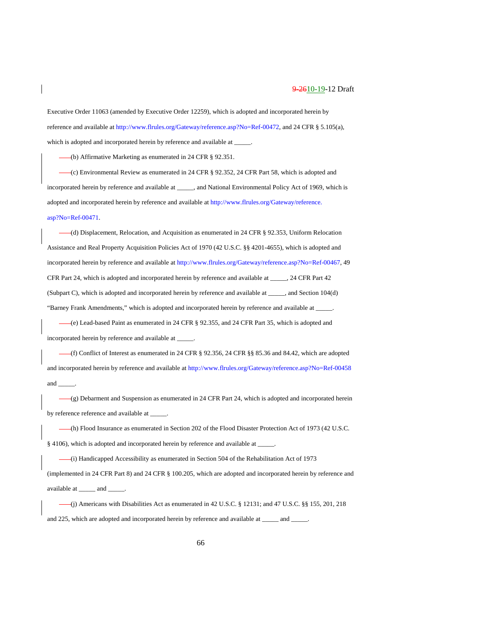Executive Order 11063 (amended by Executive Order 12259), which is adopted and incorporated herein by reference and available a[t http://www.flrules.org/Gateway/reference.asp?No=Ref-00472,](https://www.flrules.org/Gateway/reference.asp?No=Ref-00472) and 24 CFR § 5.105(a), which is adopted and incorporated herein by reference and available at \_

(b) Affirmative Marketing as enumerated in 24 CFR § 92.351.

(c) Environmental Review as enumerated in 24 CFR § 92.352, 24 CFR Part 58, which is adopted and incorporated herein by reference and available at \_\_\_\_\_, and National Environmental Policy Act of 1969, which is adopted and incorporated herein by reference and available at [http://www.flrules.org/Gateway/reference.](http://www.flrules.org/Gateway/reference.%20asp?No=Ref-00471)  [asp?No=Ref-00471.](http://www.flrules.org/Gateway/reference.%20asp?No=Ref-00471)

(d) Displacement, Relocation, and Acquisition as enumerated in 24 CFR § 92.353, Uniform Relocation Assistance and Real Property Acquisition Policies Act of 1970 (42 U.S.C. §§ 4201-4655), which is adopted and incorporated herein by reference and available at [http://www.flrules.org/Gateway/reference.asp?No=Ref-00467,](https://www.flrules.org/Gateway/reference.asp?No=Ref-00467) 49 CFR Part 24, which is adopted and incorporated herein by reference and available at \_\_\_\_\_, 24 CFR Part 42 (Subpart C), which is adopted and incorporated herein by reference and available at \_\_\_\_\_, and Section 104(d) "Barney Frank Amendments," which is adopted and incorporated herein by reference and available at \_\_\_\_\_.

(e) Lead-based Paint as enumerated in 24 CFR § 92.355, and 24 CFR Part 35, which is adopted and incorporated herein by reference and available at \_\_\_\_\_.

 $-(f)$  Conflict of Interest as enumerated in 24 CFR § 92.356, 24 CFR §§ 85.36 and 84.42, which are adopted and incorporated herein by reference and available a[t http://www.flrules.org/Gateway/reference.asp?No=Ref-00458](https://www.flrules.org/Gateway/reference.asp?No=Ref-00458) and \_\_\_\_\_.

(g) Debarment and Suspension as enumerated in 24 CFR Part 24, which is adopted and incorporated herein by reference reference and available at \_

(h) Flood Insurance as enumerated in Section 202 of the Flood Disaster Protection Act of 1973 (42 U.S.C. § 4106), which is adopted and incorporated herein by reference and available at \_\_\_\_\_.

(i) Handicapped Accessibility as enumerated in Section 504 of the Rehabilitation Act of 1973 (implemented in 24 CFR Part 8) and 24 CFR § 100.205, which are adopted and incorporated herein by reference and available at \_\_\_\_\_ and \_\_\_\_\_.

(j) Americans with Disabilities Act as enumerated in 42 U.S.C. § 12131; and 47 U.S.C. §§ 155, 201, 218 and 225, which are adopted and incorporated herein by reference and available at \_\_\_\_\_\_\_ and \_\_\_\_\_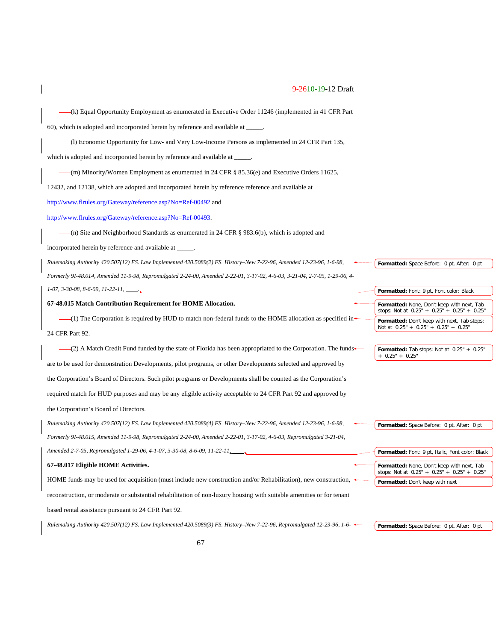| $-(k)$ Equal Opportunity Employment as enumerated in Executive Order 11246 (implemented in 41 CFR Part                     |                                                                                             |  |
|----------------------------------------------------------------------------------------------------------------------------|---------------------------------------------------------------------------------------------|--|
| 60), which is adopted and incorporated herein by reference and available at _____.                                         |                                                                                             |  |
| $-(1)$ Economic Opportunity for Low- and Very Low-Income Persons as implemented in 24 CFR Part 135,                        |                                                                                             |  |
| which is adopted and incorporated herein by reference and available at _____.                                              |                                                                                             |  |
| (m) Minority/Women Employment as enumerated in 24 CFR $\S 85.36(e)$ and Executive Orders 11625,                            |                                                                                             |  |
| 12432, and 12138, which are adopted and incorporated herein by reference reference and available at                        |                                                                                             |  |
| http://www.flrules.org/Gateway/reference.asp?No=Ref-00492 and                                                              |                                                                                             |  |
| http://www.flrules.org/Gateway/reference.asp?No=Ref-00493.                                                                 |                                                                                             |  |
| -(n) Site and Neighborhood Standards as enumerated in 24 CFR $\S$ 983.6(b), which is adopted and                           |                                                                                             |  |
| incorporated herein by reference and available at _____.                                                                   |                                                                                             |  |
| Rulemaking Authority 420.507(12) FS. Law Implemented 420.5089(2) FS. History-New 7-22-96, Amended 12-23-96, 1-6-98,        | Formatted: Space Before: 0 pt, After: 0 pt                                                  |  |
| Formerly 91-48.014, Amended 11-9-98, Repromulgated 2-24-00, Amended 2-22-01, 3-17-02, 4-6-03, 3-21-04, 2-7-05, 1-29-06, 4- |                                                                                             |  |
| $1-07, 3-30-08, 8-6-09, 11-22-11$                                                                                          | Formatted: Font: 9 pt, Font color: Black                                                    |  |
|                                                                                                                            |                                                                                             |  |
| 67-48.015 Match Contribution Requirement for HOME Allocation.                                                              | Formatted: None, Don't keep with next, Tab                                                  |  |
| $-(1)$ The Corporation is required by HUD to match non-federal funds to the HOME allocation as specified in                | stops: Not at 0.25" + 0.25" + 0.25" + 0.25"<br>Formatted: Don't keep with next, Tab stops:  |  |
| 24 CFR Part 92.                                                                                                            | Not at 0.25" + 0.25" + 0.25" + 0.25"                                                        |  |
| $-(2)$ A Match Credit Fund funded by the state of Florida has been appropriated to the Corporation. The funds              | Formatted: Tab stops: Not at 0.25" + 0.25"<br>$+ 0.25" + 0.25"$                             |  |
| are to be used for demonstration Developments, pilot programs, or other Developments selected and approved by              |                                                                                             |  |
| the Corporation's Board of Directors. Such pilot programs or Developments shall be counted as the Corporation's            |                                                                                             |  |
| required match for HUD purposes and may be any eligible activity acceptable to 24 CFR Part 92 and approved by              |                                                                                             |  |
| the Corporation's Board of Directors.                                                                                      |                                                                                             |  |
| Rulemaking Authority 420.507(12) FS. Law Implemented 420.5089(4) FS. History-New 7-22-96, Amended 12-23-96, 1-6-98,        | Formatted: Space Before: 0 pt, After: 0 pt                                                  |  |
| Formerly 9I-48.015, Amended 11-9-98, Repromulgated 2-24-00, Amended 2-22-01, 3-17-02, 4-6-03, Repromulgated 3-21-04,       |                                                                                             |  |
| Amended 2-7-05, Repromulgated 1-29-06, 4-1-07, 3-30-08, 8-6-09, 11-22-11,                                                  | Formatted: Font: 9 pt, Italic, Font color: Black                                            |  |
| 67-48.017 Eligible HOME Activities.                                                                                        | Formatted: None, Don't keep with next, Tab<br>stops: Not at $0.25" + 0.25" + 0.25" + 0.25"$ |  |

reconstruction, or moderate or substantial rehabilitation of non-luxury housing with suitable amenities or for tenant

based rental assistance pursuant to 24 CFR Part 92.

*Rulemaking Authority 420.507(12) FS. Law Implemented 420.5089(3) FS. History–New 7-22-96, Repromulgated 12-23-96, 1-6-*

**Formatted:** Space Before: 0 pt, After: 0 pt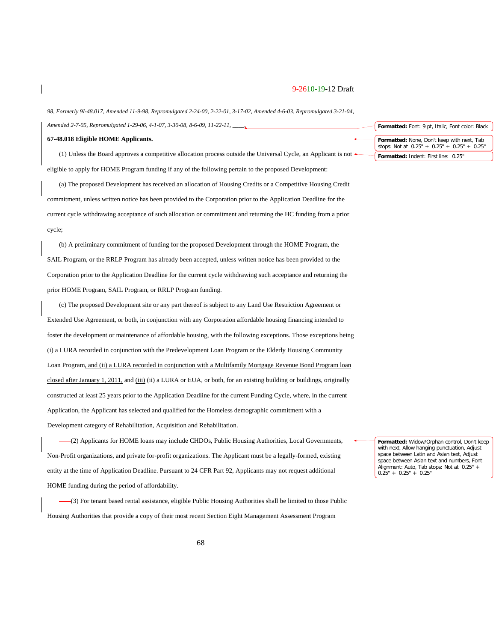*98, Formerly 9I-48.017, Amended 11-9-98, Repromulgated 2-24-00, 2-22-01, 3-17-02, Amended 4-6-03, Repromulgated 3-21-04, Amended 2-7-05, Repromulgated 1-29-06, 4-1-07, 3-30-08, 8-6-09, 11-22-11, \_\_\_\_.*

#### **67-48.018 Eligible HOME Applicants.**

(1) Unless the Board approves a competitive allocation process outside the Universal Cycle, an Applicant is not eligible to apply for HOME Program funding if any of the following pertain to the proposed Development:

(a) The proposed Development has received an allocation of Housing Credits or a Competitive Housing Credit commitment, unless written notice has been provided to the Corporation prior to the Application Deadline for the current cycle withdrawing acceptance of such allocation or commitment and returning the HC funding from a prior cycle;

(b) A preliminary commitment of funding for the proposed Development through the HOME Program, the SAIL Program, or the RRLP Program has already been accepted, unless written notice has been provided to the Corporation prior to the Application Deadline for the current cycle withdrawing such acceptance and returning the prior HOME Program, SAIL Program, or RRLP Program funding.

(c) The proposed Development site or any part thereof is subject to any Land Use Restriction Agreement or Extended Use Agreement, or both, in conjunction with any Corporation affordable housing financing intended to foster the development or maintenance of affordable housing, with the following exceptions. Those exceptions being (i) a LURA recorded in conjunction with the Predevelopment Loan Program or the Elderly Housing Community Loan Program, and (ii) a LURA recorded in conjunction with a Multifamily Mortgage Revenue Bond Program loan closed after January 1, 2011, and  $(iii)$   $(iii)$  a LURA or EUA, or both, for an existing building or buildings, originally constructed at least 25 years prior to the Application Deadline for the current Funding Cycle, where, in the current Application, the Applicant has selected and qualified for the Homeless demographic commitment with a Development category of Rehabilitation, Acquisition and Rehabilitation.

(2) Applicants for HOME loans may include CHDOs, Public Housing Authorities, Local Governments, Non-Profit organizations, and private for-profit organizations. The Applicant must be a legally-formed, existing entity at the time of Application Deadline. Pursuant to 24 CFR Part 92, Applicants may not request additional HOME funding during the period of affordability.

(3) For tenant based rental assistance, eligible Public Housing Authorities shall be limited to those Public Housing Authorities that provide a copy of their most recent Section Eight Management Assessment Program

**Formatted:** Font: 9 pt, Italic, Font color: Black **Formatted:** None, Don't keep with next, Tab stops: Not at 0.25" + 0.25" + 0.25" + 0.25" **Formatted:** Indent: First line: 0.25"

**Formatted:** Widow/Orphan control, Don't keep with next, Allow hanging punctuation, Adjust space between Latin and Asian text, Adjust space between Asian text and numbers, Font Alignment: Auto, Tab stops: Not at 0.25" - $0.\overline{25}$ " +  $0.25$ " +  $0.25$ "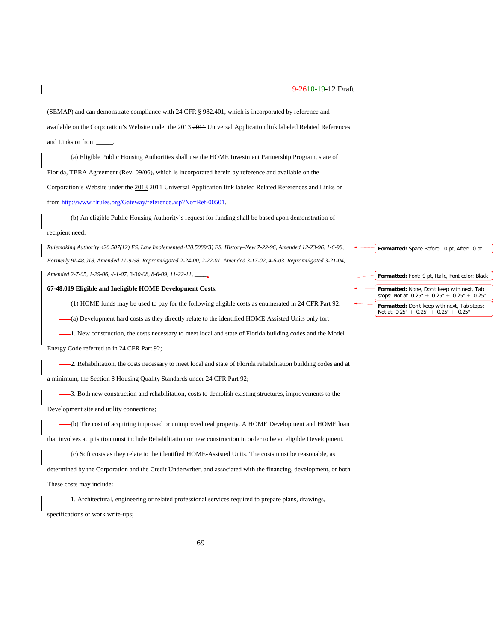(SEMAP) and can demonstrate compliance with 24 CFR § 982.401, which is incorporated by reference and available on the Corporation's Website under the 2013 2014 Universal Application link labeled Related References and Links or from \_\_\_\_\_.

(a) Eligible Public Housing Authorities shall use the HOME Investment Partnership Program, state of Florida, TBRA Agreement (Rev. 09/06), which is incorporated herein by reference and available on the Corporation's Website under the 2013 2011 Universal Application link labeled Related References and Links or fro[m http://www.flrules.org/Gateway/reference.asp?No=Ref-00501.](https://www.flrules.org/Gateway/reference.asp?No=Ref-00501)

(b) An eligible Public Housing Authority's request for funding shall be based upon demonstration of

#### recipient need.

*Rulemaking Authority 420.507(12) FS. Law Implemented 420.5089(3) FS. History–New 7-22-96, Amended 12-23-96, 1-6-98, Formerly 9I-48.018, Amended 11-9-98, Repromulgated 2-24-00, 2-22-01, Amended 3-17-02, 4-6-03, Repromulgated 3-21-04, Amended 2-7-05, 1-29-06, 4-1-07, 3-30-08, 8-6-09, 11-22-11, \_\_\_\_.*

**67-48.019 Eligible and Ineligible HOME Development Costs.**

(1) HOME funds may be used to pay for the following eligible costs as enumerated in 24 CFR Part 92:

(a) Development hard costs as they directly relate to the identified HOME Assisted Units only for:

1. New construction, the costs necessary to meet local and state of Florida building codes and the Model

Energy Code referred to in 24 CFR Part 92;

-2. Rehabilitation, the costs necessary to meet local and state of Florida rehabilitation building codes and at a minimum, the Section 8 Housing Quality Standards under 24 CFR Part 92;

3. Both new construction and rehabilitation, costs to demolish existing structures, improvements to the Development site and utility connections;

(b) The cost of acquiring improved or unimproved real property. A HOME Development and HOME loan that involves acquisition must include Rehabilitation or new construction in order to be an eligible Development.

(c) Soft costs as they relate to the identified HOME-Assisted Units. The costs must be reasonable, as determined by the Corporation and the Credit Underwriter, and associated with the financing, development, or both. These costs may include:

1. Architectural, engineering or related professional services required to prepare plans, drawings, specifications or work write-ups;

**Formatted:** Font: 9 pt, Italic, Font color: Black **Formatted:** None, Don't keep with next, Tab stops: Not at 0.25" + 0.25" + 0.25" + 0.25" **Formatted:** Don't keep with next, Tab stops: Not at 0.25" + 0.25" + 0.25" + 0.25"

**Formatted:** Space Before: 0 pt, After: 0 pt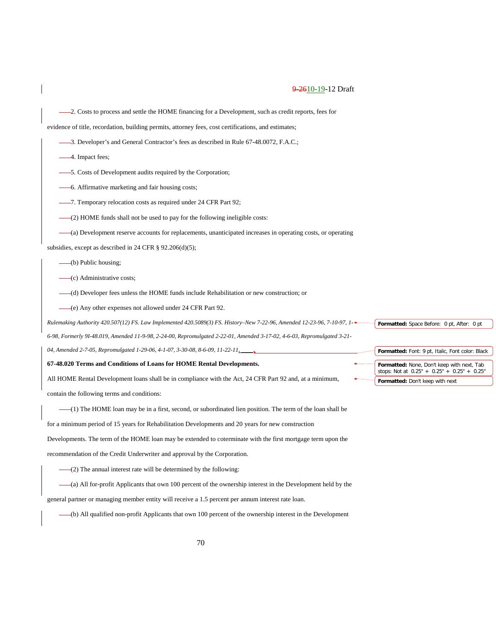2. Costs to process and settle the HOME financing for a Development, such as credit reports, fees for

evidence of title, recordation, building permits, attorney fees, cost certifications, and estimates;

- -3. Developer's and General Contractor's fees as described in Rule 67-48.0072, F.A.C.;
- $-4$ . Impact fees;
- 5. Costs of Development audits required by the Corporation;
- 6. Affirmative marketing and fair housing costs;
- -7. Temporary relocation costs as required under 24 CFR Part 92;
- (2) HOME funds shall not be used to pay for the following ineligible costs:
- (a) Development reserve accounts for replacements, unanticipated increases in operating costs, or operating

subsidies, except as described in 24 CFR § 92.206(d)(5);

(b) Public housing;

(c) Administrative costs;

- (d) Developer fees unless the HOME funds include Rehabilitation or new construction; or
- (e) Any other expenses not allowed under 24 CFR Part 92.

*Rulemaking Authority 420.507(12) FS. Law Implemented 420.5089(3) FS. History–New 7-22-96, Amended 12-23-96, 7-10-97, 1- 6-98, Formerly 9I-48.019, Amended 11-9-98, 2-24-00, Repromulgated 2-22-01, Amended 3-17-02, 4-6-03, Repromulgated 3-21-*

04, Amended 2-7-05, Repromulgated 1-29-06, 4-1-07, 3-30-08, 8-6-09, 11-22-11,

#### **67-48.020 Terms and Conditions of Loans for HOME Rental Developments.**

All HOME Rental Development loans shall be in compliance with the Act, 24 CFR Part 92 and, at a minimum, contain the following terms and conditions:

(1) The HOME loan may be in a first, second, or subordinated lien position. The term of the loan shall be

for a minimum period of 15 years for Rehabilitation Developments and 20 years for new construction

Developments. The term of the HOME loan may be extended to coterminate with the first mortgage term upon the

recommendation of the Credit Underwriter and approval by the Corporation.

(2) The annual interest rate will be determined by the following:

(a) All for-profit Applicants that own 100 percent of the ownership interest in the Development held by the

general partner or managing member entity will receive a 1.5 percent per annum interest rate loan.

(b) All qualified non-profit Applicants that own 100 percent of the ownership interest in the Development

**Formatted:** Font: 9 pt, Italic, Font color: Black

**Formatted:** Space Before: 0 pt, After: 0 pt

**Formatted:** None, Don't keep with next, Tab stops: Not at 0.25" + 0.25" + 0.25" + 0.25" **Formatted:** Don't keep with next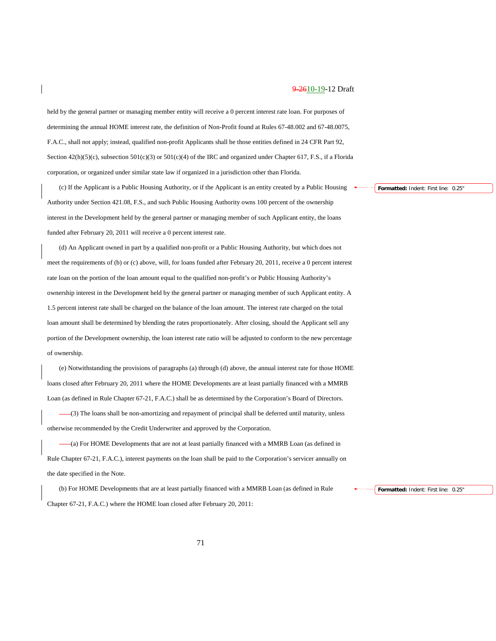held by the general partner or managing member entity will receive a 0 percent interest rate loan. For purposes of determining the annual HOME interest rate, the definition of Non-Profit found at Rules 67-48.002 and 67-48.0075, F.A.C., shall not apply; instead, qualified non-profit Applicants shall be those entities defined in 24 CFR Part 92, Section  $42(h)(5)(c)$ , subsection  $501(c)(3)$  or  $501(c)(4)$  of the IRC and organized under Chapter 617, F.S., if a Florida corporation, or organized under similar state law if organized in a jurisdiction other than Florida.

(c) If the Applicant is a Public Housing Authority, or if the Applicant is an entity created by a Public Housing Authority under Section 421.08, F.S., and such Public Housing Authority owns 100 percent of the ownership interest in the Development held by the general partner or managing member of such Applicant entity, the loans funded after February 20, 2011 will receive a 0 percent interest rate.

(d) An Applicant owned in part by a qualified non-profit or a Public Housing Authority, but which does not meet the requirements of (b) or (c) above, will, for loans funded after February 20, 2011, receive a 0 percent interest rate loan on the portion of the loan amount equal to the qualified non-profit's or Public Housing Authority's ownership interest in the Development held by the general partner or managing member of such Applicant entity. A 1.5 percent interest rate shall be charged on the balance of the loan amount. The interest rate charged on the total loan amount shall be determined by blending the rates proportionately. After closing, should the Applicant sell any portion of the Development ownership, the loan interest rate ratio will be adjusted to conform to the new percentage of ownership.

(e) Notwithstanding the provisions of paragraphs (a) through (d) above, the annual interest rate for those HOME loans closed after February 20, 2011 where the HOME Developments are at least partially financed with a MMRB Loan (as defined in Rule Chapter 67-21, F.A.C.) shall be as determined by the Corporation's Board of Directors.

(3) The loans shall be non-amortizing and repayment of principal shall be deferred until maturity, unless otherwise recommended by the Credit Underwriter and approved by the Corporation.

(a) For HOME Developments that are not at least partially financed with a MMRB Loan (as defined in Rule Chapter 67-21, F.A.C.), interest payments on the loan shall be paid to the Corporation's servicer annually on the date specified in the Note.

(b) For HOME Developments that are at least partially financed with a MMRB Loan (as defined in Rule Chapter 67-21, F.A.C.) where the HOME loan closed after February 20, 2011:

**Formatted:** Indent: First line: 0.25"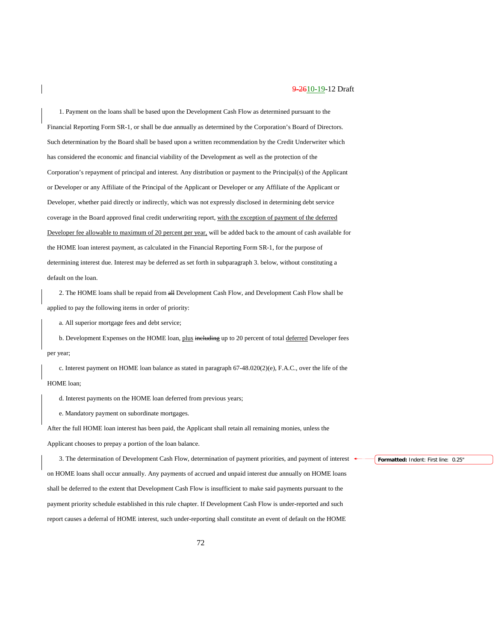1. Payment on the loans shall be based upon the Development Cash Flow as determined pursuant to the Financial Reporting Form SR-1, or shall be due annually as determined by the Corporation's Board of Directors. Such determination by the Board shall be based upon a written recommendation by the Credit Underwriter which has considered the economic and financial viability of the Development as well as the protection of the Corporation's repayment of principal and interest. Any distribution or payment to the Principal(s) of the Applicant or Developer or any Affiliate of the Principal of the Applicant or Developer or any Affiliate of the Applicant or Developer, whether paid directly or indirectly, which was not expressly disclosed in determining debt service coverage in the Board approved final credit underwriting report, with the exception of payment of the deferred Developer fee allowable to maximum of 20 percent per year, will be added back to the amount of cash available for the HOME loan interest payment, as calculated in the Financial Reporting Form SR-1, for the purpose of determining interest due. Interest may be deferred as set forth in subparagraph 3. below, without constituting a default on the loan.

2. The HOME loans shall be repaid from  $\frac{dH}{dt}$  Development Cash Flow, and Development Cash Flow shall be applied to pay the following items in order of priority:

a. All superior mortgage fees and debt service;

b. Development Expenses on the HOME loan, plus including up to 20 percent of total deferred Developer fees per year;

c. Interest payment on HOME loan balance as stated in paragraph 67-48.020(2)(e), F.A.C., over the life of the HOME loan;

d. Interest payments on the HOME loan deferred from previous years;

e. Mandatory payment on subordinate mortgages.

After the full HOME loan interest has been paid, the Applicant shall retain all remaining monies, unless the Applicant chooses to prepay a portion of the loan balance.

3. The determination of Development Cash Flow, determination of payment priorities, and payment of interest on HOME loans shall occur annually. Any payments of accrued and unpaid interest due annually on HOME loans shall be deferred to the extent that Development Cash Flow is insufficient to make said payments pursuant to the payment priority schedule established in this rule chapter. If Development Cash Flow is under-reported and such report causes a deferral of HOME interest, such under-reporting shall constitute an event of default on the HOME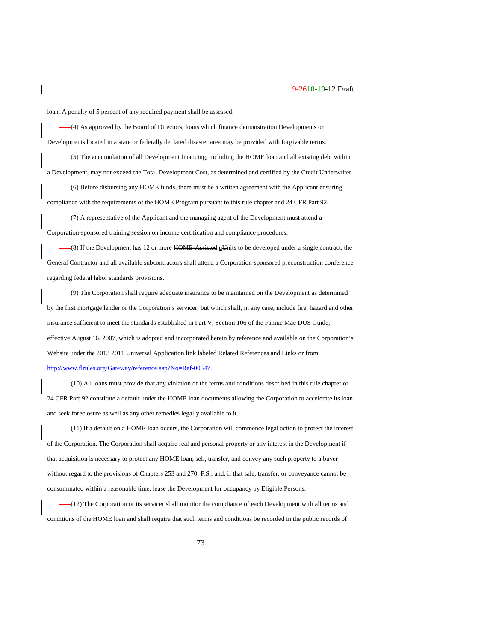loan. A penalty of 5 percent of any required payment shall be assessed.

(4) As approved by the Board of Directors, loans which finance demonstration Developments or Developments located in a state or federally declared disaster area may be provided with forgivable terms.

(5) The accumulation of all Development financing, including the HOME loan and all existing debt within a Development, may not exceed the Total Development Cost, as determined and certified by the Credit Underwriter.

(6) Before disbursing any HOME funds, there must be a written agreement with the Applicant ensuring compliance with the requirements of the HOME Program pursuant to this rule chapter and 24 CFR Part 92.

(7) A representative of the Applicant and the managing agent of the Development must attend a Corporation-sponsored training session on income certification and compliance procedures.

 $-(8)$  If the Development has 12 or more HOME Assisted uUnits to be developed under a single contract, the General Contractor and all available subcontractors shall attend a Corporation-sponsored preconstruction conference regarding federal labor standards provisions.

(9) The Corporation shall require adequate insurance to be maintained on the Development as determined by the first mortgage lender or the Corporation's servicer, but which shall, in any case, include fire, hazard and other insurance sufficient to meet the standards established in Part V, Section 106 of the Fannie Mae DUS Guide, effective August 16, 2007, which is adopted and incorporated herein by reference and available on the Corporation's Website under the 2013 2011 Universal Application link labeled Related References and Links or from [http://www.flrules.org/Gateway/reference.asp?No=Ref-00547.](https://www.flrules.org/Gateway/reference.asp?No=Ref-00547)

(10) All loans must provide that any violation of the terms and conditions described in this rule chapter or 24 CFR Part 92 constitute a default under the HOME loan documents allowing the Corporation to accelerate its loan and seek foreclosure as well as any other remedies legally available to it.

(11) If a default on a HOME loan occurs, the Corporation will commence legal action to protect the interest of the Corporation. The Corporation shall acquire real and personal property or any interest in the Development if that acquisition is necessary to protect any HOME loan; sell, transfer, and convey any such property to a buyer without regard to the provisions of Chapters 253 and 270, F.S.; and, if that sale, transfer, or conveyance cannot be consummated within a reasonable time, lease the Development for occupancy by Eligible Persons.

(12) The Corporation or its servicer shall monitor the compliance of each Development with all terms and conditions of the HOME loan and shall require that such terms and conditions be recorded in the public records of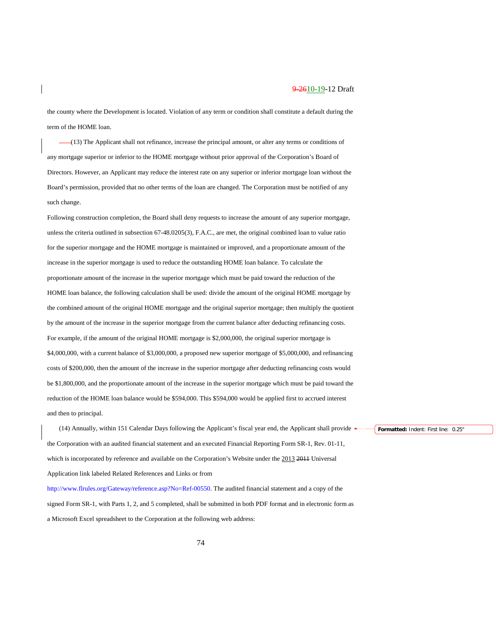the county where the Development is located. Violation of any term or condition shall constitute a default during the term of the HOME loan.

(13) The Applicant shall not refinance, increase the principal amount, or alter any terms or conditions of any mortgage superior or inferior to the HOME mortgage without prior approval of the Corporation's Board of Directors. However, an Applicant may reduce the interest rate on any superior or inferior mortgage loan without the Board's permission, provided that no other terms of the loan are changed. The Corporation must be notified of any such change.

Following construction completion, the Board shall deny requests to increase the amount of any superior mortgage, unless the criteria outlined in subsection 67-48.0205(3), F.A.C., are met, the original combined loan to value ratio for the superior mortgage and the HOME mortgage is maintained or improved, and a proportionate amount of the increase in the superior mortgage is used to reduce the outstanding HOME loan balance. To calculate the proportionate amount of the increase in the superior mortgage which must be paid toward the reduction of the HOME loan balance, the following calculation shall be used: divide the amount of the original HOME mortgage by the combined amount of the original HOME mortgage and the original superior mortgage; then multiply the quotient by the amount of the increase in the superior mortgage from the current balance after deducting refinancing costs. For example, if the amount of the original HOME mortgage is \$2,000,000, the original superior mortgage is \$4,000,000, with a current balance of \$3,000,000, a proposed new superior mortgage of \$5,000,000, and refinancing costs of \$200,000, then the amount of the increase in the superior mortgage after deducting refinancing costs would be \$1,800,000, and the proportionate amount of the increase in the superior mortgage which must be paid toward the reduction of the HOME loan balance would be \$594,000. This \$594,000 would be applied first to accrued interest and then to principal.

(14) Annually, within 151 Calendar Days following the Applicant's fiscal year end, the Applicant shall provide the Corporation with an audited financial statement and an executed Financial Reporting Form SR-1, Rev. 01-11, which is incorporated by reference and available on the Corporation's Website under the 2013 2011 Universal Application link labeled Related References and Links or from

[http://www.flrules.org/Gateway/reference.asp?No=Ref-00550.](https://www.flrules.org/Gateway/reference.asp?No=Ref-00550) The audited financial statement and a copy of the signed Form SR-1, with Parts 1, 2, and 5 completed, shall be submitted in both PDF format and in electronic form as a Microsoft Excel spreadsheet to the Corporation at the following web address: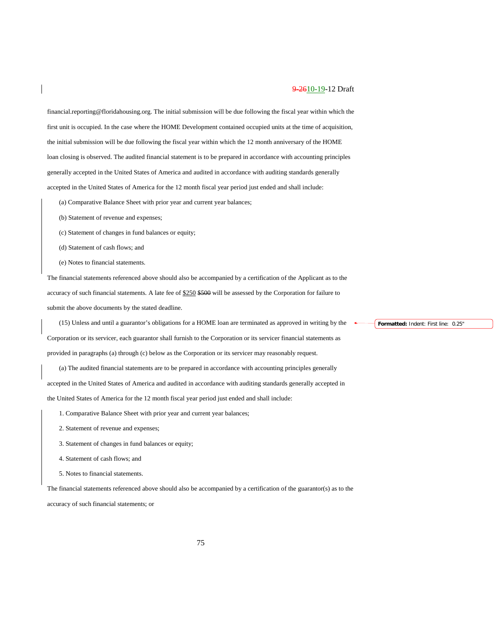financial.reporting@floridahousing.org. The initial submission will be due following the fiscal year within which the first unit is occupied. In the case where the HOME Development contained occupied units at the time of acquisition, the initial submission will be due following the fiscal year within which the 12 month anniversary of the HOME loan closing is observed. The audited financial statement is to be prepared in accordance with accounting principles generally accepted in the United States of America and audited in accordance with auditing standards generally accepted in the United States of America for the 12 month fiscal year period just ended and shall include:

(a) Comparative Balance Sheet with prior year and current year balances;

- (b) Statement of revenue and expenses;
- (c) Statement of changes in fund balances or equity;
- (d) Statement of cash flows; and
- (e) Notes to financial statements.

The financial statements referenced above should also be accompanied by a certification of the Applicant as to the accuracy of such financial statements. A late fee of \$250 \$500 will be assessed by the Corporation for failure to submit the above documents by the stated deadline.

(15) Unless and until a guarantor's obligations for a HOME loan are terminated as approved in writing by the Corporation or its servicer, each guarantor shall furnish to the Corporation or its servicer financial statements as provided in paragraphs (a) through (c) below as the Corporation or its servicer may reasonably request.

(a) The audited financial statements are to be prepared in accordance with accounting principles generally accepted in the United States of America and audited in accordance with auditing standards generally accepted in the United States of America for the 12 month fiscal year period just ended and shall include:

- 1. Comparative Balance Sheet with prior year and current year balances;
- 2. Statement of revenue and expenses;
- 3. Statement of changes in fund balances or equity;
- 4. Statement of cash flows; and
- 5. Notes to financial statements.

The financial statements referenced above should also be accompanied by a certification of the guarantor(s) as to the accuracy of such financial statements; or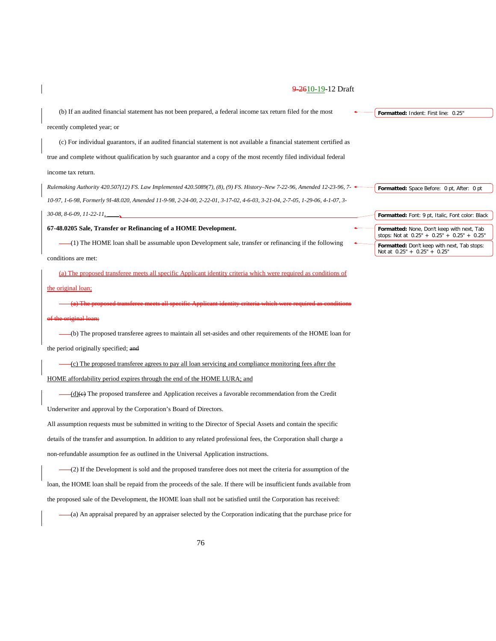|  |  |  |  | <del>9-26</del> 10-19-12 Draft |
|--|--|--|--|--------------------------------|
|  |  |  |  |                                |

| (b) If an audited financial statement has not been prepared, a federal income tax return filed for the most                 | Formatted: Indent: First line: 0.25"                                                        |
|-----------------------------------------------------------------------------------------------------------------------------|---------------------------------------------------------------------------------------------|
| recently completed year; or                                                                                                 |                                                                                             |
| (c) For individual guarantors, if an audited financial statement is not available a financial statement certified as        |                                                                                             |
| true and complete without qualification by such guarantor and a copy of the most recently filed individual federal          |                                                                                             |
| income tax return.                                                                                                          |                                                                                             |
| Rulemaking Authority 420.507(12) FS. Law Implemented 420.5089(7), (8), (9) FS. History–New 7-22-96, Amended 12-23-96, 7-    | Formatted: Space Before: 0 pt, After: 0 pt                                                  |
| 10-97, 1-6-98, Formerly 91-48.020, Amended 11-9-98, 2-24-00, 2-22-01, 3-17-02, 4-6-03, 3-21-04, 2-7-05, 1-29-06, 4-1-07, 3- |                                                                                             |
| $30-08$ , $8-6-09$ , $11-22-11$ ,                                                                                           | Formatted: Font: 9 pt, Italic, Font color: Black                                            |
| 67-48.0205 Sale, Transfer or Refinancing of a HOME Development.                                                             | Formatted: None, Don't keep with next, Tab<br>stops: Not at $0.25" + 0.25" + 0.25" + 0.25"$ |
| (1) The HOME loan shall be assumable upon Development sale, transfer or refinancing if the following                        | Formatted: Don't keep with next, Tab stops:<br>Not at $0.25" + 0.25" + 0.25"$               |
| conditions are met:                                                                                                         |                                                                                             |

## (a) The proposed transferee meets all specific Applicant identity criteria which were required as conditions of

#### the original loan;

(a) The proposed transferee meets all specific Applicant identity criteria which were required as conditions of the original loan;

(b) The proposed transferee agrees to maintain all set-asides and other requirements of the HOME loan for the period originally specified; and

(c) The proposed transferee agrees to pay all loan servicing and compliance monitoring fees after the HOME affordability period expires through the end of the HOME LURA; and

(d)(c) The proposed transferee and Application receives a favorable recommendation from the Credit Underwriter and approval by the Corporation's Board of Directors.

All assumption requests must be submitted in writing to the Director of Special Assets and contain the specific details of the transfer and assumption. In addition to any related professional fees, the Corporation shall charge a non-refundable assumption fee as outlined in the Universal Application instructions.

(2) If the Development is sold and the proposed transferee does not meet the criteria for assumption of the loan, the HOME loan shall be repaid from the proceeds of the sale. If there will be insufficient funds available from the proposed sale of the Development, the HOME loan shall not be satisfied until the Corporation has received:

(a) An appraisal prepared by an appraiser selected by the Corporation indicating that the purchase price for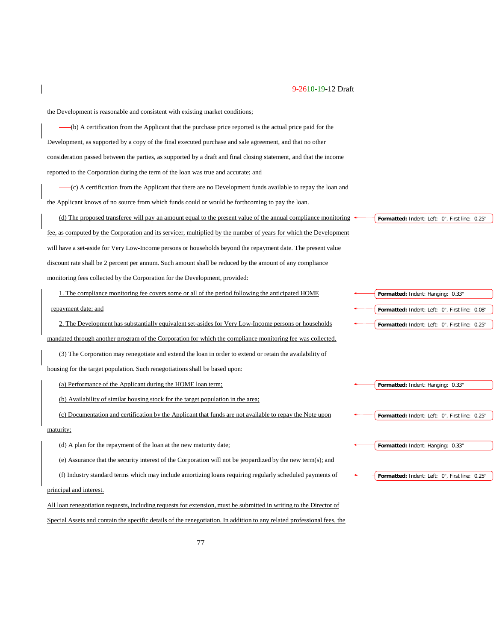the Development is reasonable and consistent with existing market conditions;

(b) A certification from the Applicant that the purchase price reported is the actual price paid for the Development, as supported by a copy of the final executed purchase and sale agreement, and that no other consideration passed between the parties, as supported by a draft and final closing statement, and that the income reported to the Corporation during the term of the loan was true and accurate; and

(c) A certification from the Applicant that there are no Development funds available to repay the loan and the Applicant knows of no source from which funds could or would be forthcoming to pay the loan.

(d) The proposed transferee will pay an amount equal to the present value of the annual compliance monitoring fee, as computed by the Corporation and its servicer, multiplied by the number of years for which the Development will have a set-aside for Very Low-Income persons or households beyond the repayment date. The present value discount rate shall be 2 percent per annum. Such amount shall be reduced by the amount of any compliance monitoring fees collected by the Corporation for the Development, provided:

1. The compliance monitoring fee covers some or all of the period following the anticipated HOME repayment date; and

2. The Development has substantially equivalent set-asides for Very Low-Income persons or households mandated through another program of the Corporation for which the compliance monitoring fee was collected.

(3) The Corporation may renegotiate and extend the loan in order to extend or retain the availability of housing for the target population. Such renegotiations shall be based upon:

(a) Performance of the Applicant during the HOME loan term;

(b) Availability of similar housing stock for the target population in the area;

(c) Documentation and certification by the Applicant that funds are not available to repay the Note upon maturity;

(d) A plan for the repayment of the loan at the new maturity date;

(e) Assurance that the security interest of the Corporation will not be jeopardized by the new term(s); and

(f) Industry standard terms which may include amortizing loans requiring regularly scheduled payments of

principal and interest.

All loan renegotiation requests, including requests for extension, must be submitted in writing to the Director of Special Assets and contain the specific details of the renegotiation. In addition to any related professional fees, the **Formatted:** Indent: Left: 0", First line: 0.25"

**Formatted:** Indent: Hanging: 0.33" **Formatted:** Indent: Left: 0", First line: 0.08" **Formatted:** Indent: Left: 0", First line: 0.25"

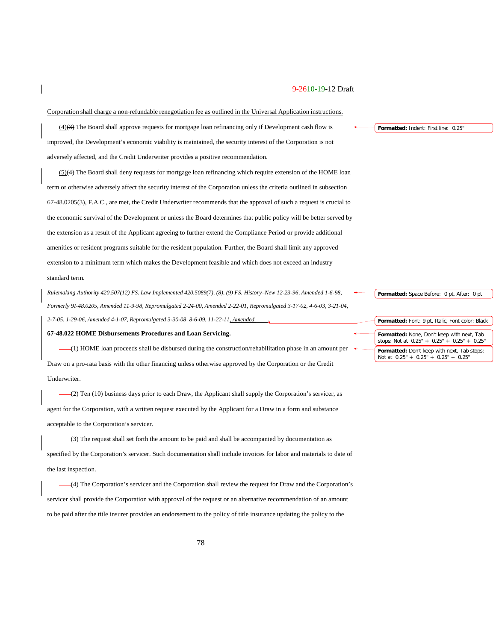Corporation shall charge a non-refundable renegotiation fee as outlined in the Universal Application instructions.

(4)(3) The Board shall approve requests for mortgage loan refinancing only if Development cash flow is improved, the Development's economic viability is maintained, the security interest of the Corporation is not adversely affected, and the Credit Underwriter provides a positive recommendation.

 $(5)(4)$  The Board shall deny requests for mortgage loan refinancing which require extension of the HOME loan term or otherwise adversely affect the security interest of the Corporation unless the criteria outlined in subsection 67-48.0205(3), F.A.C., are met, the Credit Underwriter recommends that the approval of such a request is crucial to the economic survival of the Development or unless the Board determines that public policy will be better served by the extension as a result of the Applicant agreeing to further extend the Compliance Period or provide additional amenities or resident programs suitable for the resident population. Further, the Board shall limit any approved extension to a minimum term which makes the Development feasible and which does not exceed an industry standard term.

*Rulemaking Authority 420.507(12) FS. Law Implemented 420.5089(7), (8), (9) FS. History–New 12-23-96, Amended 1-6-98, Formerly 9I-48.0205, Amended 11-9-98, Repromulgated 2-24-00, Amended 2-22-01, Repromulgated 3-17-02, 4-6-03, 3-21-04, 2-7-05, 1-29-06, Amended 4-1-07, Repromulgated 3-30-08, 8-6-09, 11-22-11, Amended \_\_\_\_.*

#### **67-48.022 HOME Disbursements Procedures and Loan Servicing.**

(1) HOME loan proceeds shall be disbursed during the construction/rehabilitation phase in an amount per Draw on a pro-rata basis with the other financing unless otherwise approved by the Corporation or the Credit Underwriter.

 $-(2)$  Ten (10) business days prior to each Draw, the Applicant shall supply the Corporation's servicer, as agent for the Corporation, with a written request executed by the Applicant for a Draw in a form and substance acceptable to the Corporation's servicer.

(3) The request shall set forth the amount to be paid and shall be accompanied by documentation as specified by the Corporation's servicer. Such documentation shall include invoices for labor and materials to date of the last inspection.

(4) The Corporation's servicer and the Corporation shall review the request for Draw and the Corporation's servicer shall provide the Corporation with approval of the request or an alternative recommendation of an amount to be paid after the title insurer provides an endorsement to the policy of title insurance updating the policy to the

**Formatted:** Indent: First line: 0.25"

**Formatted:** Space Before: 0 pt, After: 0 pt

**Formatted:** Font: 9 pt, Italic, Font color: Black **Formatted:** None, Don't keep with next, Tab stops: Not at 0.25" + 0.25" + 0.25" + 0.25" **Formatted:** Don't keep with next, Tab stops: Not at 0.25" + 0.25" + 0.25" + 0.25"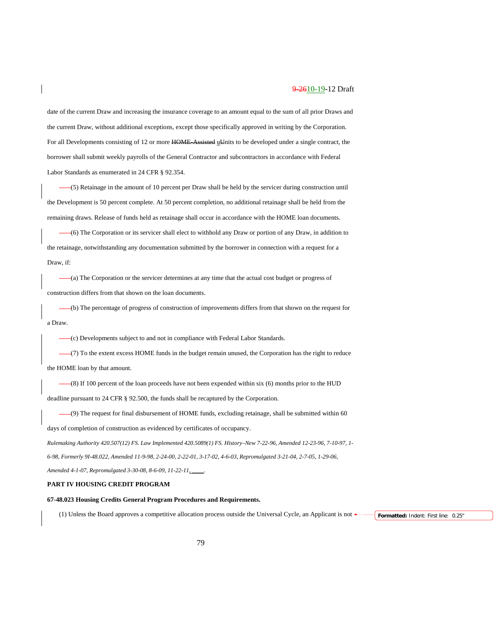date of the current Draw and increasing the insurance coverage to an amount equal to the sum of all prior Draws and the current Draw, without additional exceptions, except those specifically approved in writing by the Corporation. For all Developments consisting of 12 or more HOME-Assisted uUnits to be developed under a single contract, the borrower shall submit weekly payrolls of the General Contractor and subcontractors in accordance with Federal Labor Standards as enumerated in 24 CFR § 92.354.

(5) Retainage in the amount of 10 percent per Draw shall be held by the servicer during construction until the Development is 50 percent complete. At 50 percent completion, no additional retainage shall be held from the remaining draws. Release of funds held as retainage shall occur in accordance with the HOME loan documents.

(6) The Corporation or its servicer shall elect to withhold any Draw or portion of any Draw, in addition to the retainage, notwithstanding any documentation submitted by the borrower in connection with a request for a Draw, if:

(a) The Corporation or the servicer determines at any time that the actual cost budget or progress of construction differs from that shown on the loan documents.

(b) The percentage of progress of construction of improvements differs from that shown on the request for a Draw.

(c) Developments subject to and not in compliance with Federal Labor Standards.

 $-(7)$  To the extent excess HOME funds in the budget remain unused, the Corporation has the right to reduce the HOME loan by that amount.

(8) If 100 percent of the loan proceeds have not been expended within six (6) months prior to the HUD deadline pursuant to 24 CFR § 92.500, the funds shall be recaptured by the Corporation.

(9) The request for final disbursement of HOME funds, excluding retainage, shall be submitted within 60

days of completion of construction as evidenced by certificates of occupancy.

*Rulemaking Authority 420.507(12) FS. Law Implemented 420.5089(1) FS. History–New 7-22-96, Amended 12-23-96, 7-10-97, 1-*

*6-98, Formerly 9I-48.022, Amended 11-9-98, 2-24-00, 2-22-01, 3-17-02, 4-6-03, Repromulgated 3-21-04, 2-7-05, 1-29-06,* 

*Amended 4-1-07, Repromulgated 3-30-08, 8-6-09, 11-22-11, \_\_\_\_.*

## **PART IV HOUSING CREDIT PROGRAM**

### **67-48.023 Housing Credits General Program Procedures and Requirements.**

(1) Unless the Board approves a competitive allocation process outside the Universal Cycle, an Applicant is not **Formatted:** Indent: First line: 0.25"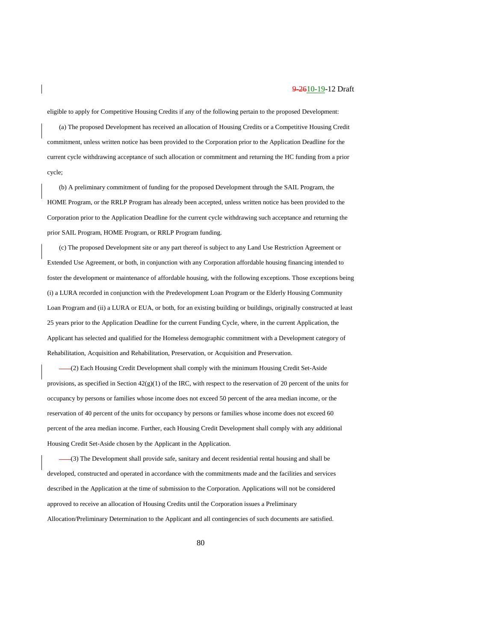eligible to apply for Competitive Housing Credits if any of the following pertain to the proposed Development:

(a) The proposed Development has received an allocation of Housing Credits or a Competitive Housing Credit commitment, unless written notice has been provided to the Corporation prior to the Application Deadline for the current cycle withdrawing acceptance of such allocation or commitment and returning the HC funding from a prior cycle;

(b) A preliminary commitment of funding for the proposed Development through the SAIL Program, the HOME Program, or the RRLP Program has already been accepted, unless written notice has been provided to the Corporation prior to the Application Deadline for the current cycle withdrawing such acceptance and returning the prior SAIL Program, HOME Program, or RRLP Program funding.

(c) The proposed Development site or any part thereof is subject to any Land Use Restriction Agreement or Extended Use Agreement, or both, in conjunction with any Corporation affordable housing financing intended to foster the development or maintenance of affordable housing, with the following exceptions. Those exceptions being (i) a LURA recorded in conjunction with the Predevelopment Loan Program or the Elderly Housing Community Loan Program and (ii) a LURA or EUA, or both, for an existing building or buildings, originally constructed at least 25 years prior to the Application Deadline for the current Funding Cycle, where, in the current Application, the Applicant has selected and qualified for the Homeless demographic commitment with a Development category of Rehabilitation, Acquisition and Rehabilitation, Preservation, or Acquisition and Preservation.

(2) Each Housing Credit Development shall comply with the minimum Housing Credit Set-Aside provisions, as specified in Section  $42(g)(1)$  of the IRC, with respect to the reservation of 20 percent of the units for occupancy by persons or families whose income does not exceed 50 percent of the area median income, or the reservation of 40 percent of the units for occupancy by persons or families whose income does not exceed 60 percent of the area median income. Further, each Housing Credit Development shall comply with any additional Housing Credit Set-Aside chosen by the Applicant in the Application.

(3) The Development shall provide safe, sanitary and decent residential rental housing and shall be developed, constructed and operated in accordance with the commitments made and the facilities and services described in the Application at the time of submission to the Corporation. Applications will not be considered approved to receive an allocation of Housing Credits until the Corporation issues a Preliminary Allocation/Preliminary Determination to the Applicant and all contingencies of such documents are satisfied.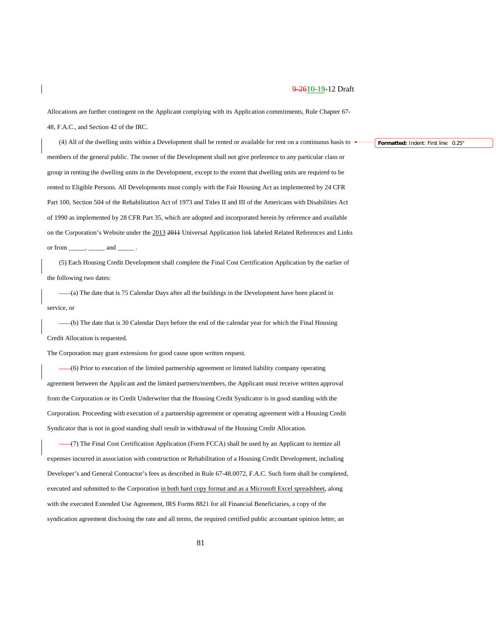Allocations are further contingent on the Applicant complying with its Application commitments, Rule Chapter 67- 48, F.A.C., and Section 42 of the IRC.

(4) All of the dwelling units within a Development shall be rented or available for rent on a continuous basis to members of the general public. The owner of the Development shall not give preference to any particular class or group in renting the dwelling units in the Development, except to the extent that dwelling units are required to be rented to Eligible Persons. All Developments must comply with the Fair Housing Act as implemented by 24 CFR Part 100, Section 504 of the Rehabilitation Act of 1973 and Titles II and III of the Americans with Disabilities Act of 1990 as implemented by 28 CFR Part 35, which are adopted and incorporated herein by reference and available on the Corporation's Website under the 2013 2011 Universal Application link labeled Related References and Links or from  $\_\_\_\_\_\$ ,  $\_\_\_\$  and  $\_\$ 

(5) Each Housing Credit Development shall complete the Final Cost Certification Application by the earlier of the following two dates:

(a) The date that is 75 Calendar Days after all the buildings in the Development have been placed in service, or

(b) The date that is 30 Calendar Days before the end of the calendar year for which the Final Housing Credit Allocation is requested.

The Corporation may grant extensions for good cause upon written request.

(6) Prior to execution of the limited partnership agreement or limited liability company operating agreement between the Applicant and the limited partners/members, the Applicant must receive written approval from the Corporation or its Credit Underwriter that the Housing Credit Syndicator is in good standing with the Corporation. Proceeding with execution of a partnership agreement or operating agreement with a Housing Credit Syndicator that is not in good standing shall result in withdrawal of the Housing Credit Allocation.

(7) The Final Cost Certification Application (Form FCCA) shall be used by an Applicant to itemize all expenses incurred in association with construction or Rehabilitation of a Housing Credit Development, including Developer's and General Contractor's fees as described in Rule 67-48.0072, F.A.C. Such form shall be completed, executed and submitted to the Corporation in both hard copy format and as a Microsoft Excel spreadsheet, along with the executed Extended Use Agreement, IRS Forms 8821 for all Financial Beneficiaries, a copy of the syndication agreement disclosing the rate and all terms, the required certified public accountant opinion letter, an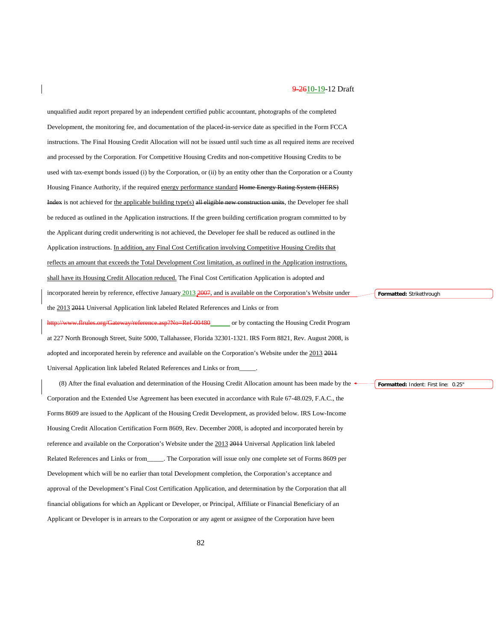unqualified audit report prepared by an independent certified public accountant, photographs of the completed Development, the monitoring fee, and documentation of the placed-in-service date as specified in the Form FCCA instructions. The Final Housing Credit Allocation will not be issued until such time as all required items are received and processed by the Corporation. For Competitive Housing Credits and non-competitive Housing Credits to be used with tax-exempt bonds issued (i) by the Corporation, or (ii) by an entity other than the Corporation or a County Housing Finance Authority, if the required energy performance standard Home Energy Rating System (HERS) Index is not achieved for the applicable building type(s) all eligible new construction units, the Developer fee shall be reduced as outlined in the Application instructions. If the green building certification program committed to by the Applicant during credit underwriting is not achieved, the Developer fee shall be reduced as outlined in the Application instructions. In addition, any Final Cost Certification involving Competitive Housing Credits that reflects an amount that exceeds the Total Development Cost limitation, as outlined in the Application instructions, shall have its Housing Credit Allocation reduced. The Final Cost Certification Application is adopted and incorporated herein by reference, effective January 2013 2007, and is available on the Corporation's Website under the 2013 2011 Universal Application link labeled Related References and Links or from www.flrules.org/Gateway/reference.asp?No=Ref-00480\_\_\_\_\_\_ or by contacting the Housing Credit Program at 227 North Bronough Street, Suite 5000, Tallahassee, Florida 32301-1321. IRS Form 8821, Rev. August 2008, is **Formatted:** Strikethrough

adopted and incorporated herein by reference and available on the Corporation's Website under the 2013 2011 Universal Application link labeled Related References and Links or from\_\_\_\_\_.

(8) After the final evaluation and determination of the Housing Credit Allocation amount has been made by the Corporation and the Extended Use Agreement has been executed in accordance with Rule 67-48.029, F.A.C., the Forms 8609 are issued to the Applicant of the Housing Credit Development, as provided below. IRS Low-Income Housing Credit Allocation Certification Form 8609, Rev. December 2008, is adopted and incorporated herein by reference and available on the Corporation's Website under the 2013 2011 Universal Application link labeled Related References and Links or from\_\_\_\_\_. The Corporation will issue only one complete set of Forms 8609 per Development which will be no earlier than total Development completion, the Corporation's acceptance and approval of the Development's Final Cost Certification Application, and determination by the Corporation that all financial obligations for which an Applicant or Developer, or Principal, Affiliate or Financial Beneficiary of an Applicant or Developer is in arrears to the Corporation or any agent or assignee of the Corporation have been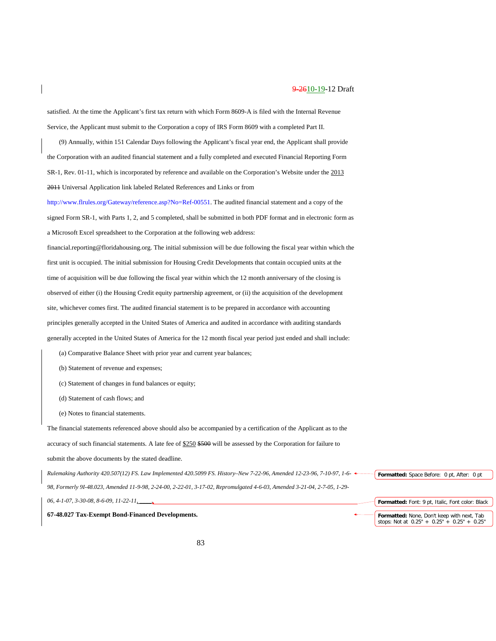satisfied. At the time the Applicant's first tax return with which Form 8609-A is filed with the Internal Revenue Service, the Applicant must submit to the Corporation a copy of IRS Form 8609 with a completed Part II.

(9) Annually, within 151 Calendar Days following the Applicant's fiscal year end, the Applicant shall provide the Corporation with an audited financial statement and a fully completed and executed Financial Reporting Form SR-1, Rev. 01-11, which is incorporated by reference and available on the Corporation's Website under the 2013 2011 Universal Application link labeled Related References and Links or from

[http://www.flrules.org/Gateway/reference.asp?No=Ref-00551.](https://www.flrules.org/Gateway/reference.asp?No=Ref-00551) The audited financial statement and a copy of the signed Form SR-1, with Parts 1, 2, and 5 completed, shall be submitted in both PDF format and in electronic form as a Microsoft Excel spreadsheet to the Corporation at the following web address:

financial.reporting@floridahousing.org. The initial submission will be due following the fiscal year within which the first unit is occupied. The initial submission for Housing Credit Developments that contain occupied units at the time of acquisition will be due following the fiscal year within which the 12 month anniversary of the closing is observed of either (i) the Housing Credit equity partnership agreement, or (ii) the acquisition of the development site, whichever comes first. The audited financial statement is to be prepared in accordance with accounting principles generally accepted in the United States of America and audited in accordance with auditing standards generally accepted in the United States of America for the 12 month fiscal year period just ended and shall include:

- (a) Comparative Balance Sheet with prior year and current year balances;
- (b) Statement of revenue and expenses;
- (c) Statement of changes in fund balances or equity;
- (d) Statement of cash flows; and
- (e) Notes to financial statements.

The financial statements referenced above should also be accompanied by a certification of the Applicant as to the accuracy of such financial statements. A late fee of \$250 \$500 will be assessed by the Corporation for failure to submit the above documents by the stated deadline. *Rulemaking Authority 420.507(12) FS. Law Implemented 420.5099 FS. History–New 7-22-96, Amended 12-23-96, 7-10-97, 1-6-*

*98, Formerly 9I-48.023, Amended 11-9-98, 2-24-00, 2-22-01, 3-17-02, Repromulgated 4-6-03, Amended 3-21-04, 2-7-05, 1-29-*

*06, 4-1-07, 3-30-08, 8-6-09, 11-22-11, \_\_\_\_.*

**67-48.027 Tax-Exempt Bond-Financed Developments.**

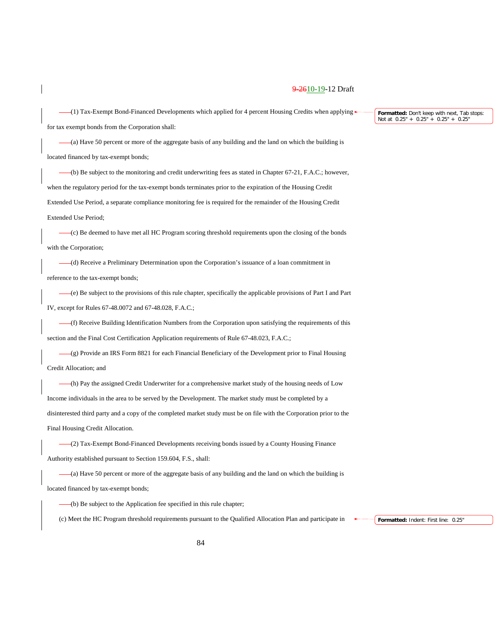$-(1)$  Tax-Exempt Bond-Financed Developments which applied for 4 percent Housing Credits when applying

for tax exempt bonds from the Corporation shall:

(a) Have 50 percent or more of the aggregate basis of any building and the land on which the building is located financed by tax-exempt bonds;

(b) Be subject to the monitoring and credit underwriting fees as stated in Chapter 67-21, F.A.C.; however, when the regulatory period for the tax-exempt bonds terminates prior to the expiration of the Housing Credit Extended Use Period, a separate compliance monitoring fee is required for the remainder of the Housing Credit Extended Use Period;

(c) Be deemed to have met all HC Program scoring threshold requirements upon the closing of the bonds with the Corporation;

(d) Receive a Preliminary Determination upon the Corporation's issuance of a loan commitment in reference to the tax-exempt bonds;

(e) Be subject to the provisions of this rule chapter, specifically the applicable provisions of Part I and Part IV, except for Rules 67-48.0072 and 67-48.028, F.A.C.;

(f) Receive Building Identification Numbers from the Corporation upon satisfying the requirements of this section and the Final Cost Certification Application requirements of Rule 67-48.023, F.A.C.;

 $-(g)$  Provide an IRS Form 8821 for each Financial Beneficiary of the Development prior to Final Housing Credit Allocation; and

(h) Pay the assigned Credit Underwriter for a comprehensive market study of the housing needs of Low Income individuals in the area to be served by the Development. The market study must be completed by a disinterested third party and a copy of the completed market study must be on file with the Corporation prior to the Final Housing Credit Allocation.

(2) Tax-Exempt Bond-Financed Developments receiving bonds issued by a County Housing Finance Authority established pursuant to Section 159.604, F.S., shall:

(a) Have 50 percent or more of the aggregate basis of any building and the land on which the building is located financed by tax-exempt bonds;

(b) Be subject to the Application fee specified in this rule chapter;

(c) Meet the HC Program threshold requirements pursuant to the Qualified Allocation Plan and participate in

**Formatted:** Indent: First line: 0.25"

**Formatted:** Don't keep with next, Tab stops: Not at 0.25" + 0.25" + 0.25" + 0.25"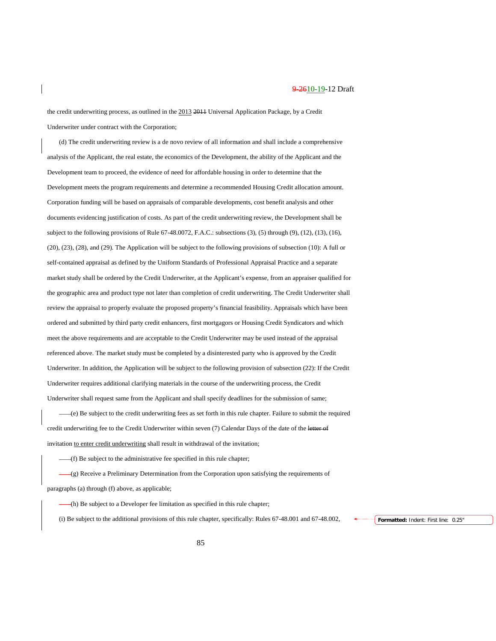the credit underwriting process, as outlined in the 2013 2011 Universal Application Package, by a Credit Underwriter under contract with the Corporation;

(d) The credit underwriting review is a de novo review of all information and shall include a comprehensive analysis of the Applicant, the real estate, the economics of the Development, the ability of the Applicant and the Development team to proceed, the evidence of need for affordable housing in order to determine that the Development meets the program requirements and determine a recommended Housing Credit allocation amount. Corporation funding will be based on appraisals of comparable developments, cost benefit analysis and other documents evidencing justification of costs. As part of the credit underwriting review, the Development shall be subject to the following provisions of Rule 67-48.0072, F.A.C.: subsections (3), (5) through (9), (12), (13), (16), (20), (23), (28), and (29). The Application will be subject to the following provisions of subsection (10): A full or self-contained appraisal as defined by the Uniform Standards of Professional Appraisal Practice and a separate market study shall be ordered by the Credit Underwriter, at the Applicant's expense, from an appraiser qualified for the geographic area and product type not later than completion of credit underwriting. The Credit Underwriter shall review the appraisal to properly evaluate the proposed property's financial feasibility. Appraisals which have been ordered and submitted by third party credit enhancers, first mortgagors or Housing Credit Syndicators and which meet the above requirements and are acceptable to the Credit Underwriter may be used instead of the appraisal referenced above. The market study must be completed by a disinterested party who is approved by the Credit Underwriter. In addition, the Application will be subject to the following provision of subsection (22): If the Credit Underwriter requires additional clarifying materials in the course of the underwriting process, the Credit Underwriter shall request same from the Applicant and shall specify deadlines for the submission of same;

(e) Be subject to the credit underwriting fees as set forth in this rule chapter. Failure to submit the required credit underwriting fee to the Credit Underwriter within seven (7) Calendar Days of the date of the letter of invitation to enter credit underwriting shall result in withdrawal of the invitation;

(f) Be subject to the administrative fee specified in this rule chapter;

(g) Receive a Preliminary Determination from the Corporation upon satisfying the requirements of paragraphs (a) through (f) above, as applicable;

(h) Be subject to a Developer fee limitation as specified in this rule chapter;

(i) Be subject to the additional provisions of this rule chapter, specifically: Rules 67-48.001 and 67-48.002, **Formatted:** Indent: First line: 0.25"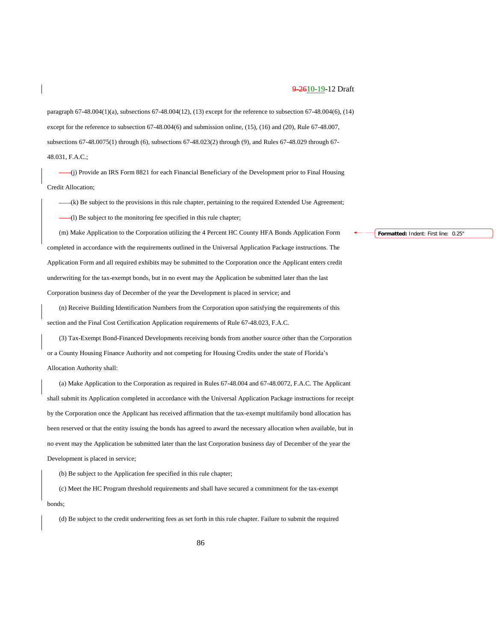paragraph 67-48.004(1)(a), subsections 67-48.004(12), (13) except for the reference to subsection 67-48.004(6), (14) except for the reference to subsection 67-48.004(6) and submission online, (15), (16) and (20), Rule 67-48.007, subsections 67-48.0075(1) through (6), subsections 67-48.023(2) through (9), and Rules 67-48.029 through 67- 48.031, F.A.C.;

(j) Provide an IRS Form 8821 for each Financial Beneficiary of the Development prior to Final Housing Credit Allocation;

(k) Be subject to the provisions in this rule chapter, pertaining to the required Extended Use Agreement; (l) Be subject to the monitoring fee specified in this rule chapter;

(m) Make Application to the Corporation utilizing the 4 Percent HC County HFA Bonds Application Form completed in accordance with the requirements outlined in the Universal Application Package instructions. The Application Form and all required exhibits may be submitted to the Corporation once the Applicant enters credit underwriting for the tax-exempt bonds, but in no event may the Application be submitted later than the last Corporation business day of December of the year the Development is placed in service; and

(n) Receive Building Identification Numbers from the Corporation upon satisfying the requirements of this section and the Final Cost Certification Application requirements of Rule 67-48.023, F.A.C.

(3) Tax-Exempt Bond-Financed Developments receiving bonds from another source other than the Corporation or a County Housing Finance Authority and not competing for Housing Credits under the state of Florida's Allocation Authority shall:

(a) Make Application to the Corporation as required in Rules 67-48.004 and 67-48.0072, F.A.C. The Applicant shall submit its Application completed in accordance with the Universal Application Package instructions for receipt by the Corporation once the Applicant has received affirmation that the tax-exempt multifamily bond allocation has been reserved or that the entity issuing the bonds has agreed to award the necessary allocation when available, but in no event may the Application be submitted later than the last Corporation business day of December of the year the Development is placed in service;

(b) Be subject to the Application fee specified in this rule chapter;

(c) Meet the HC Program threshold requirements and shall have secured a commitment for the tax-exempt bonds;

(d) Be subject to the credit underwriting fees as set forth in this rule chapter. Failure to submit the required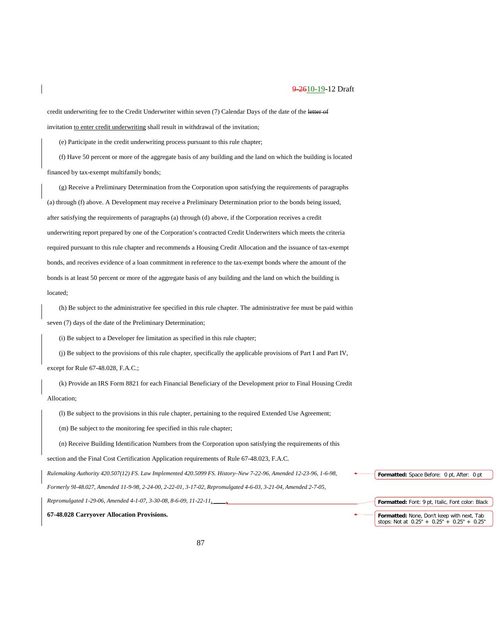credit underwriting fee to the Credit Underwriter within seven (7) Calendar Days of the date of the letter of invitation to enter credit underwriting shall result in withdrawal of the invitation;

(e) Participate in the credit underwriting process pursuant to this rule chapter;

(f) Have 50 percent or more of the aggregate basis of any building and the land on which the building is located financed by tax-exempt multifamily bonds;

(g) Receive a Preliminary Determination from the Corporation upon satisfying the requirements of paragraphs (a) through (f) above. A Development may receive a Preliminary Determination prior to the bonds being issued, after satisfying the requirements of paragraphs (a) through (d) above, if the Corporation receives a credit underwriting report prepared by one of the Corporation's contracted Credit Underwriters which meets the criteria required pursuant to this rule chapter and recommends a Housing Credit Allocation and the issuance of tax-exempt bonds, and receives evidence of a loan commitment in reference to the tax-exempt bonds where the amount of the bonds is at least 50 percent or more of the aggregate basis of any building and the land on which the building is located;

(h) Be subject to the administrative fee specified in this rule chapter. The administrative fee must be paid within seven (7) days of the date of the Preliminary Determination;

(i) Be subject to a Developer fee limitation as specified in this rule chapter;

(j) Be subject to the provisions of this rule chapter, specifically the applicable provisions of Part I and Part IV,

except for Rule 67-48.028, F.A.C.;

(k) Provide an IRS Form 8821 for each Financial Beneficiary of the Development prior to Final Housing Credit Allocation;

(l) Be subject to the provisions in this rule chapter, pertaining to the required Extended Use Agreement;

(m) Be subject to the monitoring fee specified in this rule chapter;

(n) Receive Building Identification Numbers from the Corporation upon satisfying the requirements of this

section and the Final Cost Certification Application requirements of Rule 67-48.023, F.A.C.

*Rulemaking Authority 420.507(12) FS. Law Implemented 420.5099 FS. History–New 7-22-96, Amended 12-23-96, 1-6-98,* 

*Formerly 9I-48.027, Amended 11-9-98, 2-24-00, 2-22-01, 3-17-02, Repromulgated 4-6-03, 3-21-04, Amended 2-7-05,* 

*Repromulgated 1-29-06, Amended 4-1-07, 3-30-08, 8-6-09, 11-22-11, \_\_\_\_.*

**67-48.028 Carryover Allocation Provisions.**

**Formatted:** Font: 9 pt, Italic, Font color: Black **Formatted:** None, Don't keep with next, Tab stops: Not at 0.25" + 0.25" + 0.25" + 0.25"

**Formatted:** Space Before: 0 pt, After: 0 pt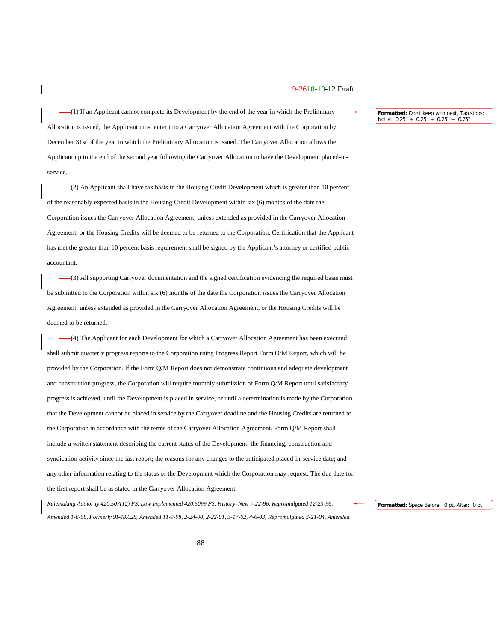(1) If an Applicant cannot complete its Development by the end of the year in which the Preliminary Allocation is issued, the Applicant must enter into a Carryover Allocation Agreement with the Corporation by December 31st of the year in which the Preliminary Allocation is issued. The Carryover Allocation allows the Applicant up to the end of the second year following the Carryover Allocation to have the Development placed-inservice.

(2) An Applicant shall have tax basis in the Housing Credit Development which is greater than 10 percent of the reasonably expected basis in the Housing Credit Development within six (6) months of the date the Corporation issues the Carryover Allocation Agreement, unless extended as provided in the Carryover Allocation Agreement, or the Housing Credits will be deemed to be returned to the Corporation. Certification that the Applicant has met the greater than 10 percent basis requirement shall be signed by the Applicant's attorney or certified public accountant.

(3) All supporting Carryover documentation and the signed certification evidencing the required basis must be submitted to the Corporation within six (6) months of the date the Corporation issues the Carryover Allocation Agreement, unless extended as provided in the Carryover Allocation Agreement, or the Housing Credits will be deemed to be returned.

(4) The Applicant for each Development for which a Carryover Allocation Agreement has been executed shall submit quarterly progress reports to the Corporation using Progress Report Form Q/M Report, which will be provided by the Corporation. If the Form Q/M Report does not demonstrate continuous and adequate development and construction progress, the Corporation will require monthly submission of Form Q/M Report until satisfactory progress is achieved, until the Development is placed in service, or until a determination is made by the Corporation that the Development cannot be placed in service by the Carryover deadline and the Housing Credits are returned to the Corporation in accordance with the terms of the Carryover Allocation Agreement. Form Q/M Report shall include a written statement describing the current status of the Development; the financing, construction and syndication activity since the last report; the reasons for any changes to the anticipated placed-in-service date; and any other information relating to the status of the Development which the Corporation may request. The due date for the first report shall be as stated in the Carryover Allocation Agreement.

*Rulemaking Authority 420.507(12) FS. Law Implemented 420.5099 FS. History–New 7-22-96, Repromulgated 12-23-96, Amended 1-6-98, Formerly 9I-48.028, Amended 11-9-98, 2-24-00, 2-22-01, 3-17-02, 4-6-03, Repromulgated 3-21-04, Amended*  **Formatted:** Don't keep with next, Tab stops: Not at 0.25" + 0.25" + 0.25" + 0.25"

**Formatted:** Space Before: 0 pt, After: 0 pt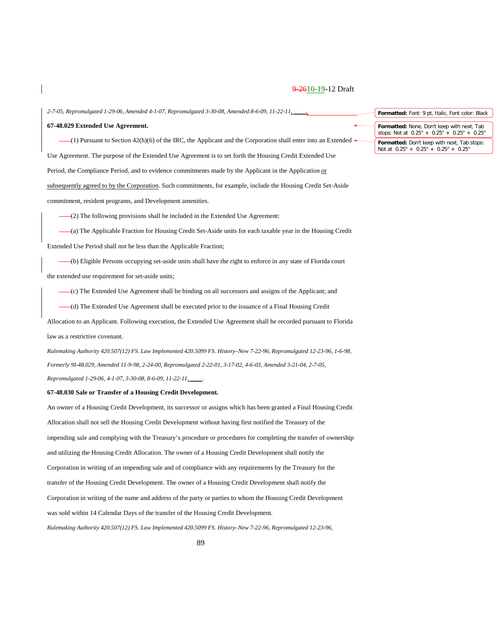*2-7-05, Repromulgated 1-29-06, Amended 4-1-07, Repromulgated 3-30-08, Amended 8-6-09, 11-22-11, \_\_\_\_.*

#### **67-48.029 Extended Use Agreement.**

(1) Pursuant to Section 42(h)(6) of the IRC, the Applicant and the Corporation shall enter into an Extended Use Agreement. The purpose of the Extended Use Agreement is to set forth the Housing Credit Extended Use Period, the Compliance Period, and to evidence commitments made by the Applicant in the Application or subsequently agreed to by the Corporation. Such commitments, for example, include the Housing Credit Set-Aside commitment, resident programs, and Development amenities.

(2) The following provisions shall be included in the Extended Use Agreement:

(a) The Applicable Fraction for Housing Credit Set-Aside units for each taxable year in the Housing Credit Extended Use Period shall not be less than the Applicable Fraction;

(b) Eligible Persons occupying set-aside units shall have the right to enforce in any state of Florida court the extended use requirement for set-aside units;

(c) The Extended Use Agreement shall be binding on all successors and assigns of the Applicant; and

(d) The Extended Use Agreement shall be executed prior to the issuance of a Final Housing Credit

Allocation to an Applicant. Following execution, the Extended Use Agreement shall be recorded pursuant to Florida law as a restrictive covenant.

*Rulemaking Authority 420.507(12) FS. Law Implemented 420.5099 FS. History–New 7-22-96, Repromulgated 12-23-96, 1-6-98, Formerly 9I-48.029, Amended 11-9-98, 2-24-00, Repromulgated 2-22-01, 3-17-02, 4-6-03, Amended 3-21-04, 2-7-05, Repromulgated 1-29-06, 4-1-07, 3-30-08, 8-6-09, 11-22-11, \_\_\_\_.*

#### **67-48.030 Sale or Transfer of a Housing Credit Development.**

An owner of a Housing Credit Development, its successor or assigns which has been granted a Final Housing Credit Allocation shall not sell the Housing Credit Development without having first notified the Treasury of the impending sale and complying with the Treasury's procedure or procedures for completing the transfer of ownership and utilizing the Housing Credit Allocation. The owner of a Housing Credit Development shall notify the Corporation in writing of an impending sale and of compliance with any requirements by the Treasury for the transfer of the Housing Credit Development. The owner of a Housing Credit Development shall notify the Corporation in writing of the name and address of the party or parties to whom the Housing Credit Development was sold within 14 Calendar Days of the transfer of the Housing Credit Development.

*Rulemaking Authority 420.507(12) FS. Law Implemented 420.5099 FS. History–New 7-22-96, Repromulgated 12-23-96,* 

**Formatted:** Font: 9 pt, Italic, Font color: Black **Formatted:** None, Don't keep with next, Tab stops: Not at 0.25" + 0.25" + 0.25" + 0.25"

**Formatted:** Don't keep with next, Tab stops: Not at 0.25" + 0.25" + 0.25" + 0.25"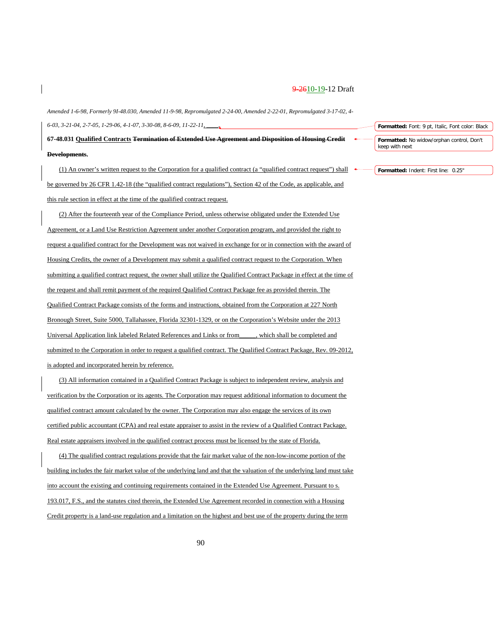*Amended 1-6-98, Formerly 9I-48.030, Amended 11-9-98, Repromulgated 2-24-00, Amended 2-22-01, Repromulgated 3-17-02, 4- 6-03, 3-21-04, 2-7-05, 1-29-06, 4-1-07, 3-30-08, 8-6-09, 11-22-11, \_\_\_\_.*

**67-48.031 Qualified Contracts Termination of Extended Use Agreement and Disposition of Housing Credit Developments.**

(1) An owner's written request to the Corporation for a qualified contract (a "qualified contract request") shall be governed by 26 CFR 1.42-18 (the "qualified contract regulations"), Section 42 of the Code, as applicable, and this rule section in effect at the time of the qualified contract request.

(2) After the fourteenth year of the Compliance Period, unless otherwise obligated under the Extended Use Agreement, or a Land Use Restriction Agreement under another Corporation program, and provided the right to request a qualified contract for the Development was not waived in exchange for or in connection with the award of Housing Credits, the owner of a Development may submit a qualified contract request to the Corporation. When submitting a qualified contract request, the owner shall utilize the Qualified Contract Package in effect at the time of the request and shall remit payment of the required Qualified Contract Package fee as provided therein. The Qualified Contract Package consists of the forms and instructions, obtained from the Corporation at 227 North Bronough Street, Suite 5000, Tallahassee, Florida 32301-1329, or on the Corporation's Website under the 2013 Universal Application link labeled Related References and Links or from\_\_\_\_\_, which shall be completed and submitted to the Corporation in order to request a qualified contract. The Qualified Contract Package, Rev. 09-2012, is adopted and incorporated herein by reference.

(3) All information contained in a Qualified Contract Package is subject to independent review, analysis and verification by the Corporation or its agents. The Corporation may request additional information to document the qualified contract amount calculated by the owner. The Corporation may also engage the services of its own certified public accountant (CPA) and real estate appraiser to assist in the review of a Qualified Contract Package. Real estate appraisers involved in the qualified contract process must be licensed by the state of Florida.

(4) The qualified contract regulations provide that the fair market value of the non-low-income portion of the building includes the fair market value of the underlying land and that the valuation of the underlying land must take into account the existing and continuing requirements contained in the Extended Use Agreement. Pursuant to s. 193.017, F.S., and the statutes cited therein, the Extended Use Agreement recorded in connection with a Housing Credit property is a land-use regulation and a limitation on the highest and best use of the property during the term

**Formatted:** Font: 9 pt, Italic, Font color: Black

**Formatted:** No widow/orphan control, Don't keep with next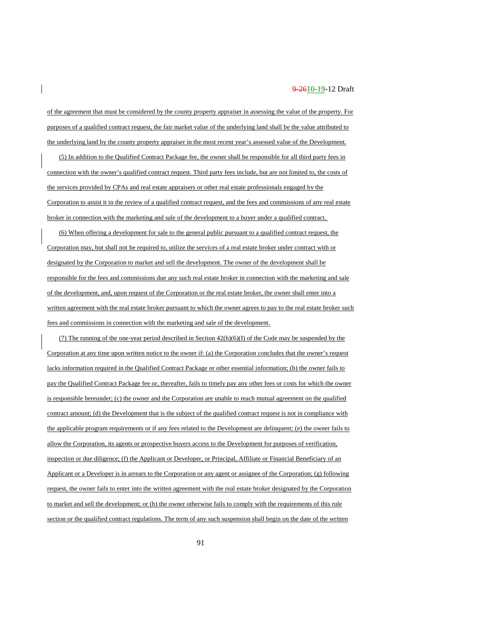of the agreement that must be considered by the county property appraiser in assessing the value of the property. For purposes of a qualified contract request, the fair market value of the underlying land shall be the value attributed to the underlying land by the county property appraiser in the most recent year's assessed value of the Development.

(5) In addition to the Qualified Contract Package fee, the owner shall be responsible for all third party fees in connection with the owner's qualified contract request. Third party fees include, but are not limited to, the costs of the services provided by CPAs and real estate appraisers or other real estate professionals engaged by the Corporation to assist it in the review of a qualified contract request, and the fees and commissions of any real estate broker in connection with the marketing and sale of the development to a buyer under a qualified contract.

(6) When offering a development for sale to the general public pursuant to a qualified contract request, the Corporation may, but shall not be required to, utilize the services of a real estate broker under contract with or designated by the Corporation to market and sell the development. The owner of the development shall be responsible for the fees and commissions due any such real estate broker in connection with the marketing and sale of the development, and, upon request of the Corporation or the real estate broker, the owner shall enter into a written agreement with the real estate broker pursuant to which the owner agrees to pay to the real estate broker such fees and commissions in connection with the marketing and sale of the development.

(7) The running of the one-year period described in Section  $42(h)(6)(I)$  of the Code may be suspended by the Corporation at any time upon written notice to the owner if: (a) the Corporation concludes that the owner's request lacks information required in the Qualified Contract Package or other essential information; (b) the owner fails to pay the Qualified Contract Package fee or, thereafter, fails to timely pay any other fees or costs for which the owner is responsible hereunder; (c) the owner and the Corporation are unable to reach mutual agreement on the qualified contract amount; (d) the Development that is the subject of the qualified contract request is not in compliance with the applicable program requirements or if any fees related to the Development are delinquent; (e) the owner fails to allow the Corporation, its agents or prospective buyers access to the Development for purposes of verification, inspection or due diligence; (f) the Applicant or Developer, or Principal, Affiliate or Financial Beneficiary of an Applicant or a Developer is in arrears to the Corporation or any agent or assignee of the Corporation; (g) following request, the owner fails to enter into the written agreement with the real estate broker designated by the Corporation to market and sell the development; or (h) the owner otherwise fails to comply with the requirements of this rule section or the qualified contract regulations. The term of any such suspension shall begin on the date of the written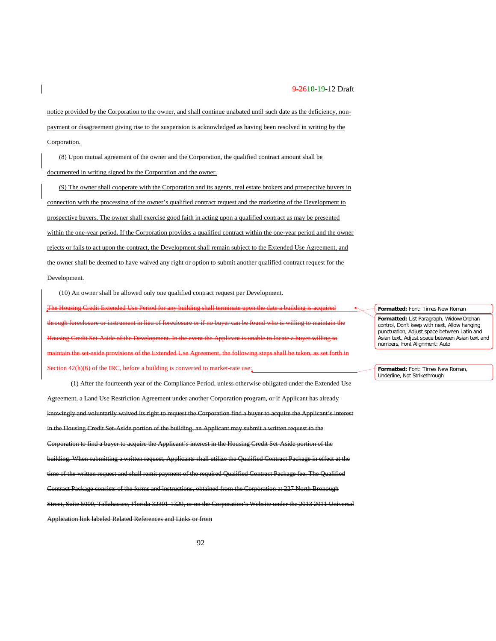notice provided by the Corporation to the owner, and shall continue unabated until such date as the deficiency, nonpayment or disagreement giving rise to the suspension is acknowledged as having been resolved in writing by the Corporation.

(8) Upon mutual agreement of the owner and the Corporation, the qualified contract amount shall be documented in writing signed by the Corporation and the owner.

(9) The owner shall cooperate with the Corporation and its agents, real estate brokers and prospective buyers in connection with the processing of the owner's qualified contract request and the marketing of the Development to prospective buyers. The owner shall exercise good faith in acting upon a qualified contract as may be presented within the one-year period. If the Corporation provides a qualified contract within the one-year period and the owner rejects or fails to act upon the contract, the Development shall remain subject to the Extended Use Agreement, and the owner shall be deemed to have waived any right or option to submit another qualified contract request for the Development.

(10) An owner shall be allowed only one qualified contract request per Development.

The Housing Credit Extended Use Period for any building shall terminate upon the date a building is acquired through foreclosure or instrument in lieu of foreclosure or if no buyer can be found who is willing to maintain the Housing Credit Set-Aside of the Development. In the event the Applicant is unable to locate a buyer willing to maintain the set-aside provisions of the Extended Use Agreement, the following steps shall be taken, as set forth in Section 42(h)(6) of the IRC, before a building is converted to market-rate use;

(1) After the fourteenth year of the Compliance Period, unless otherwise obligated under the Extended Use Agreement, a Land Use Restriction Agreement under another Corporation program, or if Applicant has already nowingly and voluntarily waived its right to request the Corporation find a buyer to acquire the Applicant's interest sing Credit Set-Aside portion of the building, an Applicant may Corporation to find a buyer to acquire the Applicant's interest in the Housing Credit Set-Aside portion of the building. When submitting a written request, Applicants shall utilize the Qualified Contract Package in effect at the time of the written request and shall remit payment of the required Qualified Contract Package fee. The Qualified Contract Package consists of the forms and instructions, obtained from the Corporation at 227 North Bronough Street, Suite 5000, Tallahassee, Florida 32301-1329, or on the Corporation's Website under the 2013 2011 Universal Application link labeled Related References and Links or from

**Formatted:** Font: Times New Roman

**Formatted:** List Paragraph, Widow/Orphan control, Don't keep with next, Allow hanging punctuation, Adjust space between Latin and Asian text, Adjust space between Asian text and numbers, Font Alignment: Auto

**Formatted:** Font: Times New Roman, Underline, Not Strikethrough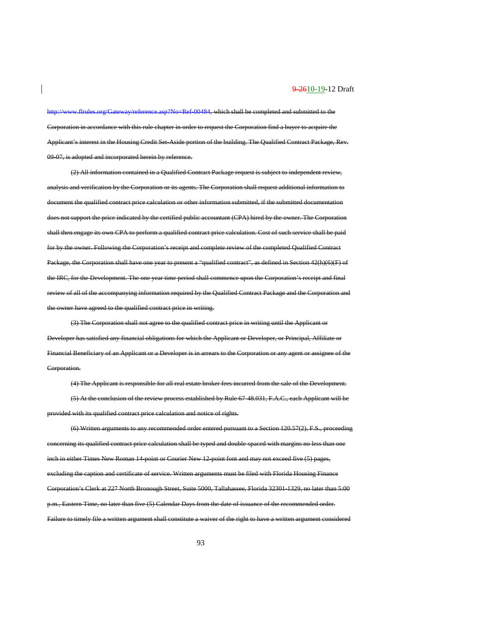[http://www.flrules.org/Gateway/reference.asp?No=Ref-00484,](https://www.flrules.org/Gateway/reference.asp?No=Ref-00484) which shall be completed and submitted to the Corporation in accordance with this rule chapter in order to request the Corporation find a buyer to acquire the Applicant's interest in the Housing Credit Set-Aside portion of the building. The Qualified Contract Package, Rev. 09-07, is adopted and incorporated herein by reference.

(2) All information contained in a Qualified Contract Package request is subject to independent review, alysis and verification by the Corporation or its agents. The Corporation shall request additional information to document the qualified contract price calculation or other information submitted, if the submitted documentation does not support the price indicated by the certified public accountant (CPA) hired by the owner. The Corporation shall then engage its own CPA to perform a qualified contract price calculation. Cost of such service shall be paid for by the owner. Following the Corporation's receipt and complete review of the completed Qualified Contract Package, the Corporation shall have one year to present a "qualified contract", as defined in Section 42(h)(6)(F) of the IRC, for the Development. The one year time period shall commence upon the Corporation's receipt and final review of all of the accompanying information required by the Qualified Contract Package and the Corporation and the owner have agreed to the qualified contract price in writing.

(3) The Corporation shall not agree to the qualified contract price in writing until the Applicant or Developer has satisfied any financial obligations for which the Applicant or Developer, or Principal, Affiliate or Financial Beneficiary of an Applicant or a Developer is in arrears to the Corporation or any agent or assignee of the Corporation.

(4) The Applicant is responsible for all real estate broker fees incurred from the sale of the Development. (5) At the conclusion of the review process established by Rule 67-48.031, F.A.C., each Applicant will be provided with its qualified contract price calculation and notice of rights.

(6) Written arguments to any recommended order entered pursuant to a Section 120.57(2), F.S., proceeding concerning its qualified contract price calculation shall be typed and double-spaced with margins no less than one in either Times New Roman 14-point or Courier New 12-point font and may not exceed five (5) pages, excluding the caption and certificate of service. Written arguments must be filed with Florida Housing Finance Corporation's Clerk at 227 North Bronough Street, Suite 5000, Tallahassee, Florida 32301-1329, no later than 5:00 p.m., Eastern Time, no later than five (5) Calendar Days from the date of issuance of the recommended order. Failure to timely file a written argument shall constitute a waiver of the right to have a written argument considered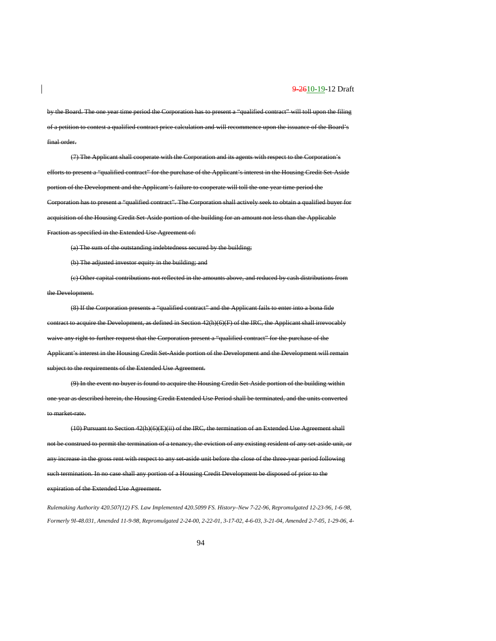by the Board. The one year time period the Corporation has to present a "qualified contract" will toll upon the filing of a petition to contest a qualified contract price calculation and will recommence upon the issuance of the Board's final order.

(7) The Applicant shall cooperate with the Corporation and its agents with respect to the Corporation's efforts to present a "qualified contract" for the purchase of the Applicant's interest in the Housing Credit Set-Aside portion of the Development and the Applicant's failure to cooperate will toll the one year time period the Corporation has to present a "qualified contract". The Corporation shall actively seek to obtain a qualified buyer for acquisition of the Housing Credit Set-Aside portion of the building for an amount not less than the Applicable Fraction as specified in the Extended Use Agreement of:

(a) The sum of the outstanding indebtedness secured by the building;

(b) The adjusted investor equity in the building; and

(c) Other capital contributions not reflected in the amounts above, and reduced by cash distributions from the Development.

(8) If the Corporation presents a "qualified contract" and the Applicant fails to enter into a bona fide contract to acquire the Development, as defined in Section 42(h)(6)(F) of the IRC, the Applicant shall irrevocably waive any right to further request that the Corporation present a "qualified contract" for the purchase of the Applicant's interest in the Housing Credit Set-Aside portion of the Development and the Development will remain subject to the requirements of the Extended Use Agreement.

(9) In the event no buyer is found to acquire the Housing Credit Set-Aside portion of the building within one year as described herein, the Housing Credit Extended Use Period shall be terminated, and the units converted to market-rate.

(10) Pursuant to Section 42(h)(6)(E)(ii) of the IRC, the termination of an Extended Use Agreement shall not be construed to permit the termination of a tenancy, the eviction of any existing resident of any set-aside unit, or se in the gross rent with respect to any set-aside unit before the close of the three-year period following such termination. In no case shall any portion of a Housing Credit Development be disposed of prior to the expiration of the Extended Use Agreement.

*Rulemaking Authority 420.507(12) FS. Law Implemented 420.5099 FS. History–New 7-22-96, Repromulgated 12-23-96, 1-6-98, Formerly 9I-48.031, Amended 11-9-98, Repromulgated 2-24-00, 2-22-01, 3-17-02, 4-6-03, 3-21-04, Amended 2-7-05, 1-29-06, 4-*